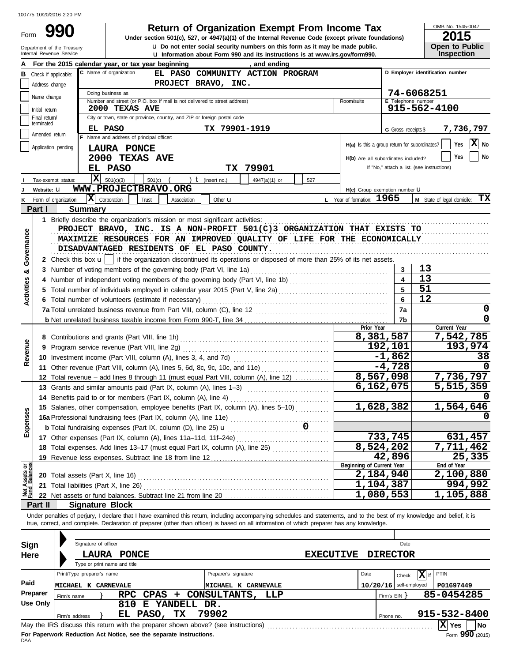Department of the Treasury<br>Internal Boyonya Service

Form

 $\bf{u}$  Do not enter social security numbers on this form as it may be made public. **990 1 2015 2006 2015 Dependence Tax Properties Code (except private foundations) 2015** 

OMB No. 1545-0047

| ZU 15                 |  |
|-----------------------|--|
| <b>Open to Public</b> |  |
| <b>Inspection</b>     |  |

|                                |                             | Internal Revenue Service      |                                                                                                                                                                            |                      | <b>u</b> Information about Form 990 and its instructions is at www.irs.gov/form990. |     |                           |                                               | <b>Inspection</b>                      |
|--------------------------------|-----------------------------|-------------------------------|----------------------------------------------------------------------------------------------------------------------------------------------------------------------------|----------------------|-------------------------------------------------------------------------------------|-----|---------------------------|-----------------------------------------------|----------------------------------------|
|                                |                             |                               | For the 2015 calendar year, or tax year beginning                                                                                                                          |                      | , and ending                                                                        |     |                           |                                               |                                        |
|                                |                             | <b>B</b> Check if applicable: | C Name of organization                                                                                                                                                     |                      | EL PASO COMMUNITY ACTION PROGRAM                                                    |     |                           |                                               | D Employer identification number       |
|                                | Address change              |                               |                                                                                                                                                                            | PROJECT BRAVO, INC.  |                                                                                     |     |                           |                                               |                                        |
|                                | Name change                 |                               | Doing business as                                                                                                                                                          |                      |                                                                                     |     |                           |                                               | 74-6068251                             |
|                                |                             |                               | Number and street (or P.O. box if mail is not delivered to street address)                                                                                                 |                      |                                                                                     |     | Room/suite                | E Telephone number                            |                                        |
|                                | Initial return              |                               | 2000 TEXAS AVE                                                                                                                                                             |                      |                                                                                     |     |                           |                                               | 915-562-4100                           |
|                                | Final return/<br>terminated |                               | City or town, state or province, country, and ZIP or foreign postal code                                                                                                   |                      |                                                                                     |     |                           |                                               |                                        |
|                                | Amended return              |                               | EL PASO                                                                                                                                                                    | TX 79901-1919        |                                                                                     |     |                           | G Gross receipts \$                           | 7,736,797                              |
|                                |                             |                               | F Name and address of principal officer:                                                                                                                                   |                      |                                                                                     |     |                           | H(a) Is this a group return for subordinates? | X No<br>Yes                            |
|                                |                             | Application pending           | LAURA PONCE                                                                                                                                                                |                      |                                                                                     |     |                           |                                               |                                        |
|                                |                             |                               | 2000 TEXAS AVE                                                                                                                                                             |                      |                                                                                     |     |                           | H(b) Are all subordinates included?           | Yes<br>No                              |
|                                |                             |                               | EL PASO                                                                                                                                                                    |                      | TX 79901                                                                            |     |                           | If "No," attach a list. (see instructions)    |                                        |
|                                |                             | Tax-exempt status:            | $\overline{\mathbf{x}}$<br>501(c)(3)<br>$501(c)$ (                                                                                                                         | ) $t$ (insert no.)   | 4947(a)(1) or                                                                       | 527 |                           |                                               |                                        |
|                                | Website: U                  |                               | WWW.PROJECTBRAVO.ORG                                                                                                                                                       |                      |                                                                                     |     |                           | H(c) Group exemption number LI                |                                        |
| κ                              |                             | Form of organization:         | $ \mathbf{X} $ Corporation<br>Trust<br>Association                                                                                                                         | Other $\mathbf u$    |                                                                                     |     | L Year of formation: 1965 |                                               | <b>M</b> State of legal domicile: $TX$ |
|                                | Part I                      |                               | <b>Summary</b>                                                                                                                                                             |                      |                                                                                     |     |                           |                                               |                                        |
|                                |                             |                               |                                                                                                                                                                            |                      |                                                                                     |     |                           |                                               |                                        |
|                                |                             |                               | PROJECT BRAVO, INC. IS A NON-PROFIT 501(C)3 ORGANIZATION THAT EXISTS TO                                                                                                    |                      |                                                                                     |     |                           |                                               |                                        |
|                                |                             |                               | MAXIMIZE RESOURCES FOR AN IMPROVED QUALITY OF LIFE FOR THE ECONOMICALLY                                                                                                    |                      |                                                                                     |     |                           |                                               |                                        |
| Governance                     |                             |                               | DISADVANTAGED RESIDENTS OF EL PASO COUNTY.                                                                                                                                 |                      |                                                                                     |     |                           |                                               |                                        |
|                                |                             |                               |                                                                                                                                                                            |                      |                                                                                     |     |                           |                                               |                                        |
|                                |                             |                               | 2 Check this box $\mathbf{u}$   if the organization discontinued its operations or disposed of more than 25% of its net assets.                                            |                      |                                                                                     |     |                           |                                               |                                        |
| ಯ                              |                             |                               |                                                                                                                                                                            |                      |                                                                                     |     |                           | 3                                             | 13                                     |
|                                |                             |                               |                                                                                                                                                                            |                      |                                                                                     |     |                           |                                               | 13                                     |
| <b>Activities</b>              | 5.                          |                               | Total number of individuals employed in calendar year 2015 (Part V, line 2a) [[[[[[[[[[[[[[[[[[[[[[[[[[[[[[[[                                                              |                      |                                                                                     |     |                           |                                               | 51                                     |
|                                |                             |                               | 6 Total number of volunteers (estimate if necessary)                                                                                                                       |                      |                                                                                     |     |                           | 6                                             | 12                                     |
|                                |                             |                               |                                                                                                                                                                            |                      |                                                                                     |     |                           | 7a                                            | 0                                      |
|                                |                             |                               |                                                                                                                                                                            |                      |                                                                                     |     |                           | 7b                                            | 0                                      |
|                                |                             |                               |                                                                                                                                                                            |                      |                                                                                     |     |                           | Prior Year                                    | Current Year                           |
|                                |                             |                               |                                                                                                                                                                            |                      |                                                                                     |     |                           | 8,381,587                                     | 7,542,785                              |
| Revenue                        | 9                           |                               | Program service revenue (Part VIII, line 2g)                                                                                                                               |                      |                                                                                     |     |                           | 192,101                                       | 193,974                                |
|                                |                             |                               |                                                                                                                                                                            |                      |                                                                                     |     |                           | $-1,862$                                      | 38                                     |
|                                |                             |                               | 11 Other revenue (Part VIII, column (A), lines 5, 6d, 8c, 9c, 10c, and 11e)                                                                                                |                      |                                                                                     |     |                           | $-4,728$                                      |                                        |
|                                |                             |                               | 12 Total revenue – add lines 8 through 11 (must equal Part VIII, column (A), line 12)                                                                                      |                      |                                                                                     |     |                           | 8,567,098                                     | 7,736,797                              |
|                                |                             |                               | 13 Grants and similar amounts paid (Part IX, column (A), lines 1-3)                                                                                                        |                      |                                                                                     |     |                           | 6,162,075                                     | 5,515,359                              |
|                                |                             |                               | 14 Benefits paid to or for members (Part IX, column (A), line 4)                                                                                                           |                      |                                                                                     |     |                           |                                               |                                        |
|                                |                             |                               | 15 Salaries, other compensation, employee benefits (Part IX, column (A), lines 5-10)                                                                                       |                      |                                                                                     |     |                           | 1,628,382                                     | 1,564,646                              |
| enses                          |                             |                               |                                                                                                                                                                            |                      |                                                                                     |     |                           |                                               |                                        |
|                                |                             |                               | <b>b</b> Total fundraising expenses (Part IX, column (D), line 25) <b>u</b>                                                                                                |                      |                                                                                     |     |                           |                                               |                                        |
| Εxp                            |                             |                               | 17 Other expenses (Part IX, column (A), lines 11a-11d, 11f-24e)                                                                                                            |                      |                                                                                     |     |                           | 733,745                                       | 631,457                                |
|                                |                             |                               | 18 Total expenses. Add lines 13-17 (must equal Part IX, column (A), line 25)                                                                                               |                      |                                                                                     |     |                           | 8,524,202                                     | 7,711,462                              |
|                                |                             |                               | 19 Revenue less expenses. Subtract line 18 from line 12                                                                                                                    |                      |                                                                                     |     |                           | 42,896                                        | 25,335                                 |
|                                |                             |                               |                                                                                                                                                                            |                      |                                                                                     |     |                           | Beginning of Current Year                     | End of Year                            |
| Net Assets or<br>Fund Balances |                             |                               | <b>20</b> Total assets (Part X, line 16)                                                                                                                                   |                      |                                                                                     |     |                           | 2,184,940                                     | 2,100,880                              |
|                                |                             |                               | 21 Total liabilities (Part X, line 26)                                                                                                                                     |                      |                                                                                     |     |                           | 1,104,387                                     | 994,992                                |
|                                |                             |                               |                                                                                                                                                                            |                      |                                                                                     |     |                           | 1,080,553                                     | 1,105,888                              |
|                                | Part II                     |                               | <b>Signature Block</b>                                                                                                                                                     |                      |                                                                                     |     |                           |                                               |                                        |
|                                |                             |                               | Under penalties of periury, I declare that I have examined this return, including accompanying schedules and statements, and to the best of my knowledge and belief, it is |                      |                                                                                     |     |                           |                                               |                                        |
|                                |                             |                               | true, correct, and complete. Declaration of preparer (other than officer) is based on all information of which preparer has any knowledge.                                 |                      |                                                                                     |     |                           |                                               |                                        |
|                                |                             |                               |                                                                                                                                                                            |                      |                                                                                     |     |                           |                                               |                                        |
| Sign                           |                             |                               | Signature of officer                                                                                                                                                       |                      |                                                                                     |     |                           | Date                                          |                                        |
|                                |                             |                               |                                                                                                                                                                            |                      |                                                                                     |     |                           |                                               |                                        |
| Here                           |                             |                               | LAURA PONCE<br>Type or print name and title                                                                                                                                |                      |                                                                                     |     | <b>EXECUTIVE</b>          | <b>DIRECTOR</b>                               |                                        |
|                                |                             |                               | Print/Type preparer's name                                                                                                                                                 |                      |                                                                                     |     | Date                      |                                               | PTIN                                   |
|                                |                             |                               |                                                                                                                                                                            | Preparer's signature |                                                                                     |     |                           | Check                                         | $\mathbf{X}$ if                        |
| Paid                           |                             |                               | MICHAEL K CARNEVALE                                                                                                                                                        |                      | MICHAEL K CARNEVALE                                                                 |     |                           | $10/20/16$ self-employed                      | P01697449                              |
|                                | Preparer                    | Firm's name                   | $CPAS +$<br><b>RPC</b>                                                                                                                                                     |                      | CONSULTANTS, LLP                                                                    |     |                           | Firm's $EIN$ }                                | 85-0454285                             |
|                                | <b>Use Only</b>             |                               | 810 E YANDELL DR.                                                                                                                                                          |                      |                                                                                     |     |                           |                                               |                                        |
|                                |                             | Firm's address                | EL PASO, TX                                                                                                                                                                | 79902                |                                                                                     |     |                           | Phone no.                                     | 915-532-8400                           |
|                                |                             |                               |                                                                                                                                                                            |                      |                                                                                     |     |                           |                                               | $ X $ Yes<br>No                        |

| Sign     | Signature of officer                                                              | Date                                       |
|----------|-----------------------------------------------------------------------------------|--------------------------------------------|
| Here     | <b>PONCE</b><br>LAURA                                                             | <b>EXECUTIVE</b><br><b>DIRECTOR</b>        |
|          | Type or print name and title                                                      |                                            |
|          | Preparer's signature<br>Print/Type preparer's name                                | $ \mathbf{X} $ if<br>Date<br>PTIN<br>Check |
| Paid     | MICHAEL K CARNEVALE<br><b>IMICHAEL K CARNEVALE</b>                                | P01697449<br>self-employed<br>10/20/16     |
| Preparer | RPC CPAS + CONSULTANTS,<br>LLP<br>Firm's name                                     | 85-0454285<br>Firm's $EIN$                 |
| Use Only | YANDELL DR.<br>810<br>Е                                                           |                                            |
|          | 79902<br>PASO,<br>TХ<br>EL.<br>Firm's address                                     | 915-532-8400<br>Phone no.                  |
|          | May the IRS discuss this return with the preparer shown above? (see instructions) | X  Yes<br>  No                             |
|          | For Donoruork Reduction Act Notice, can the conorate instructions                 | $\overline{a}$ 000 $\overline{a}$          |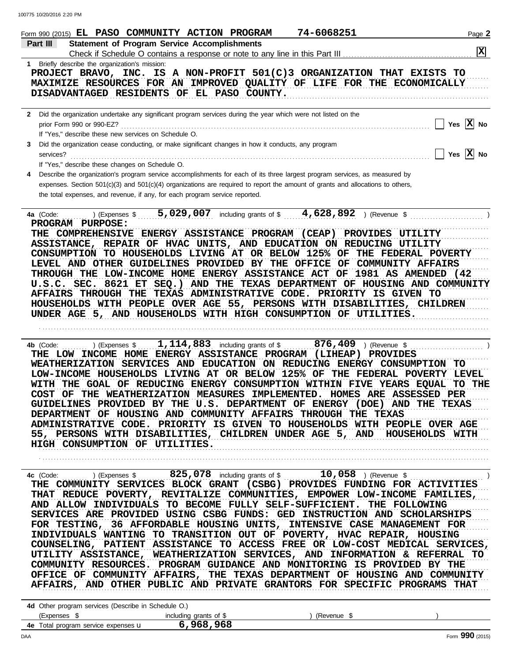|              | 74-6068251<br>Form 990 (2015) EL PASO COMMUNITY ACTION PROGRAM                                                                                                                                                                                                                                                                                                                                                                                                                                                                                                                                                                                                                                                                                                                                                                                                                                                                                                                                                                                                                                                                                                                                                                                                                                                                                                                                                                                                                                                                                                                                                                | Page 2                  |
|--------------|-------------------------------------------------------------------------------------------------------------------------------------------------------------------------------------------------------------------------------------------------------------------------------------------------------------------------------------------------------------------------------------------------------------------------------------------------------------------------------------------------------------------------------------------------------------------------------------------------------------------------------------------------------------------------------------------------------------------------------------------------------------------------------------------------------------------------------------------------------------------------------------------------------------------------------------------------------------------------------------------------------------------------------------------------------------------------------------------------------------------------------------------------------------------------------------------------------------------------------------------------------------------------------------------------------------------------------------------------------------------------------------------------------------------------------------------------------------------------------------------------------------------------------------------------------------------------------------------------------------------------------|-------------------------|
|              | <b>Statement of Program Service Accomplishments</b><br>Part III                                                                                                                                                                                                                                                                                                                                                                                                                                                                                                                                                                                                                                                                                                                                                                                                                                                                                                                                                                                                                                                                                                                                                                                                                                                                                                                                                                                                                                                                                                                                                               | $\overline{\mathbf{x}}$ |
|              | Check if Schedule O contains a response or note to any line in this Part III<br>1 Briefly describe the organization's mission:                                                                                                                                                                                                                                                                                                                                                                                                                                                                                                                                                                                                                                                                                                                                                                                                                                                                                                                                                                                                                                                                                                                                                                                                                                                                                                                                                                                                                                                                                                |                         |
|              | PROJECT BRAVO, INC. IS A NON-PROFIT 501(C)3 ORGANIZATION THAT EXISTS TO<br>MAXIMIZE RESOURCES FOR AN IMPROVED QUALITY OF LIFE FOR THE ECONOMICALLY<br>DISADVANTAGED RESIDENTS OF EL PASO COUNTY.                                                                                                                                                                                                                                                                                                                                                                                                                                                                                                                                                                                                                                                                                                                                                                                                                                                                                                                                                                                                                                                                                                                                                                                                                                                                                                                                                                                                                              |                         |
| $\mathbf{2}$ | Did the organization undertake any significant program services during the year which were not listed on the<br>Yes $\overline{X}$ No<br>prior Form 990 or 990-EZ?<br>If "Yes," describe these new services on Schedule O.                                                                                                                                                                                                                                                                                                                                                                                                                                                                                                                                                                                                                                                                                                                                                                                                                                                                                                                                                                                                                                                                                                                                                                                                                                                                                                                                                                                                    |                         |
| 3            | Did the organization cease conducting, or make significant changes in how it conducts, any program<br>Yes $ X $ No<br>services?                                                                                                                                                                                                                                                                                                                                                                                                                                                                                                                                                                                                                                                                                                                                                                                                                                                                                                                                                                                                                                                                                                                                                                                                                                                                                                                                                                                                                                                                                               |                         |
| 4            | If "Yes," describe these changes on Schedule O.<br>Describe the organization's program service accomplishments for each of its three largest program services, as measured by<br>expenses. Section $501(c)(3)$ and $501(c)(4)$ organizations are required to report the amount of grants and allocations to others,<br>the total expenses, and revenue, if any, for each program service reported.                                                                                                                                                                                                                                                                                                                                                                                                                                                                                                                                                                                                                                                                                                                                                                                                                                                                                                                                                                                                                                                                                                                                                                                                                            |                         |
|              | 5,029,007<br>including grants of $$$ 4,628,892<br>) (Revenue \$<br>(Express \$<br>4a (Code:<br>PROGRAM PURPOSE:<br>THE COMPREHENSIVE ENERGY ASSISTANCE PROGRAM (CEAP) PROVIDES<br><b>UTILITY</b><br>ASSISTANCE, REPAIR OF HVAC UNITS, AND EDUCATION ON REDUCING UTILITY<br>CONSUMPTION TO HOUSEHOLDS LIVING AT OR BELOW 125% OF THE FEDERAL POVERTY<br>LEVEL AND OTHER GUIDELINES PROVIDED BY THE OFFICE OF COMMUNITY AFFAIRS<br>THROUGH THE LOW-INCOME HOME ENERGY ASSISTANCE ACT OF 1981 AS AMENDED (42<br>U.S.C. SEC. 8621 ET SEQ.) AND THE TEXAS DEPARTMENT OF HOUSING AND COMMUNITY<br>AFFAIRS THROUGH THE TEXAS ADMINISTRATIVE CODE. PRIORITY IS GIVEN TO<br>HOUSEHOLDS WITH PEOPLE OVER AGE 55, PERSONS WITH DISABILITIES, CHILDREN<br>UNDER AGE 5, AND HOUSEHOLDS WITH HIGH CONSUMPTION OF UTILITIES.<br>1, 114, 883 including grants of \$<br>876,409<br>) (Expenses \$<br>4b (Code:<br>) (Revenue \$<br>THE LOW INCOME HOME ENERGY ASSISTANCE PROGRAM (LIHEAP)<br><b>PROVIDES</b><br>WEATHERIZATION SERVICES AND EDUCATION ON REDUCING ENERGY CONSUMPTION TO<br>LOW-INCOME HOUSEHOLDS LIVING AT OR BELOW 125% OF THE FEDERAL POVERTY LEVEL<br>WITH THE GOAL OF REDUCING ENERGY CONSUMPTION WITHIN FIVE YEARS EQUAL<br>TO THE<br>OF THE WEATHERIZATION MEASURES IMPLEMENTED. HOMES ARE ASSESSED PER<br>COST<br>GUIDELINES PROVIDED BY THE U.S. DEPARTMENT OF ENERGY (DOE) AND THE TEXAS<br>DEPARTMENT OF HOUSING AND COMMUNITY AFFAIRS THROUGH THE TEXAS<br>ADMINISTRATIVE CODE. PRIORITY IS GIVEN TO HOUSEHOLDS WITH PEOPLE OVER AGE<br>55, PERSONS WITH DISABILITIES, CHILDREN UNDER AGE 5, AND<br>HOUSEHOLDS WITH |                         |
|              | HIGH CONSUMPTION OF UTILITIES.                                                                                                                                                                                                                                                                                                                                                                                                                                                                                                                                                                                                                                                                                                                                                                                                                                                                                                                                                                                                                                                                                                                                                                                                                                                                                                                                                                                                                                                                                                                                                                                                |                         |
|              | THE COMMUNITY SERVICES BLOCK GRANT (CSBG) PROVIDES FUNDING FOR ACTIVITIES<br>THAT REDUCE POVERTY, REVITALIZE COMMUNITIES, EMPOWER LOW-INCOME FAMILIES,<br>AND ALLOW INDIVIDUALS TO BECOME FULLY SELF-SUFFICIENT. THE FOLLOWING<br>SERVICES ARE PROVIDED USING CSBG FUNDS: GED INSTRUCTION AND SCHOLARSHIPS<br>FOR TESTING, 36 AFFORDABLE HOUSING UNITS, INTENSIVE CASE MANAGEMENT FOR<br>INDIVIDUALS WANTING TO TRANSITION OUT OF POVERTY, HVAC REPAIR, HOUSING<br>COUNSELING, PATIENT ASSISTANCE TO ACCESS FREE OR LOW-COST MEDICAL SERVICES,<br>UTILITY ASSISTANCE, WEATHERIZATION SERVICES, AND INFORMATION & REFERRAL TO<br>COMMUNITY RESOURCES. PROGRAM GUIDANCE AND MONITORING IS PROVIDED BY THE<br>OFFICE OF COMMUNITY AFFAIRS, THE TEXAS DEPARTMENT OF HOUSING AND COMMUNITY<br>AFFAIRS, AND OTHER PUBLIC AND PRIVATE GRANTORS FOR SPECIFIC PROGRAMS THAT<br>4d Other program services (Describe in Schedule O.)                                                                                                                                                                                                                                                                                                                                                                                                                                                                                                                                                                                                                                                                                                     |                         |
|              | (Expenses \$<br>including grants of \$<br>) (Revenue \$                                                                                                                                                                                                                                                                                                                                                                                                                                                                                                                                                                                                                                                                                                                                                                                                                                                                                                                                                                                                                                                                                                                                                                                                                                                                                                                                                                                                                                                                                                                                                                       |                         |
|              | 6,968,968<br>4e Total program service expenses u                                                                                                                                                                                                                                                                                                                                                                                                                                                                                                                                                                                                                                                                                                                                                                                                                                                                                                                                                                                                                                                                                                                                                                                                                                                                                                                                                                                                                                                                                                                                                                              |                         |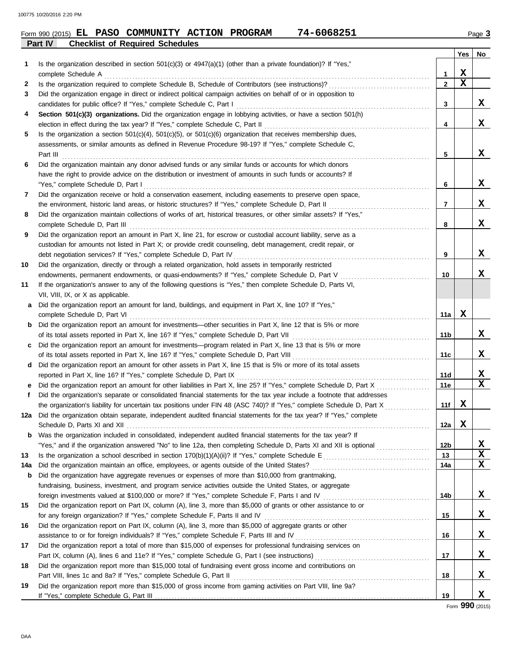## **Part IV Checklist of Required Schedules** Form 990 (2015) Page **3 EL PASO COMMUNITY ACTION PROGRAM 74-6068251**

|     |                                                                                                                                                                                                                                                   |              | Yes              | No                           |
|-----|---------------------------------------------------------------------------------------------------------------------------------------------------------------------------------------------------------------------------------------------------|--------------|------------------|------------------------------|
| 1   | Is the organization described in section $501(c)(3)$ or $4947(a)(1)$ (other than a private foundation)? If "Yes,"                                                                                                                                 |              |                  |                              |
|     | complete Schedule A                                                                                                                                                                                                                               | 1            | X<br>$\mathbf x$ |                              |
| 2   |                                                                                                                                                                                                                                                   | $\mathbf{2}$ |                  |                              |
| 3   | Did the organization engage in direct or indirect political campaign activities on behalf of or in opposition to<br>candidates for public office? If "Yes," complete Schedule C, Part I                                                           | 3            |                  | X                            |
| 4   | Section 501(c)(3) organizations. Did the organization engage in lobbying activities, or have a section 501(h)                                                                                                                                     |              |                  |                              |
|     | election in effect during the tax year? If "Yes," complete Schedule C, Part II                                                                                                                                                                    | 4            |                  | X                            |
| 5   | Is the organization a section $501(c)(4)$ , $501(c)(5)$ , or $501(c)(6)$ organization that receives membership dues,                                                                                                                              |              |                  |                              |
|     | assessments, or similar amounts as defined in Revenue Procedure 98-19? If "Yes," complete Schedule C,                                                                                                                                             |              |                  |                              |
|     | Part III                                                                                                                                                                                                                                          | 5            |                  | X                            |
| 6   | Did the organization maintain any donor advised funds or any similar funds or accounts for which donors                                                                                                                                           |              |                  |                              |
|     | have the right to provide advice on the distribution or investment of amounts in such funds or accounts? If                                                                                                                                       |              |                  |                              |
|     | "Yes," complete Schedule D, Part I                                                                                                                                                                                                                | 6            |                  | X                            |
| 7   | Did the organization receive or hold a conservation easement, including easements to preserve open space,                                                                                                                                         |              |                  |                              |
|     | the environment, historic land areas, or historic structures? If "Yes," complete Schedule D, Part II                                                                                                                                              | 7            |                  | X                            |
| 8   | Did the organization maintain collections of works of art, historical treasures, or other similar assets? If "Yes,"                                                                                                                               |              |                  |                              |
|     | complete Schedule D, Part III                                                                                                                                                                                                                     | 8            |                  | X                            |
| 9   | Did the organization report an amount in Part X, line 21, for escrow or custodial account liability, serve as a                                                                                                                                   |              |                  |                              |
|     | custodian for amounts not listed in Part X; or provide credit counseling, debt management, credit repair, or                                                                                                                                      |              |                  |                              |
|     | debt negotiation services? If "Yes," complete Schedule D, Part IV                                                                                                                                                                                 | 9            |                  | X                            |
| 10  | Did the organization, directly or through a related organization, hold assets in temporarily restricted                                                                                                                                           |              |                  |                              |
|     | endowments, permanent endowments, or quasi-endowments? If "Yes," complete Schedule D, Part V                                                                                                                                                      | 10           |                  | х                            |
| 11  | If the organization's answer to any of the following questions is "Yes," then complete Schedule D, Parts VI,                                                                                                                                      |              |                  |                              |
|     | VII, VIII, IX, or X as applicable.                                                                                                                                                                                                                |              |                  |                              |
| a   | Did the organization report an amount for land, buildings, and equipment in Part X, line 10? If "Yes,"                                                                                                                                            |              |                  |                              |
|     | complete Schedule D, Part VI                                                                                                                                                                                                                      | 11a          | х                |                              |
| b   | Did the organization report an amount for investments—other securities in Part X, line 12 that is 5% or more                                                                                                                                      |              |                  |                              |
|     | of its total assets reported in Part X, line 16? If "Yes," complete Schedule D, Part VII                                                                                                                                                          | 11b          |                  | X                            |
|     | Did the organization report an amount for investments—program related in Part X, line 13 that is 5% or more                                                                                                                                       |              |                  |                              |
|     |                                                                                                                                                                                                                                                   | 11c          |                  | X                            |
| d   | Did the organization report an amount for other assets in Part X, line 15 that is 5% or more of its total assets                                                                                                                                  |              |                  |                              |
|     | reported in Part X, line 16? If "Yes," complete Schedule D, Part IX                                                                                                                                                                               | 11d          |                  | X<br>$\overline{\mathbf{x}}$ |
| е   |                                                                                                                                                                                                                                                   | 11e          |                  |                              |
| f   | Did the organization's separate or consolidated financial statements for the tax year include a footnote that addresses<br>the organization's liability for uncertain tax positions under FIN 48 (ASC 740)? If "Yes," complete Schedule D, Part X | 11f          | х                |                              |
| 12a | Did the organization obtain separate, independent audited financial statements for the tax year? If "Yes," complete                                                                                                                               |              |                  |                              |
|     | Schedule D. Parts XI and XII                                                                                                                                                                                                                      | 12a          | х                |                              |
|     | <b>b</b> Was the organization included in consolidated, independent audited financial statements for the tax year? If                                                                                                                             |              |                  |                              |
|     | "Yes," and if the organization answered "No" to line 12a, then completing Schedule D, Parts XI and XII is optional                                                                                                                                | 12b          |                  | X                            |
| 13  |                                                                                                                                                                                                                                                   | 13           |                  | $\overline{\textbf{x}}$      |
| 14a |                                                                                                                                                                                                                                                   | 14a          |                  | $\mathbf x$                  |
| b   | Did the organization have aggregate revenues or expenses of more than \$10,000 from grantmaking,                                                                                                                                                  |              |                  |                              |
|     | fundraising, business, investment, and program service activities outside the United States, or aggregate                                                                                                                                         |              |                  |                              |
|     | foreign investments valued at \$100,000 or more? If "Yes," complete Schedule F, Parts I and IV [[[[[[[[[[[[[[[                                                                                                                                    | 14b          |                  | X                            |
| 15  | Did the organization report on Part IX, column (A), line 3, more than \$5,000 of grants or other assistance to or                                                                                                                                 |              |                  |                              |
|     |                                                                                                                                                                                                                                                   | 15           |                  | X                            |
| 16  | Did the organization report on Part IX, column (A), line 3, more than \$5,000 of aggregate grants or other                                                                                                                                        |              |                  |                              |
|     |                                                                                                                                                                                                                                                   | 16           |                  | X                            |
| 17  | Did the organization report a total of more than \$15,000 of expenses for professional fundraising services on                                                                                                                                    |              |                  |                              |
|     |                                                                                                                                                                                                                                                   | 17           |                  | X                            |
| 18  | Did the organization report more than \$15,000 total of fundraising event gross income and contributions on                                                                                                                                       |              |                  |                              |
|     |                                                                                                                                                                                                                                                   | 18           |                  | X                            |
| 19  | Did the organization report more than \$15,000 of gross income from gaming activities on Part VIII, line 9a?                                                                                                                                      |              |                  |                              |
|     |                                                                                                                                                                                                                                                   | 19           |                  | X                            |

Form **990** (2015)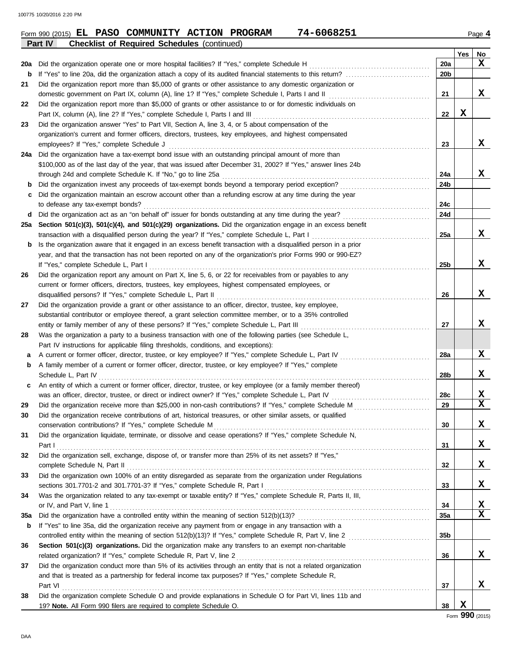|     | <b>Checklist of Required Schedules (continued)</b><br>Part IV                                                         |                 |     |                  |
|-----|-----------------------------------------------------------------------------------------------------------------------|-----------------|-----|------------------|
|     |                                                                                                                       |                 | Yes | No               |
| 20a | Did the organization operate one or more hospital facilities? If "Yes," complete Schedule H                           | 20a             |     | X                |
| b   |                                                                                                                       | 20 <sub>b</sub> |     |                  |
| 21  | Did the organization report more than \$5,000 of grants or other assistance to any domestic organization or           |                 |     |                  |
|     | domestic government on Part IX, column (A), line 1? If "Yes," complete Schedule I, Parts I and II                     | 21              |     | x                |
| 22  | Did the organization report more than \$5,000 of grants or other assistance to or for domestic individuals on         |                 |     |                  |
|     | Part IX, column (A), line 2? If "Yes," complete Schedule I, Parts I and III                                           | 22              | X   |                  |
| 23  | Did the organization answer "Yes" to Part VII, Section A, line 3, 4, or 5 about compensation of the                   |                 |     |                  |
|     | organization's current and former officers, directors, trustees, key employees, and highest compensated               |                 |     |                  |
|     | employees? If "Yes," complete Schedule J                                                                              | 23              |     | x                |
| 24a | Did the organization have a tax-exempt bond issue with an outstanding principal amount of more than                   |                 |     |                  |
|     | \$100,000 as of the last day of the year, that was issued after December 31, 2002? If "Yes," answer lines 24b         |                 |     |                  |
|     | through 24d and complete Schedule K. If "No," go to line 25a                                                          | 24a             |     | x                |
| b   | Did the organization invest any proceeds of tax-exempt bonds beyond a temporary period exception?                     | 24b             |     |                  |
|     | Did the organization maintain an escrow account other than a refunding escrow at any time during the year             |                 |     |                  |
|     | to defease any tax-exempt bonds?                                                                                      | 24c             |     |                  |
| d   | Did the organization act as an "on behalf of" issuer for bonds outstanding at any time during the year?               | 24d             |     |                  |
| 25a | Section 501(c)(3), 501(c)(4), and 501(c)(29) organizations. Did the organization engage in an excess benefit          |                 |     |                  |
|     | transaction with a disqualified person during the year? If "Yes," complete Schedule L, Part I                         | 25a             |     | x                |
| b   | Is the organization aware that it engaged in an excess benefit transaction with a disqualified person in a prior      |                 |     |                  |
|     | year, and that the transaction has not been reported on any of the organization's prior Forms 990 or 990-EZ?          |                 |     |                  |
|     | If "Yes," complete Schedule L, Part I                                                                                 | 25 <sub>b</sub> |     | X                |
| 26  | Did the organization report any amount on Part X, line 5, 6, or 22 for receivables from or payables to any            |                 |     |                  |
|     | current or former officers, directors, trustees, key employees, highest compensated employees, or                     |                 |     |                  |
|     | disqualified persons? If "Yes," complete Schedule L, Part II                                                          | 26              |     | X                |
| 27  | Did the organization provide a grant or other assistance to an officer, director, trustee, key employee,              |                 |     |                  |
|     | substantial contributor or employee thereof, a grant selection committee member, or to a 35% controlled               |                 |     |                  |
|     | entity or family member of any of these persons? If "Yes," complete Schedule L, Part III                              | 27              |     | x                |
| 28  | Was the organization a party to a business transaction with one of the following parties (see Schedule L,             |                 |     |                  |
|     | Part IV instructions for applicable filing thresholds, conditions, and exceptions):                                   |                 |     |                  |
| а   | A current or former officer, director, trustee, or key employee? If "Yes," complete Schedule L, Part IV               | 28a             |     | X                |
| b   | A family member of a current or former officer, director, trustee, or key employee? If "Yes," complete                |                 |     |                  |
|     | Schedule L, Part IV                                                                                                   | 28b             |     | X                |
| с   | An entity of which a current or former officer, director, trustee, or key employee (or a family member thereof)       |                 |     |                  |
|     | was an officer, director, trustee, or direct or indirect owner? If "Yes," complete Schedule L, Part IV                | 28c             |     | X<br>$\mathbf x$ |
| 29  | Did the organization receive more than \$25,000 in non-cash contributions? If "Yes," complete Schedule M              | 29              |     |                  |
|     | Did the organization receive contributions of art, historical treasures, or other similar assets, or qualified        |                 |     |                  |
|     | conservation contributions? If "Yes," complete Schedule M                                                             | 30              |     | X                |
| 31  | Did the organization liquidate, terminate, or dissolve and cease operations? If "Yes," complete Schedule N,           |                 |     |                  |
|     | Part I                                                                                                                | 31              |     | x                |
| 32  | Did the organization sell, exchange, dispose of, or transfer more than 25% of its net assets? If "Yes,"               |                 |     |                  |
|     | complete Schedule N, Part II                                                                                          | 32              |     | X                |
| 33  | Did the organization own 100% of an entity disregarded as separate from the organization under Regulations            |                 |     |                  |
|     | sections 301.7701-2 and 301.7701-3? If "Yes," complete Schedule R, Part I                                             | 33              |     | X                |
| 34  | Was the organization related to any tax-exempt or taxable entity? If "Yes," complete Schedule R, Parts II, III,       |                 |     |                  |
|     | or IV, and Part V, line 1                                                                                             | 34              |     | X<br>$\mathbf x$ |
| 35a |                                                                                                                       | 35a             |     |                  |
| b   | If "Yes" to line 35a, did the organization receive any payment from or engage in any transaction with a               |                 |     |                  |
|     |                                                                                                                       | 35 <sub>b</sub> |     |                  |
| 36  | Section 501(c)(3) organizations. Did the organization make any transfers to an exempt non-charitable                  |                 |     |                  |
|     | related organization? If "Yes," complete Schedule R, Part V, line 2                                                   | 36              |     | x                |
| 37  | Did the organization conduct more than 5% of its activities through an entity that is not a related organization      |                 |     |                  |
|     | and that is treated as a partnership for federal income tax purposes? If "Yes," complete Schedule R,                  |                 |     | x                |
|     | Part VI<br>Did the organization complete Schedule O and provide explanations in Schedule O for Part VI, lines 11b and | 37              |     |                  |
| 38  |                                                                                                                       |                 |     |                  |
|     | 19? Note. All Form 990 filers are required to complete Schedule O.                                                    | 38              | x   |                  |

### **Form 990 (2015) EL PASO COMMUNITY ACTION PROGRAM 74-6068251** Page 4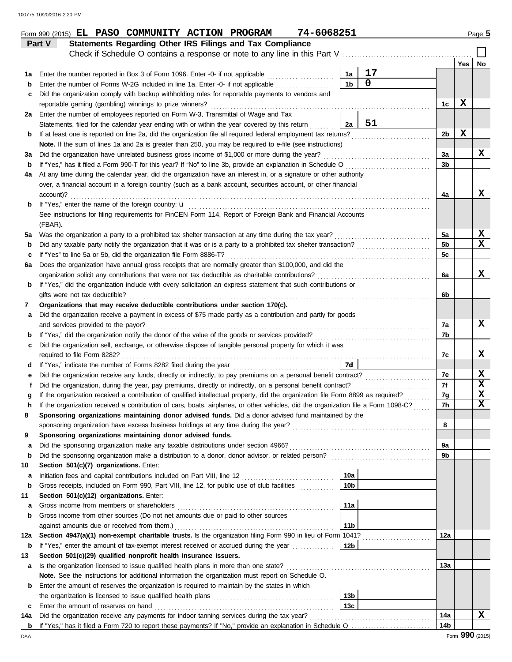|          | 74-6068251<br>Form 990 (2015) EL PASO COMMUNITY ACTION PROGRAM                                                                                                                                              |                      |                |                |                 | Page 5                  |
|----------|-------------------------------------------------------------------------------------------------------------------------------------------------------------------------------------------------------------|----------------------|----------------|----------------|-----------------|-------------------------|
|          | Statements Regarding Other IRS Filings and Tax Compliance<br>Part V                                                                                                                                         |                      |                |                |                 |                         |
|          | Check if Schedule O contains a response or note to any line in this Part V                                                                                                                                  |                      |                |                |                 |                         |
|          |                                                                                                                                                                                                             |                      | 17             |                | Yes             | No                      |
| 1а<br>b  | Enter the number reported in Box 3 of Form 1096. Enter -0- if not applicable<br>Enter the number of Forms W-2G included in line 1a. Enter -0- if not applicable                                             | 1a<br>1 <sub>b</sub> | $\overline{0}$ |                |                 |                         |
| с        | Did the organization comply with backup withholding rules for reportable payments to vendors and                                                                                                            |                      |                |                |                 |                         |
|          | reportable gaming (gambling) winnings to prize winners?                                                                                                                                                     |                      |                | 1c             | $\mathbf x$     |                         |
|          | 2a Enter the number of employees reported on Form W-3, Transmittal of Wage and Tax                                                                                                                          |                      |                |                |                 |                         |
|          | Statements, filed for the calendar year ending with or within the year covered by this return                                                                                                               | 2a                   | 51             |                |                 |                         |
| b        | If at least one is reported on line 2a, did the organization file all required federal employment tax returns?                                                                                              |                      |                | 2b             | X               |                         |
|          | Note. If the sum of lines 1a and 2a is greater than 250, you may be required to e-file (see instructions)                                                                                                   |                      |                |                |                 |                         |
| За       | Did the organization have unrelated business gross income of \$1,000 or more during the year?                                                                                                               |                      |                | 3a             |                 | x                       |
| b        | If "Yes," has it filed a Form 990-T for this year? If "No" to line 3b, provide an explanation in Schedule O                                                                                                 |                      |                | 3b             |                 |                         |
| 4a       | At any time during the calendar year, did the organization have an interest in, or a signature or other authority                                                                                           |                      |                |                |                 |                         |
|          | over, a financial account in a foreign country (such as a bank account, securities account, or other financial                                                                                              |                      |                |                |                 |                         |
|          | account)?                                                                                                                                                                                                   |                      |                | 4a             |                 | x                       |
| b        | If "Yes," enter the name of the foreign country: <b>u</b><br>See instructions for filing requirements for FinCEN Form 114, Report of Foreign Bank and Financial Accounts                                    |                      |                |                |                 |                         |
|          | (FBAR).                                                                                                                                                                                                     |                      |                |                |                 |                         |
| 5a       | Was the organization a party to a prohibited tax shelter transaction at any time during the tax year?                                                                                                       |                      |                | 5a             |                 | X                       |
| b        | Did any taxable party notify the organization that it was or is a party to a prohibited tax shelter transaction?                                                                                            |                      |                | 5 <sub>b</sub> |                 | $\mathbf x$             |
| с        | If "Yes" to line 5a or 5b, did the organization file Form 8886-T?                                                                                                                                           |                      |                | 5c             |                 |                         |
| 6а       | Does the organization have annual gross receipts that are normally greater than \$100,000, and did the                                                                                                      |                      |                |                |                 |                         |
|          | organization solicit any contributions that were not tax deductible as charitable contributions?                                                                                                            |                      |                | 6a             |                 | x                       |
| b        | If "Yes," did the organization include with every solicitation an express statement that such contributions or                                                                                              |                      |                |                |                 |                         |
|          | gifts were not tax deductible?                                                                                                                                                                              |                      |                | 6b             |                 |                         |
| 7        | Organizations that may receive deductible contributions under section 170(c).                                                                                                                               |                      |                |                |                 |                         |
| а        | Did the organization receive a payment in excess of \$75 made partly as a contribution and partly for goods                                                                                                 |                      |                |                |                 |                         |
|          | and services provided to the payor?                                                                                                                                                                         |                      |                | 7a             |                 | X                       |
| b        | If "Yes," did the organization notify the donor of the value of the goods or services provided?<br>Did the organization sell, exchange, or otherwise dispose of tangible personal property for which it was |                      |                | 7b             |                 |                         |
| с        | required to file Form 8282?                                                                                                                                                                                 |                      |                | 7c             |                 | X                       |
| d        |                                                                                                                                                                                                             | 7d                   |                |                |                 |                         |
| е        | Did the organization receive any funds, directly or indirectly, to pay premiums on a personal benefit contract?                                                                                             |                      |                | 7e             |                 | X                       |
|          | Did the organization, during the year, pay premiums, directly or indirectly, on a personal benefit contract?                                                                                                |                      |                | 7f             |                 | X                       |
|          | If the organization received a contribution of qualified intellectual property, did the organization file Form 8899 as required?                                                                            |                      |                | 7g             |                 | $\mathbf x$             |
|          | If the organization received a contribution of cars, boats, airplanes, or other vehicles, did the organization file a Form 1098-C?                                                                          |                      |                | 7h             |                 | $\overline{\mathbf{x}}$ |
| 8        | Sponsoring organizations maintaining donor advised funds. Did a donor advised fund maintained by the                                                                                                        |                      |                |                |                 |                         |
|          | sponsoring organization have excess business holdings at any time during the year?                                                                                                                          |                      |                | 8              |                 |                         |
| 9        | Sponsoring organizations maintaining donor advised funds.                                                                                                                                                   |                      |                |                |                 |                         |
| а        | Did the sponsoring organization make any taxable distributions under section 4966?                                                                                                                          |                      |                | 9a             |                 |                         |
| b        | Did the sponsoring organization make a distribution to a donor, donor advisor, or related person?                                                                                                           |                      |                | 9b             |                 |                         |
| 10       | Section 501(c)(7) organizations. Enter:<br>Initiation fees and capital contributions included on Part VIII, line 12 [11] [11] [11] [12] [11] [12] [11] [1                                                   | 10a                  |                |                |                 |                         |
| а<br>b   | Gross receipts, included on Form 990, Part VIII, line 12, for public use of club facilities                                                                                                                 | 10 <sub>b</sub>      |                |                |                 |                         |
| 11       | Section 501(c)(12) organizations. Enter:                                                                                                                                                                    |                      |                |                |                 |                         |
| а        | Gross income from members or shareholders                                                                                                                                                                   | 11a                  |                |                |                 |                         |
| b        | Gross income from other sources (Do not net amounts due or paid to other sources                                                                                                                            |                      |                |                |                 |                         |
|          | against amounts due or received from them.)                                                                                                                                                                 | 11 <sub>b</sub>      |                |                |                 |                         |
| 12a      | Section 4947(a)(1) non-exempt charitable trusts. Is the organization filing Form 990 in lieu of Form 1041?                                                                                                  |                      |                | 12a            |                 |                         |
| b        | If "Yes," enter the amount of tax-exempt interest received or accrued during the year                                                                                                                       | 12 <sub>b</sub>      |                |                |                 |                         |
| 13       | Section 501(c)(29) qualified nonprofit health insurance issuers.                                                                                                                                            |                      |                |                |                 |                         |
| а        | Is the organization licensed to issue qualified health plans in more than one state?                                                                                                                        |                      |                | 13а            |                 |                         |
|          | Note. See the instructions for additional information the organization must report on Schedule O.                                                                                                           |                      |                |                |                 |                         |
| b        | Enter the amount of reserves the organization is required to maintain by the states in which                                                                                                                |                      |                |                |                 |                         |
|          |                                                                                                                                                                                                             | 13 <sub>b</sub>      |                |                |                 |                         |
| c        | Enter the amount of reserves on hand<br>Did the organization receive any payments for indoor tanning services during the tax year?                                                                          | 13 <sub>c</sub>      |                | 14a            |                 | $\mathbf x$             |
| 14a<br>b |                                                                                                                                                                                                             |                      |                | 14b            |                 |                         |
| DAA      |                                                                                                                                                                                                             |                      |                |                | Form 990 (2015) |                         |
|          |                                                                                                                                                                                                             |                      |                |                |                 |                         |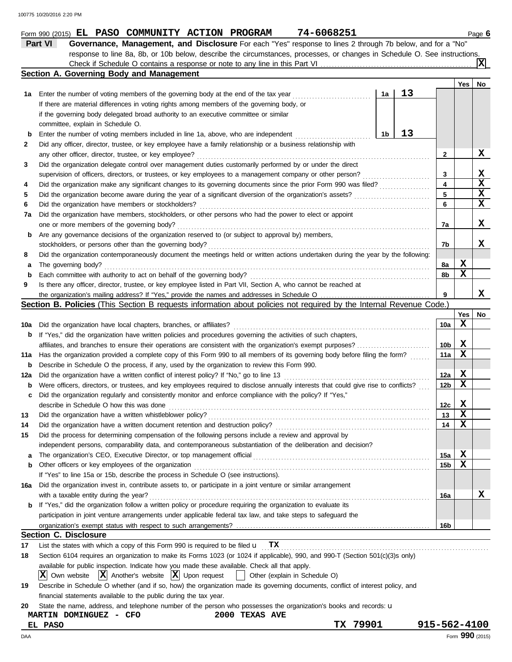|     | 74-6068251<br>Form 990 (2015) EL PASO COMMUNITY ACTION PROGRAM                                                                      |              |     | Page 6      |
|-----|-------------------------------------------------------------------------------------------------------------------------------------|--------------|-----|-------------|
|     | Part VI<br>Governance, Management, and Disclosure For each "Yes" response to lines 2 through 7b below, and for a "No"               |              |     |             |
|     | response to line 8a, 8b, or 10b below, describe the circumstances, processes, or changes in Schedule O. See instructions.           |              |     |             |
|     |                                                                                                                                     |              |     | ΙXΙ         |
|     | Section A. Governing Body and Management                                                                                            |              |     |             |
|     |                                                                                                                                     |              | Yes | No          |
|     | 13<br>1a<br>1a Enter the number of voting members of the governing body at the end of the tax year                                  |              |     |             |
|     | If there are material differences in voting rights among members of the governing body, or                                          |              |     |             |
|     | if the governing body delegated broad authority to an executive committee or similar                                                |              |     |             |
|     | committee, explain in Schedule O.                                                                                                   |              |     |             |
| b   | 13<br>1b<br>Enter the number of voting members included in line 1a, above, who are independent                                      |              |     |             |
| 2   | Did any officer, director, trustee, or key employee have a family relationship or a business relationship with                      |              |     |             |
|     | any other officer, director, trustee, or key employee?                                                                              | $\mathbf{2}$ |     | X           |
| 3   | Did the organization delegate control over management duties customarily performed by or under the direct                           |              |     |             |
|     | supervision of officers, directors, or trustees, or key employees to a management company or other person?                          | 3            |     | X           |
| 4   | Did the organization make any significant changes to its governing documents since the prior Form 990 was filed?                    | 4            |     | $\mathbf x$ |
| 5   | Did the organization become aware during the year of a significant diversion of the organization's assets?                          | 5            |     | X           |
| 6   | Did the organization have members or stockholders?                                                                                  | 6            |     | X           |
| 7а  | .<br>Did the organization have members, stockholders, or other persons who had the power to elect or appoint                        |              |     |             |
|     | one or more members of the governing body?                                                                                          | 7a           |     | X           |
| b   | Are any governance decisions of the organization reserved to (or subject to approval by) members,                                   |              |     |             |
|     | stockholders, or persons other than the governing body?                                                                             | 7b           |     | x           |
| 8   | Did the organization contemporaneously document the meetings held or written actions undertaken during the year by the following:   |              |     |             |
| а   | The governing body?                                                                                                                 | 8а           | X   |             |
| b   | Each committee with authority to act on behalf of the governing body?                                                               | 8b           | X   |             |
| 9   | Is there any officer, director, trustee, or key employee listed in Part VII, Section A, who cannot be reached at                    |              |     |             |
|     |                                                                                                                                     | 9            |     | X           |
|     | Section B. Policies (This Section B requests information about policies not required by the Internal Revenue Code.)                 |              |     |             |
|     |                                                                                                                                     |              | Yes | No          |
|     | Did the organization have local chapters, branches, or affiliates?                                                                  | 10a          | X   |             |
| 10a |                                                                                                                                     |              |     |             |
| b   | If "Yes," did the organization have written policies and procedures governing the activities of such chapters,                      |              | X   |             |
|     |                                                                                                                                     | 10b          | X   |             |
| 11a | Has the organization provided a complete copy of this Form 990 to all members of its governing body before filing the form?         | 11a          |     |             |
| b   | Describe in Schedule O the process, if any, used by the organization to review this Form 990.                                       |              |     |             |
| 12a | Did the organization have a written conflict of interest policy? If "No," go to line 13                                             | 12a          | X   |             |
| b   | Were officers, directors, or trustees, and key employees required to disclose annually interests that could give rise to conflicts? | 12b          | X   |             |
| c   | Did the organization regularly and consistently monitor and enforce compliance with the policy? If "Yes,"                           |              |     |             |
|     | describe in Schedule O how this was done                                                                                            | 12c          | X   |             |
| 13  | Did the organization have a written whistleblower policy?                                                                           | 13           | X   |             |
| 14  | Did the organization have a written document retention and destruction policy?                                                      | 14           | х   |             |
| 15  | Did the process for determining compensation of the following persons include a review and approval by                              |              |     |             |
|     | independent persons, comparability data, and contemporaneous substantiation of the deliberation and decision?                       |              |     |             |
| а   | The organization's CEO, Executive Director, or top management official                                                              | 15a          | X   |             |
| b   | Other officers or key employees of the organization                                                                                 | 15b          | х   |             |
|     | If "Yes" to line 15a or 15b, describe the process in Schedule O (see instructions).                                                 |              |     |             |
| 16а | Did the organization invest in, contribute assets to, or participate in a joint venture or similar arrangement                      |              |     |             |
|     | with a taxable entity during the year?                                                                                              | 16a          |     | х           |
| b   | If "Yes," did the organization follow a written policy or procedure requiring the organization to evaluate its                      |              |     |             |
|     | participation in joint venture arrangements under applicable federal tax law, and take steps to safeguard the                       |              |     |             |
|     |                                                                                                                                     | 16b          |     |             |
|     | <b>Section C. Disclosure</b>                                                                                                        |              |     |             |
| 17  | List the states with which a copy of this Form 990 is required to be filed $\mathbf{u}$ TX                                          |              |     |             |
| 18  | Section 6104 requires an organization to make its Forms 1023 (or 1024 if applicable), 990, and 990-T (Section 501(c)(3)s only)      |              |     |             |
|     | available for public inspection. Indicate how you made these available. Check all that apply.                                       |              |     |             |
|     | $ X $ Own website $ X $ Another's website $ X $ Upon request<br>Other (explain in Schedule O)                                       |              |     |             |
| 19  | Describe in Schedule O whether (and if so, how) the organization made its governing documents, conflict of interest policy, and     |              |     |             |
|     | financial statements available to the public during the tax year.                                                                   |              |     |             |
| 20  | State the name, address, and telephone number of the person who possesses the organization's books and records: u                   |              |     |             |
|     | 2000 TEXAS AVE<br>MARTIN DOMINGUEZ - CFO                                                                                            |              |     |             |
|     | TX 79901<br><b>EL PASO</b>                                                                                                          | 915-562-4100 |     |             |

DAA Form **990** (2015)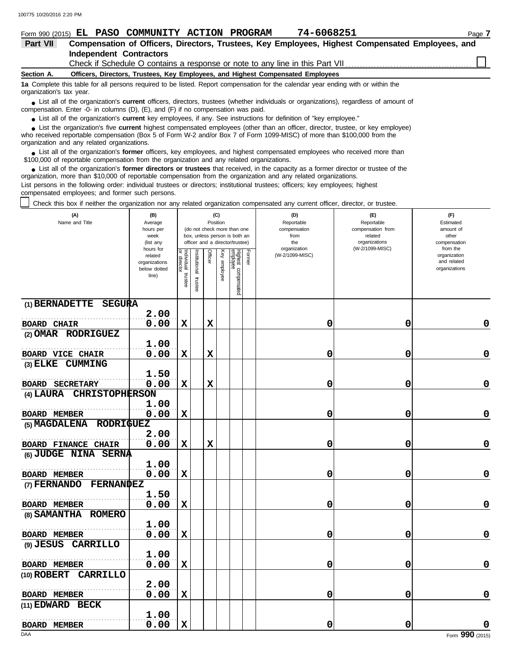|                          | 74-6068251<br>Form 990 (2015) EL PASO COMMUNITY ACTION PROGRAM                                                                                                                                                                | Page 7 |
|--------------------------|-------------------------------------------------------------------------------------------------------------------------------------------------------------------------------------------------------------------------------|--------|
| Part VII                 | Compensation of Officers, Directors, Trustees, Key Employees, Highest Compensated Employees, and                                                                                                                              |        |
|                          | <b>Independent Contractors</b>                                                                                                                                                                                                |        |
|                          | Check if Schedule O contains a response or note to any line in this Part VII [11] [11] Check if Schedule O contains a response or note to any line in this Part VII [11] [12] [12] Check if Schedule O contains a response or |        |
| Section A.               | Officers, Directors, Trustees, Key Employees, and Highest Compensated Employees                                                                                                                                               |        |
| organization's tax year. | 1a Complete this table for all persons required to be listed. Report compensation for the calendar year ending with or within the                                                                                             |        |
|                          | • List all of the organization's current officers, directors, trustees (whether individuals or organizations), regardless of amount of<br>compensation. Enter -0- in columns (D), (E), and (F) if no compensation was paid.   |        |

● List all of the organization's **current** key employees, if any. See instructions for definition of "key employee."

who received reportable compensation (Box 5 of Form W-2 and/or Box 7 of Form 1099-MISC) of more than \$100,000 from the ■ List the organization's five **current** highest compensated employees (other than an officer, director, trustee, or key employee)<br> **•** Preceived reportable compensation (Box 5 of Form W.2 and/or Box 7 of Form 1000 MISC)

organization and any related organizations. ■ List all of the organization's **former** officers, key employees, and highest compensated employees who received more than<br> **•** 00,000 of reportable compensation from the ergonization and any related ergonizations

\$100,000 of reportable compensation from the organization and any related organizations. ■ List all of the organization's **former directors or trustees** that received, in the capacity as a former director or trustee of the<br>paization, more than \$10,000 of reportable compensation from the organization and any r organization, more than \$10,000 of reportable compensation from the organization and any related organizations.

List persons in the following order: individual trustees or directors; institutional trustees; officers; key employees; highest compensated employees; and former such persons.

Check this box if neither the organization nor any related organization compensated any current officer, director, or trustee.

| (A)<br>Name and Title                            | (B)<br>Average<br>hours per<br>week<br>(list any               |                                      |                         | (C)<br>Position |                 | (do not check more than one<br>box, unless person is both an<br>officer and a director/trustee) |        | (D)<br>Reportable<br>compensation<br>from<br>the | (E)<br>Reportable<br>compensation from<br>related<br>organizations | (F)<br>Estimated<br>amount of<br>other<br>compensation   |
|--------------------------------------------------|----------------------------------------------------------------|--------------------------------------|-------------------------|-----------------|-----------------|-------------------------------------------------------------------------------------------------|--------|--------------------------------------------------|--------------------------------------------------------------------|----------------------------------------------------------|
|                                                  | hours for<br>related<br>organizations<br>below dotted<br>line) | Individual<br>or director<br>trustee | nstitutional<br>trustee | Officer         | Key<br>employee | Highest compensated<br>employee                                                                 | Former | organization<br>(W-2/1099-MISC)                  | (W-2/1099-MISC)                                                    | from the<br>organization<br>and related<br>organizations |
| (1) BERNADETTE<br>SEGURA                         |                                                                |                                      |                         |                 |                 |                                                                                                 |        |                                                  |                                                                    |                                                          |
| <b>BOARD CHAIR</b>                               | 2.00<br>0.00                                                   | $\mathbf x$                          |                         | X               |                 |                                                                                                 |        | 0                                                | 0                                                                  | 0                                                        |
| (2) OMAR RODRIGUEZ                               |                                                                |                                      |                         |                 |                 |                                                                                                 |        |                                                  |                                                                    |                                                          |
|                                                  | 1.00                                                           |                                      |                         |                 |                 |                                                                                                 |        |                                                  |                                                                    |                                                          |
| <b>BOARD VICE CHAIR</b>                          | 0.00                                                           | $\mathbf x$                          |                         | $\mathbf x$     |                 |                                                                                                 |        | 0                                                | 0                                                                  | 0                                                        |
| <b>CUMMING</b><br>$(3)$ ELKE                     | 1.50                                                           |                                      |                         |                 |                 |                                                                                                 |        |                                                  |                                                                    |                                                          |
| <b>BOARD SECRETARY</b>                           | 0.00                                                           | $\mathbf x$                          |                         | X               |                 |                                                                                                 |        | 0                                                | 0                                                                  | 0                                                        |
| (4) LAURA CHRISTOPHERSON                         |                                                                |                                      |                         |                 |                 |                                                                                                 |        |                                                  |                                                                    |                                                          |
|                                                  | 1.00                                                           |                                      |                         |                 |                 |                                                                                                 |        |                                                  |                                                                    |                                                          |
| <b>BOARD MEMBER</b>                              | 0.00                                                           | $\mathbf x$                          |                         |                 |                 |                                                                                                 |        | 0                                                | 0                                                                  | 0                                                        |
| (5) MAGDALENA RODRIGUEZ                          |                                                                |                                      |                         |                 |                 |                                                                                                 |        |                                                  |                                                                    |                                                          |
|                                                  | 2.00                                                           |                                      |                         |                 |                 |                                                                                                 |        |                                                  |                                                                    |                                                          |
| <b>BOARD FINANCE CHAIR</b>                       | 0.00                                                           | $\mathbf x$                          |                         | $\mathbf x$     |                 |                                                                                                 |        | 0                                                | 0                                                                  | 0                                                        |
| (6) JUDGE NINA SERNA                             |                                                                |                                      |                         |                 |                 |                                                                                                 |        |                                                  |                                                                    |                                                          |
|                                                  | 1.00                                                           |                                      |                         |                 |                 |                                                                                                 |        |                                                  |                                                                    |                                                          |
| <b>BOARD MEMBER</b><br>(7) FERNANDO<br>FERNANDEZ | 0.00                                                           | $\mathbf x$                          |                         |                 |                 |                                                                                                 |        | 0                                                | 0                                                                  | 0                                                        |
|                                                  | 1.50                                                           |                                      |                         |                 |                 |                                                                                                 |        |                                                  |                                                                    |                                                          |
| <b>BOARD MEMBER</b>                              | 0.00                                                           | $\mathbf x$                          |                         |                 |                 |                                                                                                 |        | 0                                                | 0                                                                  | 0                                                        |
| (8) SAMANTHA<br><b>ROMERO</b>                    |                                                                |                                      |                         |                 |                 |                                                                                                 |        |                                                  |                                                                    |                                                          |
|                                                  | 1.00                                                           |                                      |                         |                 |                 |                                                                                                 |        |                                                  |                                                                    |                                                          |
| <b>BOARD MEMBER</b>                              | 0.00                                                           | $\mathbf x$                          |                         |                 |                 |                                                                                                 |        | 0                                                | 0                                                                  | 0                                                        |
| $(9)$ JESUS<br><b>CARRILLO</b>                   |                                                                |                                      |                         |                 |                 |                                                                                                 |        |                                                  |                                                                    |                                                          |
|                                                  | 1.00                                                           |                                      |                         |                 |                 |                                                                                                 |        |                                                  |                                                                    |                                                          |
| <b>BOARD MEMBER</b>                              | 0.00                                                           | $\mathbf x$                          |                         |                 |                 |                                                                                                 |        | 0                                                | 0                                                                  | 0                                                        |
| CARRILLO<br>$(10)$ ROBERT                        |                                                                |                                      |                         |                 |                 |                                                                                                 |        |                                                  |                                                                    |                                                          |
|                                                  | 2.00<br>0.00                                                   | $\mathbf x$                          |                         |                 |                 |                                                                                                 |        |                                                  | 0                                                                  | 0                                                        |
| <b>BOARD MEMBER</b><br>(11) EDWARD BECK          |                                                                |                                      |                         |                 |                 |                                                                                                 |        | 0                                                |                                                                    |                                                          |
|                                                  | 1.00                                                           |                                      |                         |                 |                 |                                                                                                 |        |                                                  |                                                                    |                                                          |
| <b>BOARD MEMBER</b>                              | 0.00                                                           | $\mathbf x$                          |                         |                 |                 |                                                                                                 |        | 0                                                | 0                                                                  | 0                                                        |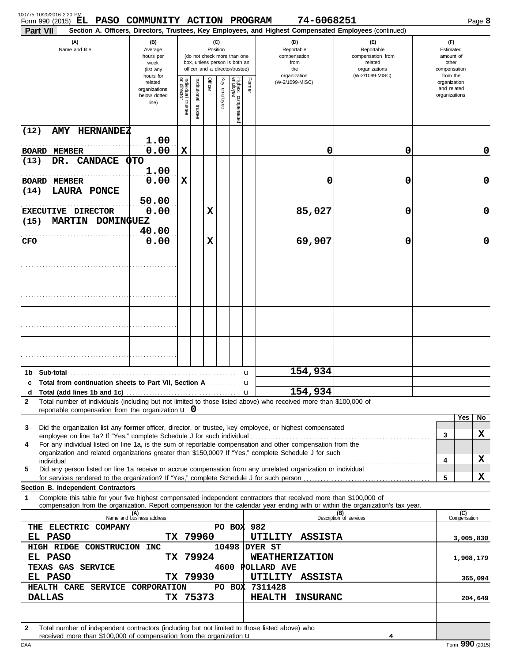| 100775 10/20/2016 2:20 PM<br>Form 990 (2015) EL PASO COMMUNITY ACTION PROGRAM<br>Part VII                                                                                                                                                                                                                                               |                                                                |                                      |                      |         |                 |                                                                                                 |             | 74-6068251<br>Section A. Officers, Directors, Trustees, Key Employees, and Highest Compensated Employees (continued) |                                                                    |                                                          | Page 8              |
|-----------------------------------------------------------------------------------------------------------------------------------------------------------------------------------------------------------------------------------------------------------------------------------------------------------------------------------------|----------------------------------------------------------------|--------------------------------------|----------------------|---------|-----------------|-------------------------------------------------------------------------------------------------|-------------|----------------------------------------------------------------------------------------------------------------------|--------------------------------------------------------------------|----------------------------------------------------------|---------------------|
| (A)<br>Name and title                                                                                                                                                                                                                                                                                                                   | (B)<br>Average<br>hours per<br>week<br>(list any               |                                      |                      |         | (C)<br>Position | (do not check more than one<br>box, unless person is both an<br>officer and a director/trustee) |             | (D)<br>Reportable<br>compensation<br>from<br>the                                                                     | (E)<br>Reportable<br>compensation from<br>related<br>organizations | (F)<br>Estimated<br>amount of<br>other<br>compensation   |                     |
|                                                                                                                                                                                                                                                                                                                                         | hours for<br>related<br>organizations<br>below dotted<br>line) | Individual<br>or director<br>trustee | nstitutional trustee | Officer | Key employee    | Highest compensated<br>employee                                                                 | Former      | organization<br>(W-2/1099-MISC)                                                                                      | (W-2/1099-MISC)                                                    | from the<br>organization<br>and related<br>organizations |                     |
| <b>AMY HERNANDEZ</b><br>(12)                                                                                                                                                                                                                                                                                                            | 1.00                                                           |                                      |                      |         |                 |                                                                                                 |             |                                                                                                                      |                                                                    |                                                          |                     |
| <b>BOARD MEMBER</b>                                                                                                                                                                                                                                                                                                                     | 0.00                                                           | X                                    |                      |         |                 |                                                                                                 |             | 0                                                                                                                    | 0                                                                  |                                                          | 0                   |
| DR. CANDACE<br>(13)                                                                                                                                                                                                                                                                                                                     | <b>OTO</b><br>1.00                                             |                                      |                      |         |                 |                                                                                                 |             |                                                                                                                      |                                                                    |                                                          |                     |
| <b>BOARD MEMBER</b>                                                                                                                                                                                                                                                                                                                     | 0.00                                                           | X                                    |                      |         |                 |                                                                                                 |             | 0                                                                                                                    | 0                                                                  |                                                          | $\mathbf 0$         |
| <b>LAURA PONCE</b><br>(14)                                                                                                                                                                                                                                                                                                              |                                                                |                                      |                      |         |                 |                                                                                                 |             |                                                                                                                      |                                                                    |                                                          |                     |
| EXECUTIVE DIRECTOR                                                                                                                                                                                                                                                                                                                      | 50.00<br>0.00                                                  |                                      |                      | х       |                 |                                                                                                 |             | 85,027                                                                                                               | 0                                                                  |                                                          | $\mathbf 0$         |
| <b>MARTIN</b><br><b>DOMINGUEZ</b><br>(15)                                                                                                                                                                                                                                                                                               |                                                                |                                      |                      |         |                 |                                                                                                 |             |                                                                                                                      |                                                                    |                                                          |                     |
| CFO                                                                                                                                                                                                                                                                                                                                     | 40.00<br>0.00                                                  |                                      |                      | X       |                 |                                                                                                 |             | 69,907                                                                                                               | 0                                                                  |                                                          | $\mathbf 0$         |
|                                                                                                                                                                                                                                                                                                                                         |                                                                |                                      |                      |         |                 |                                                                                                 |             |                                                                                                                      |                                                                    |                                                          |                     |
|                                                                                                                                                                                                                                                                                                                                         |                                                                |                                      |                      |         |                 |                                                                                                 |             |                                                                                                                      |                                                                    |                                                          |                     |
|                                                                                                                                                                                                                                                                                                                                         |                                                                |                                      |                      |         |                 |                                                                                                 |             |                                                                                                                      |                                                                    |                                                          |                     |
|                                                                                                                                                                                                                                                                                                                                         |                                                                |                                      |                      |         |                 |                                                                                                 |             |                                                                                                                      |                                                                    |                                                          |                     |
|                                                                                                                                                                                                                                                                                                                                         |                                                                |                                      |                      |         |                 |                                                                                                 |             |                                                                                                                      |                                                                    |                                                          |                     |
| 1b Sub-total                                                                                                                                                                                                                                                                                                                            |                                                                |                                      |                      |         |                 |                                                                                                 | u           | 154,934                                                                                                              |                                                                    |                                                          |                     |
| c Total from continuation sheets to Part VII, Section A<br>d                                                                                                                                                                                                                                                                            |                                                                |                                      |                      |         |                 |                                                                                                 | u           | 154,934                                                                                                              |                                                                    |                                                          |                     |
| Total number of individuals (including but not limited to those listed above) who received more than \$100,000 of<br>2                                                                                                                                                                                                                  |                                                                |                                      |                      |         |                 |                                                                                                 | $\mathbf u$ |                                                                                                                      |                                                                    |                                                          |                     |
| reportable compensation from the organization $\bf{u}$ 0                                                                                                                                                                                                                                                                                |                                                                |                                      |                      |         |                 |                                                                                                 |             |                                                                                                                      |                                                                    |                                                          | Yes<br>No           |
| Did the organization list any former officer, director, or trustee, key employee, or highest compensated<br>3<br>employee on line 1a? If "Yes," complete Schedule J for such individual                                                                                                                                                 |                                                                |                                      |                      |         |                 |                                                                                                 |             |                                                                                                                      |                                                                    | 3                                                        | x                   |
| For any individual listed on line 1a, is the sum of reportable compensation and other compensation from the<br>4                                                                                                                                                                                                                        |                                                                |                                      |                      |         |                 |                                                                                                 |             |                                                                                                                      |                                                                    |                                                          |                     |
| organization and related organizations greater than \$150,000? If "Yes," complete Schedule J for such<br>individual with the contract of the contract of the contract of the contract of the contract of the contract of the contract of the contract of the contract of the contract of the contract of the contract of the contract o |                                                                |                                      |                      |         |                 |                                                                                                 |             |                                                                                                                      |                                                                    | 4                                                        | x                   |
| Did any person listed on line 1a receive or accrue compensation from any unrelated organization or individual<br>5<br>for services rendered to the organization? If "Yes," complete Schedule J for such person                                                                                                                          |                                                                |                                      |                      |         |                 |                                                                                                 |             |                                                                                                                      |                                                                    | 5                                                        | x                   |
| Section B. Independent Contractors                                                                                                                                                                                                                                                                                                      |                                                                |                                      |                      |         |                 |                                                                                                 |             |                                                                                                                      |                                                                    |                                                          |                     |
| Complete this table for your five highest compensated independent contractors that received more than \$100,000 of<br>1<br>compensation from the organization. Report compensation for the calendar year ending with or within the organization's tax year.                                                                             |                                                                |                                      |                      |         |                 |                                                                                                 |             |                                                                                                                      |                                                                    |                                                          |                     |
|                                                                                                                                                                                                                                                                                                                                         | (A)<br>Name and business address                               |                                      |                      |         |                 |                                                                                                 |             |                                                                                                                      | (B)<br>Description of services                                     |                                                          | (C)<br>Compensation |
| THE ELECTRIC COMPANY<br>EL PASO                                                                                                                                                                                                                                                                                                         |                                                                |                                      | TX 79960             |         |                 | PO BOX 982                                                                                      |             | UTILITY ASSISTA                                                                                                      |                                                                    |                                                          | 3,005,830           |
| HIGH RIDGE CONSTRUCION INC                                                                                                                                                                                                                                                                                                              |                                                                |                                      |                      |         |                 |                                                                                                 |             | <b>10498 DYER ST</b>                                                                                                 |                                                                    |                                                          |                     |
| EL PASO<br>TEXAS GAS SERVICE                                                                                                                                                                                                                                                                                                            |                                                                |                                      | TX 79924             |         |                 |                                                                                                 |             | <b>WEATHERIZATION</b><br>4600 POLLARD AVE                                                                            |                                                                    |                                                          | 1,908,179           |
| EL PASO                                                                                                                                                                                                                                                                                                                                 |                                                                |                                      | TX 79930             |         |                 |                                                                                                 |             | UTILITY ASSISTA                                                                                                      |                                                                    |                                                          | 365,094             |
| HEALTH CARE SERVICE CORPORATION<br><b>DALLAS</b>                                                                                                                                                                                                                                                                                        |                                                                |                                      | TX 75373             |         |                 |                                                                                                 |             | PO BOX 7311428<br><b>HEALTH</b><br><b>INSURANC</b>                                                                   |                                                                    |                                                          |                     |
|                                                                                                                                                                                                                                                                                                                                         |                                                                |                                      |                      |         |                 |                                                                                                 |             |                                                                                                                      |                                                                    |                                                          | 204,649             |
| Total number of independent contractors (including but not limited to those listed above) who<br>2                                                                                                                                                                                                                                      |                                                                |                                      |                      |         |                 |                                                                                                 |             |                                                                                                                      |                                                                    |                                                          |                     |
| received more than \$100,000 of compensation from the organization u                                                                                                                                                                                                                                                                    |                                                                |                                      |                      |         |                 |                                                                                                 |             |                                                                                                                      |                                                                    |                                                          |                     |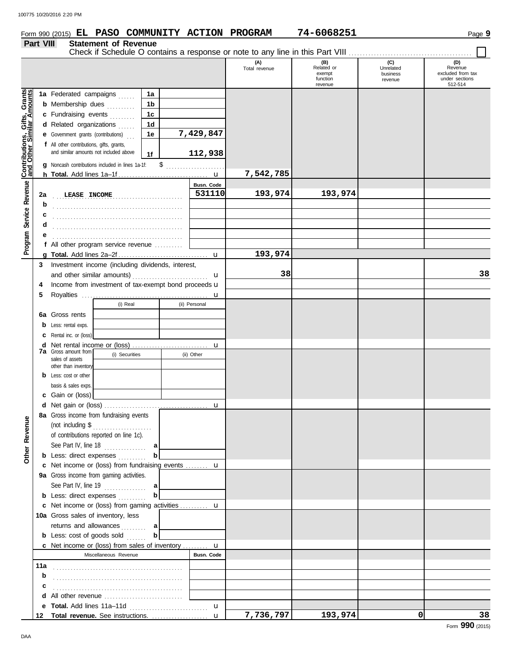### Form 990 (2015) Page **9 EL PASO COMMUNITY ACTION PROGRAM 74-6068251**

#### **Part VIII Statement of Revenue** Check if Schedule O contains a response or note to any line in this Part VIII ........... **(A) (B) (C) (D)** Unrelated<br>business Total revenue **Related or CONFORT CONFORT CONFORT REVENUE REVENUE REVENUE REVENUE REVENUE REVENUE REVENUE REVENU**<br>
exempt business exempt business exempt function under sections revenue 512-514 revenue Gifts, Grants **Contributions, Gifts, Grants and Other Similar Amounts 1a** Federated campaigns ...... **1a 1b b** Membership dues *........*... **1c c** Fundraising events . . . . . . . . **1d d** Related organizations ...... **7,429,847** Program Service Revenue **Contributions,**<br>Program Service Revenue and Other Sim **1e e** Government grants (contributions) . . . **f** All other contributions, gifts, grants, and similar amounts not included above **112,938 1f** \$ . . . . . . . . . . . . . . . . . . . . . **g** Noncash contributions included in lines 1a-1f: **7,542,785** u **h Total.** Add lines 1a–1f . . . . . . . . . . . . . . . . . . . . . . . . . . . . . . . . **Program Service Revenue Busn. Code** . . . . . . . . . . . . . . . . . . . . . . . . . . . . . . . . . . . . . . . . . . . . . . **LEASE INCOME 531110 193,974 193,974 2a b** . . . . . . . . . . . . . . . . . . . . . . . . . . . . . . . . . . . . . . . . . . . . . . **c d** . . . . . . . . . . . . . . . . . . . . . . . . . . . . . . . . . . . . . . . . . . . . . . **e** . . . . . . . . . . . . . . . . . . . . . . . . . . . . . . . . . . . . . . . . . . . . . . **f** All other program service revenue . . . . . . . . . . **193,974 g Total.** Add lines 2a–2f . . . . . . . . . . . . . . . . . . . . . . . . . . . . . . . . u **3** Investment income (including dividends, interest, **38 38** and other similar amounts)  $\mathbf{u}$ **4** Income from investment of tax-exempt bond proceeds  $\mathbf u$ **5** Royalties ... u (i) Real (ii) Personal **6a** Gross rents **b** Less: rental exps. **c** Rental inc. or (loss) **d** Net rental income or (loss) ............................ u **7a** Gross amount from (i) Securities (ii) Other sales of assets other than inventory **b** Less: cost or other basis & sales exps. **c** Gain or (loss) **d** u Net gain or (loss) . . . . . . . . . . . . . . . . . . . . . . . . . . . . . . . . . . . . . **8a** Gross income from fundraising events **Other Revenue Other Revenue** (not including \$ . . . . . . . . . . . . . . . . . . . . . of contributions reported on line 1c). See Part IV, line 18 . . . . . . . . . . . . . . . **a b b** Less: direct expenses . . . . . . . . . u **c** Net income or (loss) from fundraising events . . . . . . . . **9a** Gross income from gaming activities. See Part IV, line 19 . . . . . . . . . . . . . . . **a b b** Less: direct expenses **. . . . . . . . .** u Net income or (loss) from gaming activities . . . . . . . . . . **c** 10a Gross sales of inventory, less returns and allowances . . . . . . . . **a b b** Less: cost of goods sold  $\ldots$ u Net income or (loss) from sales of inventory . . . . . . . . . **c** Miscellaneous Revenue **Busn. Code 11a b** . . . . . . . . . . . . . . . . . . . . . . . . . . . . . . . . . . . . . . . . . . . . . . **c d** All other revenue .............................. **e Total.** Add lines 11a–11d . . . . . . . . . . . . . . . . . . . . . . . . . . . . u **7,736,797 193,974 0 38** u **Total revenue.** See instructions. . . . . . . . . . . . . . . . . . . . . **12**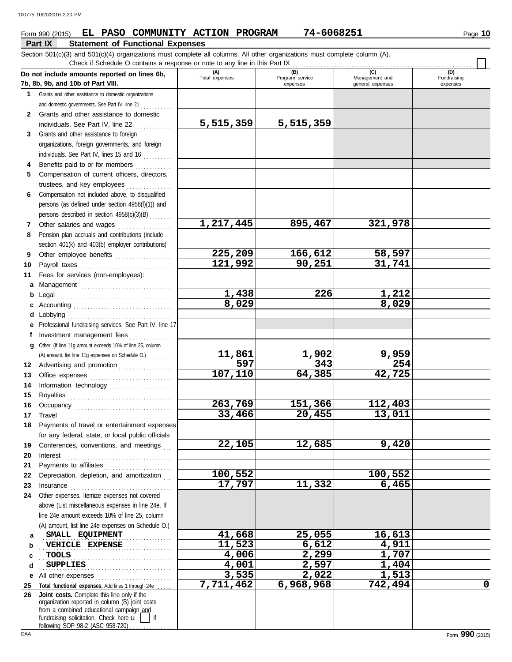### Form 990 (2015) Page **10 EL PASO COMMUNITY ACTION PROGRAM 74-6068251**

**Part IX Statement of Functional Expenses** Section 501(c)(3) and 501(c)(4) organizations must complete all columns. All other organizations must complete column (A). **Do not include amounts reported on lines 6b, 7b, 8b, 9b, and 10b of Part VIII. 1 2 3** Grants and other assistance to foreign **4 5 6 7 8 9 10 11 a** Management ................................. **b** Legal . . . . . . . . . . . . . . . . . . . . . . . . . . . . . . . . . . . . . . . . . **c** Accounting . . . . . . . . . . . . . . . . . . . . . . . . . . . . . . . . . . . **d** Lobbying . . . . . . . . . . . . . . . . . . . . . . . . . . . . . . . . . . . . . **e** Professional fundraising services. See Part IV, line 17 **f g** Other. (If line 11g amount exceeds 10% of line 25, column **12** Advertising and promotion . . . . . . . . . . . . . . . . . **13 14 15 16 17 18 19 20 21 22** Depreciation, depletion, and amortization . . . **23 24 a b c d e** All other expenses . . . . . . . . . . . . . . . . . . . . . . . . . . . **25 Total functional expenses.** Add lines 1 through 24e . . . . . **26** Grants and other assistance to domestic organizations and domestic governments. See Part IV, line 21 . . . . . . . . . . Grants and other assistance to domestic individuals. See Part IV, line 22 .............. organizations, foreign governments, and foreign individuals. See Part IV, lines 15 and 16 Benefits paid to or for members ............. Compensation of current officers, directors, trustees, and key employees . . . . . . . . . . . . . . . . Compensation not included above, to disqualified persons (as defined under section 4958(f)(1)) and persons described in section 4958(c)(3)(B) . . . . . . . . Other salaries and wages ................... Pension plan accruals and contributions (include section 401(k) and 403(b) employer contributions) Other employee benefits .................... Payroll taxes . . . . . . . . . . . . . . . . . . . . . . . . . . . . . . . . . Fees for services (non-employees): Investment management fees ............... Office expenses ................................ Information technology ...................... Royalties . . . . . . . . . . . . . . . . . . . . . . . . . . . . . . . . . . . . . Occupancy . . . . . . . . . . . . . . . . . . . . . . . . . . . . . . . . . . Travel . . . . . . . . . . . . . . . . . . . . . . . . . . . . . . . . . . . . . . . . Payments of travel or entertainment expenses for any federal, state, or local public officials Conferences, conventions, and meetings Interest . . . . . . . . . . . . . . . . . . . . . . . . . . . . . . . . . . . . . . Payments to affiliates . . . . . . . . . . . . . . . . . . . . . . . . Insurance . . . . . . . . . . . . . . . . . . . . . . . . . . . . . . . . . . . . Other expenses. Itemize expenses not covered above (List miscellaneous expenses in line 24e. If line 24e amount exceeds 10% of line 25, column (A) amount, list line 24e expenses on Schedule O.) fundraising solicitation. Check here  $\mathbf{u}$  | if organization reported in column (B) joint costs from a combined educational campaign and **(A) (B) (C) (D)** Total expenses Program service Management and expenses and general expenses (D)<br>Fundraising expenses **SMALL EQUIPMENT 41,668 25,055 16,613 11,523 6,612 4,911** . . . . . . . . . . . . . . . . . . . . . . . . . . . . . . . . . . . . . . . . . . . . . . . . . . . . . . . . . . . . . . . . . . . . . . . . . . . . . . . . . . . . . . . . . . . . . . Check if Schedule O contains a response or note to any line in this Part IX **Joint costs.** Complete this line only if the (A) amount, list line 11g expenses on Schedule O.) ....... **5,515,359 5,515,359 1,217,445 895,467 321,978 225,209 166,612 58,597 121,992 90,251 31,741 1,438 226 1,212 8,029 8,029 11,861 1,902 9,959 597 343 254 107,110 64,385 42,725 263,769 151,366 112,403 33,466 20,455 13,011 22,105 12,685 9,420 100,552 100,552 17,797 11,332 6,465 TOOLS 4,006 2,299 1,707 SUPPLIES 4,001 2,597 1,404 3,535 2,022 1,513 7,711,462 6,968,968 742,494 0**

following SOP 98-2 (ASC 958-720)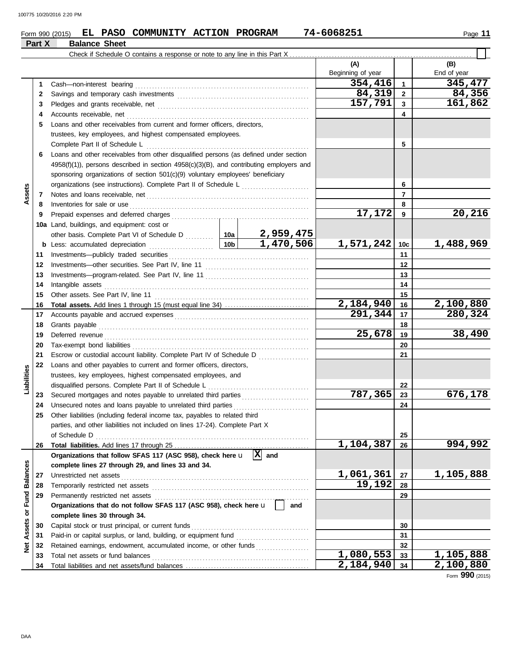**6**

**Assets**

**23 24 25**

**Liabilities**

**26**

**27 28**

**30 31**

**Net Assets or Fund Balances**

Net Assets or Fund Balances

**33 34**

### Form 990 (2015) Page **11 EL PASO COMMUNITY ACTION PROGRAM 74-6068251**

**29** Permanently restricted net assets . . . . . . . . . . . . . . . . . . . . . . . . . . . . . . . . . . . . . . . . . . . . . . . . . . . . . . .

**Organizations that do not follow SFAS 117 (ASC 958), check here** u **and**

Capital stock or trust principal, or current funds . . . . . . . . . . . . . . . . . . . . . . . . . . . . . . . . . . . . . . . . . . Paid-in or capital surplus, or land, building, or equipment fund ...........................

Total net assets or fund balances . . . . . . . . . . . . . . . . . . . . . . . . . . . . . . . . . . . . . . . . . . . . . . . . . . . . . . . .

Unrestricted net assets . . . . . . . . . . . . . . . . . . . . . . . . . . . . . . . . . . . . . . . . . . . . . . . . . . . . . . . . . . . . . . . . . . . Temporarily restricted net assets . . . . . . . . . . . . . . . . . . . . . . . . . . . . . . . . . . . . . . . . . . . . . . . . . . . . . . . .

Organizations that follow SFAS 117 (ASC 958), check here  $\mathbf{u} \left[ \mathbf{X} \right]$  and

**complete lines 27 through 29, and lines 33 and 34.**

**complete lines 30 through 34.**

**32** Retained earnings, endowment, accumulated income, or other funds . . . . . . . . . . . . . . . . . . .

Total liabilities and net assets/fund balances ..........................

#### **Part X**

| <b>Balance Sheet</b>                                                                                                                                                                                                           |                                                 |                          |                 |                    |
|--------------------------------------------------------------------------------------------------------------------------------------------------------------------------------------------------------------------------------|-------------------------------------------------|--------------------------|-----------------|--------------------|
| Check if Schedule O contains a response or note to any line in this Part X.                                                                                                                                                    |                                                 |                          |                 |                    |
|                                                                                                                                                                                                                                |                                                 | (A)<br>Beginning of year |                 | (B)<br>End of year |
|                                                                                                                                                                                                                                |                                                 | 354,416                  | $\mathbf{1}$    | 345,477            |
|                                                                                                                                                                                                                                | 84,319                                          | $\mathbf{2}$             | 84,356          |                    |
|                                                                                                                                                                                                                                | 157,791                                         | 3                        | 161,862         |                    |
| Accounts receivable, net                                                                                                                                                                                                       |                                                 |                          | 4               |                    |
| Loans and other receivables from current and former officers, directors,                                                                                                                                                       |                                                 |                          |                 |                    |
| trustees, key employees, and highest compensated employees.                                                                                                                                                                    |                                                 |                          |                 |                    |
| Complete Part II of Schedule L                                                                                                                                                                                                 |                                                 |                          | 5               |                    |
| Loans and other receivables from other disqualified persons (as defined under section                                                                                                                                          |                                                 |                          |                 |                    |
| $4958(f)(1)$ , persons described in section $4958(c)(3)(B)$ , and contributing employers and                                                                                                                                   |                                                 |                          |                 |                    |
| sponsoring organizations of section 501(c)(9) voluntary employees' beneficiary                                                                                                                                                 |                                                 |                          |                 |                    |
| organizations (see instructions). Complete Part II of Schedule L                                                                                                                                                               | <u> 1966 - Johann Stoff, Amerikaansk politi</u> |                          | 6               |                    |
|                                                                                                                                                                                                                                |                                                 |                          | $\overline{7}$  |                    |
|                                                                                                                                                                                                                                |                                                 |                          | 8               |                    |
|                                                                                                                                                                                                                                |                                                 | 17,172                   | 9               | 20,216             |
| Land, buildings, and equipment: cost or                                                                                                                                                                                        |                                                 |                          |                 |                    |
| other basis. Complete Part VI of Schedule D  10a                                                                                                                                                                               | 2,959,475                                       |                          |                 |                    |
| 10b<br>Less: accumulated depreciation                                                                                                                                                                                          | $\overline{1,470,506}$                          | 1,571,242                | 10 <sub>c</sub> | 1,488,969          |
|                                                                                                                                                                                                                                |                                                 |                          | 11              |                    |
|                                                                                                                                                                                                                                |                                                 |                          | 12              |                    |
|                                                                                                                                                                                                                                |                                                 |                          | 13              |                    |
| Intangible assets with a state of the state of the state of the state of the state of the state of the state of the state of the state of the state of the state of the state of the state of the state of the state of the st |                                                 |                          | 14              |                    |
|                                                                                                                                                                                                                                |                                                 |                          | 15              |                    |
|                                                                                                                                                                                                                                |                                                 | $\overline{2,184,940}$   | 16              | 2,100,880          |
|                                                                                                                                                                                                                                |                                                 | 291,344                  | 17              | 280,324            |
| Grants payable                                                                                                                                                                                                                 |                                                 |                          | 18              |                    |
|                                                                                                                                                                                                                                |                                                 | 25,678                   | 19              | 38,490             |
|                                                                                                                                                                                                                                |                                                 |                          | 20              |                    |
| Escrow or custodial account liability. Complete Part IV of Schedule D                                                                                                                                                          |                                                 |                          | 21              |                    |
| Loans and other payables to current and former officers, directors,                                                                                                                                                            |                                                 |                          |                 |                    |
| trustees, key employees, highest compensated employees, and                                                                                                                                                                    |                                                 |                          |                 |                    |
| disqualified persons. Complete Part II of Schedule L                                                                                                                                                                           |                                                 |                          | 22              |                    |
|                                                                                                                                                                                                                                |                                                 | 787,365                  | 23              | 676,178            |
| Unsecured notes and loans payable to unrelated third parties                                                                                                                                                                   |                                                 |                          | 24              |                    |
| Other liabilities (including federal income tax, payables to related third                                                                                                                                                     |                                                 |                          |                 |                    |
| parties, and other liabilities not included on lines 17-24). Complete Part X                                                                                                                                                   |                                                 |                          |                 |                    |
| of Schedule D                                                                                                                                                                                                                  |                                                 |                          | 25              |                    |
|                                                                                                                                                                                                                                |                                                 | 1,104,387                | 26              | 994,992            |

**2,184,940 2,100,880**

**29 28 27**

**19,192**

**1,061,361 1,105,888**

**1,080,553 1,105,888**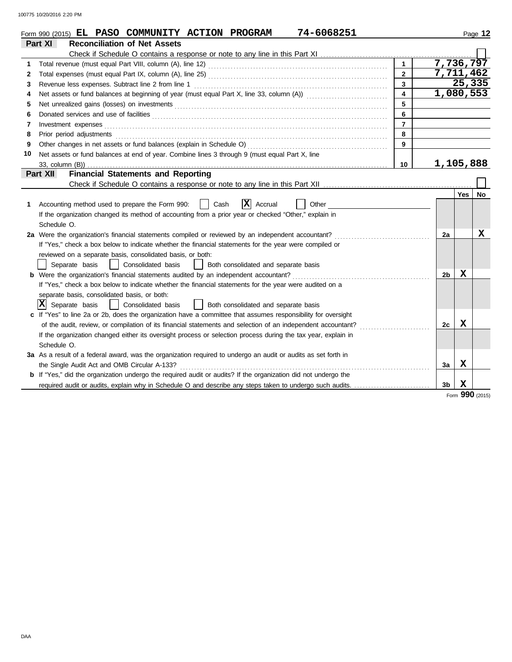|    | 74-6068251<br>Form 990 (2015) EL PASO COMMUNITY ACTION PROGRAM                                                                                                                                                                      |  |                     | Page 12   |  |  |  |  |  |
|----|-------------------------------------------------------------------------------------------------------------------------------------------------------------------------------------------------------------------------------------|--|---------------------|-----------|--|--|--|--|--|
|    | <b>Reconciliation of Net Assets</b><br>Part XI                                                                                                                                                                                      |  |                     |           |  |  |  |  |  |
|    |                                                                                                                                                                                                                                     |  |                     |           |  |  |  |  |  |
| 1  | 7,736,797<br>$\mathbf{1}$                                                                                                                                                                                                           |  |                     |           |  |  |  |  |  |
| 2  | $\mathbf{2}$                                                                                                                                                                                                                        |  |                     | 7,711,462 |  |  |  |  |  |
| 3  | $\mathbf{3}$<br>Revenue less expenses. Subtract line 2 from line 1                                                                                                                                                                  |  |                     | 25,335    |  |  |  |  |  |
| 4  | Net assets or fund balances at beginning of year (must equal Part X, line 33, column (A)) [[[[[[[[[[[[[[[[[[[<br>$\mathbf{A}$                                                                                                       |  |                     | 1,080,553 |  |  |  |  |  |
| 5  | 5                                                                                                                                                                                                                                   |  |                     |           |  |  |  |  |  |
| 6  | 6                                                                                                                                                                                                                                   |  |                     |           |  |  |  |  |  |
| 7  | $\overline{7}$<br>Investment expenses <b>contract and the expenses</b>                                                                                                                                                              |  |                     |           |  |  |  |  |  |
| 8  | 8<br>Prior period adjustments entertainments and a series of the series of the series of the series of the series of the series of the series of the series of the series of the series of the series of the series of the series o |  |                     |           |  |  |  |  |  |
| 9  | 9                                                                                                                                                                                                                                   |  |                     |           |  |  |  |  |  |
| 10 | Net assets or fund balances at end of year. Combine lines 3 through 9 (must equal Part X, line                                                                                                                                      |  |                     |           |  |  |  |  |  |
|    | 10                                                                                                                                                                                                                                  |  | 1,105,888           |           |  |  |  |  |  |
|    | <b>Financial Statements and Reporting</b><br>Part XII                                                                                                                                                                               |  |                     |           |  |  |  |  |  |
|    |                                                                                                                                                                                                                                     |  |                     |           |  |  |  |  |  |
|    |                                                                                                                                                                                                                                     |  | Yes                 | No        |  |  |  |  |  |
| 1  | $ \mathbf{X} $ Accrual<br>Cash<br>Other<br>Accounting method used to prepare the Form 990:                                                                                                                                          |  |                     |           |  |  |  |  |  |
|    | If the organization changed its method of accounting from a prior year or checked "Other," explain in                                                                                                                               |  |                     |           |  |  |  |  |  |
|    | Schedule O.                                                                                                                                                                                                                         |  |                     |           |  |  |  |  |  |
|    | 2a Were the organization's financial statements compiled or reviewed by an independent accountant?                                                                                                                                  |  | 2a                  | x         |  |  |  |  |  |
|    | If "Yes," check a box below to indicate whether the financial statements for the year were compiled or                                                                                                                              |  |                     |           |  |  |  |  |  |
|    | reviewed on a separate basis, consolidated basis, or both:                                                                                                                                                                          |  |                     |           |  |  |  |  |  |
|    | Separate basis<br>  Consolidated basis<br>  Both consolidated and separate basis                                                                                                                                                    |  |                     |           |  |  |  |  |  |
|    | <b>b</b> Were the organization's financial statements audited by an independent accountant?                                                                                                                                         |  | x<br>2b             |           |  |  |  |  |  |
|    | If "Yes," check a box below to indicate whether the financial statements for the year were audited on a                                                                                                                             |  |                     |           |  |  |  |  |  |
|    | separate basis, consolidated basis, or both:                                                                                                                                                                                        |  |                     |           |  |  |  |  |  |
|    | Ixl<br>Separate basis<br>  Consolidated basis<br>  Both consolidated and separate basis                                                                                                                                             |  |                     |           |  |  |  |  |  |
|    | c If "Yes" to line 2a or 2b, does the organization have a committee that assumes responsibility for oversight                                                                                                                       |  |                     |           |  |  |  |  |  |
|    | of the audit, review, or compilation of its financial statements and selection of an independent accountant?                                                                                                                        |  | x<br>2c             |           |  |  |  |  |  |
|    | If the organization changed either its oversight process or selection process during the tax year, explain in                                                                                                                       |  |                     |           |  |  |  |  |  |
|    | Schedule O.                                                                                                                                                                                                                         |  |                     |           |  |  |  |  |  |
|    | 3a As a result of a federal award, was the organization required to undergo an audit or audits as set forth in                                                                                                                      |  |                     |           |  |  |  |  |  |
|    | the Single Audit Act and OMB Circular A-133?                                                                                                                                                                                        |  | X<br>3a             |           |  |  |  |  |  |
|    | <b>b</b> If "Yes," did the organization undergo the required audit or audits? If the organization did not undergo the                                                                                                               |  |                     |           |  |  |  |  |  |
|    | required audit or audits, explain why in Schedule O and describe any steps taken to undergo such audits.                                                                                                                            |  | X<br>3 <sub>b</sub> |           |  |  |  |  |  |

Form **990** (2015)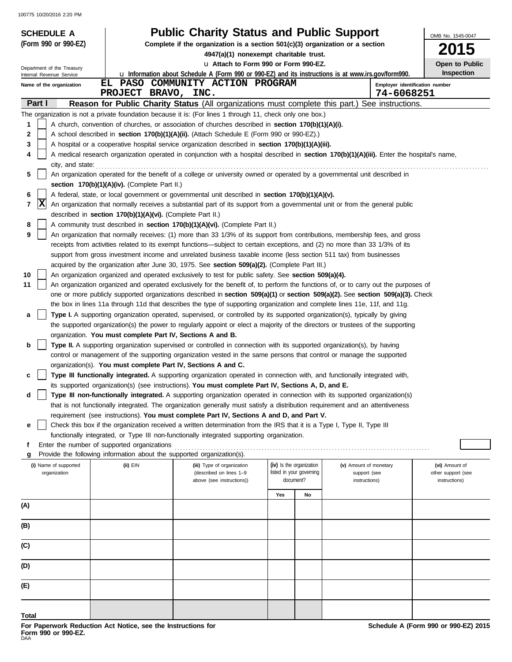| <b>SCHEDULE A</b>                                                                                                                               |                                                                                                                       | <b>Public Charity Status and Public Support</b>                                                                                     |     |                          |                                        |            | OMB No. 1545-0047                    |  |  |  |
|-------------------------------------------------------------------------------------------------------------------------------------------------|-----------------------------------------------------------------------------------------------------------------------|-------------------------------------------------------------------------------------------------------------------------------------|-----|--------------------------|----------------------------------------|------------|--------------------------------------|--|--|--|
| (Form 990 or 990-EZ)                                                                                                                            | Complete if the organization is a section $501(c)(3)$ organization or a section                                       |                                                                                                                                     |     |                          |                                        |            |                                      |  |  |  |
|                                                                                                                                                 |                                                                                                                       | 2015<br>4947(a)(1) nonexempt charitable trust.                                                                                      |     |                          |                                        |            |                                      |  |  |  |
| Department of the Treasury                                                                                                                      |                                                                                                                       | u Attach to Form 990 or Form 990-EZ.                                                                                                |     |                          |                                        |            | Open to Public                       |  |  |  |
| Internal Revenue Service                                                                                                                        |                                                                                                                       | <b>u</b> Information about Schedule A (Form 990 or 990-EZ) and its instructions is at www.irs.gov/form990.                          |     |                          |                                        |            | <b>Inspection</b>                    |  |  |  |
| Name of the organization                                                                                                                        | PROJECT BRAVO, INC.                                                                                                   | EL PASO COMMUNITY ACTION PROGRAM                                                                                                    |     |                          |                                        | 74-6068251 | Employer identification number       |  |  |  |
| Part I                                                                                                                                          |                                                                                                                       | Reason for Public Charity Status (All organizations must complete this part.) See instructions.                                     |     |                          |                                        |            |                                      |  |  |  |
|                                                                                                                                                 |                                                                                                                       | The organization is not a private foundation because it is: (For lines 1 through 11, check only one box.)                           |     |                          |                                        |            |                                      |  |  |  |
| 1                                                                                                                                               |                                                                                                                       | A church, convention of churches, or association of churches described in section 170(b)(1)(A)(i).                                  |     |                          |                                        |            |                                      |  |  |  |
| 2                                                                                                                                               |                                                                                                                       | A school described in section 170(b)(1)(A)(ii). (Attach Schedule E (Form 990 or 990-EZ).)                                           |     |                          |                                        |            |                                      |  |  |  |
| 3                                                                                                                                               |                                                                                                                       | A hospital or a cooperative hospital service organization described in section 170(b)(1)(A)(iii).                                   |     |                          |                                        |            |                                      |  |  |  |
| A medical research organization operated in conjunction with a hospital described in section 170(b)(1)(A)(iii). Enter the hospital's name,<br>4 |                                                                                                                       |                                                                                                                                     |     |                          |                                        |            |                                      |  |  |  |
| city, and state:                                                                                                                                |                                                                                                                       |                                                                                                                                     |     |                          |                                        |            |                                      |  |  |  |
| 5                                                                                                                                               |                                                                                                                       | An organization operated for the benefit of a college or university owned or operated by a governmental unit described in           |     |                          |                                        |            |                                      |  |  |  |
|                                                                                                                                                 | section 170(b)(1)(A)(iv). (Complete Part II.)                                                                         |                                                                                                                                     |     |                          |                                        |            |                                      |  |  |  |
| 6                                                                                                                                               |                                                                                                                       | A federal, state, or local government or governmental unit described in section 170(b)(1)(A)(v).                                    |     |                          |                                        |            |                                      |  |  |  |
| X<br>7                                                                                                                                          |                                                                                                                       | An organization that normally receives a substantial part of its support from a governmental unit or from the general public        |     |                          |                                        |            |                                      |  |  |  |
|                                                                                                                                                 | described in section 170(b)(1)(A)(vi). (Complete Part II.)                                                            |                                                                                                                                     |     |                          |                                        |            |                                      |  |  |  |
| 8                                                                                                                                               |                                                                                                                       | A community trust described in section 170(b)(1)(A)(vi). (Complete Part II.)                                                        |     |                          |                                        |            |                                      |  |  |  |
| 9                                                                                                                                               |                                                                                                                       | An organization that normally receives: (1) more than 33 1/3% of its support from contributions, membership fees, and gross         |     |                          |                                        |            |                                      |  |  |  |
|                                                                                                                                                 |                                                                                                                       | receipts from activities related to its exempt functions—subject to certain exceptions, and (2) no more than 33 1/3% of its         |     |                          |                                        |            |                                      |  |  |  |
|                                                                                                                                                 |                                                                                                                       | support from gross investment income and unrelated business taxable income (less section 511 tax) from businesses                   |     |                          |                                        |            |                                      |  |  |  |
|                                                                                                                                                 |                                                                                                                       | acquired by the organization after June 30, 1975. See section 509(a)(2). (Complete Part III.)                                       |     |                          |                                        |            |                                      |  |  |  |
| 10                                                                                                                                              |                                                                                                                       | An organization organized and operated exclusively to test for public safety. See section 509(a)(4).                                |     |                          |                                        |            |                                      |  |  |  |
| 11                                                                                                                                              |                                                                                                                       | An organization organized and operated exclusively for the benefit of, to perform the functions of, or to carry out the purposes of |     |                          |                                        |            |                                      |  |  |  |
|                                                                                                                                                 |                                                                                                                       | one or more publicly supported organizations described in section 509(a)(1) or section 509(a)(2). See section 509(a)(3). Check      |     |                          |                                        |            |                                      |  |  |  |
|                                                                                                                                                 |                                                                                                                       | the box in lines 11a through 11d that describes the type of supporting organization and complete lines 11e, 11f, and 11g.           |     |                          |                                        |            |                                      |  |  |  |
| а                                                                                                                                               |                                                                                                                       | Type I. A supporting organization operated, supervised, or controlled by its supported organization(s), typically by giving         |     |                          |                                        |            |                                      |  |  |  |
|                                                                                                                                                 |                                                                                                                       | the supported organization(s) the power to regularly appoint or elect a majority of the directors or trustees of the supporting     |     |                          |                                        |            |                                      |  |  |  |
|                                                                                                                                                 | organization. You must complete Part IV, Sections A and B.                                                            |                                                                                                                                     |     |                          |                                        |            |                                      |  |  |  |
| b                                                                                                                                               |                                                                                                                       | Type II. A supporting organization supervised or controlled in connection with its supported organization(s), by having             |     |                          |                                        |            |                                      |  |  |  |
|                                                                                                                                                 |                                                                                                                       | control or management of the supporting organization vested in the same persons that control or manage the supported                |     |                          |                                        |            |                                      |  |  |  |
|                                                                                                                                                 | organization(s). You must complete Part IV, Sections A and C.                                                         |                                                                                                                                     |     |                          |                                        |            |                                      |  |  |  |
| c                                                                                                                                               |                                                                                                                       | Type III functionally integrated. A supporting organization operated in connection with, and functionally integrated with,          |     |                          |                                        |            |                                      |  |  |  |
|                                                                                                                                                 |                                                                                                                       | its supported organization(s) (see instructions). You must complete Part IV, Sections A, D, and E.                                  |     |                          |                                        |            |                                      |  |  |  |
| d                                                                                                                                               |                                                                                                                       | Type III non-functionally integrated. A supporting organization operated in connection with its supported organization(s)           |     |                          |                                        |            |                                      |  |  |  |
|                                                                                                                                                 |                                                                                                                       | that is not functionally integrated. The organization generally must satisfy a distribution requirement and an attentiveness        |     |                          |                                        |            |                                      |  |  |  |
|                                                                                                                                                 |                                                                                                                       | requirement (see instructions). You must complete Part IV, Sections A and D, and Part V.                                            |     |                          |                                        |            |                                      |  |  |  |
| е                                                                                                                                               |                                                                                                                       | Check this box if the organization received a written determination from the IRS that it is a Type I, Type II, Type III             |     |                          |                                        |            |                                      |  |  |  |
|                                                                                                                                                 |                                                                                                                       | functionally integrated, or Type III non-functionally integrated supporting organization.                                           |     |                          |                                        |            |                                      |  |  |  |
| f                                                                                                                                               | Enter the number of supported organizations<br>Provide the following information about the supported organization(s). |                                                                                                                                     |     |                          |                                        |            |                                      |  |  |  |
|                                                                                                                                                 |                                                                                                                       |                                                                                                                                     |     | (iv) Is the organization |                                        |            |                                      |  |  |  |
| (i) Name of supported<br>organization                                                                                                           | (ii) EIN                                                                                                              | (iii) Type of organization<br>(described on lines 1-9                                                                               |     | listed in your governing | (v) Amount of monetary<br>support (see |            | (vi) Amount of<br>other support (see |  |  |  |
|                                                                                                                                                 |                                                                                                                       | above (see instructions))                                                                                                           |     | document?                | instructions)                          |            | instructions)                        |  |  |  |
|                                                                                                                                                 |                                                                                                                       |                                                                                                                                     | Yes | No                       |                                        |            |                                      |  |  |  |
|                                                                                                                                                 |                                                                                                                       |                                                                                                                                     |     |                          |                                        |            |                                      |  |  |  |
| (A)                                                                                                                                             |                                                                                                                       |                                                                                                                                     |     |                          |                                        |            |                                      |  |  |  |
| (B)                                                                                                                                             |                                                                                                                       |                                                                                                                                     |     |                          |                                        |            |                                      |  |  |  |
|                                                                                                                                                 |                                                                                                                       |                                                                                                                                     |     |                          |                                        |            |                                      |  |  |  |
| (C)                                                                                                                                             |                                                                                                                       |                                                                                                                                     |     |                          |                                        |            |                                      |  |  |  |
| (D)                                                                                                                                             |                                                                                                                       |                                                                                                                                     |     |                          |                                        |            |                                      |  |  |  |
| (E)                                                                                                                                             |                                                                                                                       |                                                                                                                                     |     |                          |                                        |            |                                      |  |  |  |
|                                                                                                                                                 |                                                                                                                       |                                                                                                                                     |     |                          |                                        |            |                                      |  |  |  |
| Total                                                                                                                                           |                                                                                                                       |                                                                                                                                     |     |                          |                                        |            |                                      |  |  |  |
|                                                                                                                                                 |                                                                                                                       |                                                                                                                                     |     |                          |                                        |            |                                      |  |  |  |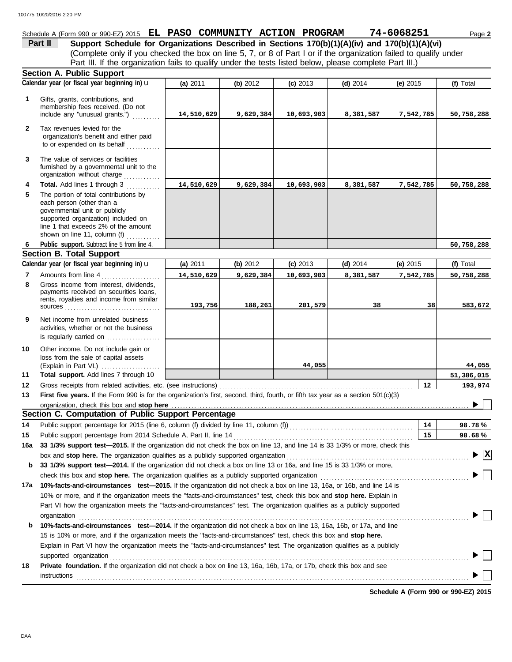### Schedule A (Form 990 or 990-EZ) 2015 **EL PASO COMMUNITY ACTION PROGRAM 74-6068251** Page 2

(Complete only if you checked the box on line 5, 7, or 8 of Part I or if the organization failed to qualify under **Part II** Support Schedule for Organizations Described in Sections 170(b)(1)(A)(iv) and 170(b)(1)(A)(vi) Part III. If the organization fails to qualify under the tests listed below, please complete Part III.)

|              | <b>Section A. Public Support</b>                                                                                                                                                                                                                   |            |           |            |            |            |                                             |  |  |  |  |
|--------------|----------------------------------------------------------------------------------------------------------------------------------------------------------------------------------------------------------------------------------------------------|------------|-----------|------------|------------|------------|---------------------------------------------|--|--|--|--|
|              | Calendar year (or fiscal year beginning in) u                                                                                                                                                                                                      | (a) 2011   | (b) 2012  | $(c)$ 2013 | $(d)$ 2014 | $(e)$ 2015 | (f) Total                                   |  |  |  |  |
| 1            | Gifts, grants, contributions, and<br>membership fees received. (Do not<br>include any "unusual grants.")                                                                                                                                           | 14,510,629 | 9,629,384 | 10,693,903 | 8,381,587  | 7,542,785  | 50,758,288                                  |  |  |  |  |
| $\mathbf{2}$ | Tax revenues levied for the<br>organization's benefit and either paid<br>to or expended on its behalf                                                                                                                                              |            |           |            |            |            |                                             |  |  |  |  |
| 3            | The value of services or facilities<br>furnished by a governmental unit to the<br>organization without charge                                                                                                                                      |            |           |            |            |            |                                             |  |  |  |  |
| 4<br>5       | Total. Add lines 1 through 3<br>The portion of total contributions by<br>each person (other than a<br>governmental unit or publicly<br>supported organization) included on<br>line 1 that exceeds 2% of the amount<br>shown on line 11, column (f) | 14,510,629 | 9,629,384 | 10,693,903 | 8,381,587  | 7,542,785  | 50,758,288                                  |  |  |  |  |
| 6            | Public support. Subtract line 5 from line 4.                                                                                                                                                                                                       |            |           |            |            |            | 50,758,288                                  |  |  |  |  |
|              | <b>Section B. Total Support</b>                                                                                                                                                                                                                    |            |           |            |            |            |                                             |  |  |  |  |
|              | Calendar year (or fiscal year beginning in) u                                                                                                                                                                                                      | (a) 2011   | (b) 2012  | $(c)$ 2013 | $(d)$ 2014 | (e) $2015$ | (f) Total                                   |  |  |  |  |
| 7            | Amounts from line 4                                                                                                                                                                                                                                | 14,510,629 | 9,629,384 | 10,693,903 | 8,381,587  | 7,542,785  | 50,758,288                                  |  |  |  |  |
| 8            | Gross income from interest, dividends,<br>payments received on securities loans,<br>rents, royalties and income from similar<br>sources                                                                                                            | 193,756    | 188,261   | 201,579    | 38         | 38         | 583,672                                     |  |  |  |  |
| 9            | Net income from unrelated business<br>activities, whether or not the business<br>is regularly carried on $\ldots$ , $\ldots$                                                                                                                       |            |           |            |            |            |                                             |  |  |  |  |
| 10           | Other income. Do not include gain or<br>loss from the sale of capital assets<br>(Explain in Part VI.)                                                                                                                                              |            |           | 44,055     |            |            | 44,055                                      |  |  |  |  |
| 11           | Total support. Add lines 7 through 10                                                                                                                                                                                                              |            |           |            |            |            | 51,386,015                                  |  |  |  |  |
| 12           | Gross receipts from related activities, etc. (see instructions)                                                                                                                                                                                    |            |           |            |            | 12         | 193,974                                     |  |  |  |  |
| 13           | First five years. If the Form 990 is for the organization's first, second, third, fourth, or fifth tax year as a section 501(c)(3)                                                                                                                 |            |           |            |            |            |                                             |  |  |  |  |
|              | organization, check this box and stop here                                                                                                                                                                                                         |            |           |            |            |            |                                             |  |  |  |  |
|              | Section C. Computation of Public Support Percentage                                                                                                                                                                                                |            |           |            |            |            |                                             |  |  |  |  |
| 14           | Public support percentage for 2015 (line 6, column (f) divided by line 11, column (f)) [[[[[[[[[[[[[[[[[[[[[[                                                                                                                                      |            |           |            |            | 14         | 98.78%                                      |  |  |  |  |
| 15           | Public support percentage from 2014 Schedule A, Part II, line 14                                                                                                                                                                                   |            |           |            |            | 15         | 98.68%                                      |  |  |  |  |
| 16a          | Public support percentage from 2014 Schedule A, Part II, line 14<br>33 1/3% support test—2015. If the organization did not check the box on line 13, and line 14 is 33 1/3% or more, check this                                                    |            |           |            |            |            |                                             |  |  |  |  |
|              | box and stop here. The organization qualifies as a publicly supported organization                                                                                                                                                                 |            |           |            |            |            | $\blacktriangleright \overline{\mathbf{X}}$ |  |  |  |  |
|              | b 33 1/3% support test-2014. If the organization did not check a box on line 13 or 16a, and line 15 is 33 1/3% or more,                                                                                                                            |            |           |            |            |            |                                             |  |  |  |  |
|              | check this box and stop here. The organization qualifies as a publicly supported organization                                                                                                                                                      |            |           |            |            |            |                                             |  |  |  |  |
| 17а          | 10%-facts-and-circumstances test-2015. If the organization did not check a box on line 13, 16a, or 16b, and line 14 is                                                                                                                             |            |           |            |            |            |                                             |  |  |  |  |
|              | 10% or more, and if the organization meets the "facts-and-circumstances" test, check this box and stop here. Explain in                                                                                                                            |            |           |            |            |            |                                             |  |  |  |  |
|              | Part VI how the organization meets the "facts-and-circumstances" test. The organization qualifies as a publicly supported                                                                                                                          |            |           |            |            |            |                                             |  |  |  |  |
|              | organization                                                                                                                                                                                                                                       |            |           |            |            |            |                                             |  |  |  |  |
| b            | 10%-facts-and-circumstances test-2014. If the organization did not check a box on line 13, 16a, 16b, or 17a, and line                                                                                                                              |            |           |            |            |            |                                             |  |  |  |  |
|              | 15 is 10% or more, and if the organization meets the "facts-and-circumstances" test, check this box and stop here.                                                                                                                                 |            |           |            |            |            |                                             |  |  |  |  |
|              | Explain in Part VI how the organization meets the "facts-and-circumstances" test. The organization qualifies as a publicly                                                                                                                         |            |           |            |            |            |                                             |  |  |  |  |
|              | supported organization                                                                                                                                                                                                                             |            |           |            |            |            |                                             |  |  |  |  |
| 18           | Private foundation. If the organization did not check a box on line 13, 16a, 16b, 17a, or 17b, check this box and see                                                                                                                              |            |           |            |            |            |                                             |  |  |  |  |
|              | instructions                                                                                                                                                                                                                                       |            |           |            |            |            |                                             |  |  |  |  |
|              |                                                                                                                                                                                                                                                    |            |           |            |            |            |                                             |  |  |  |  |

**Schedule A (Form 990 or 990-EZ) 2015**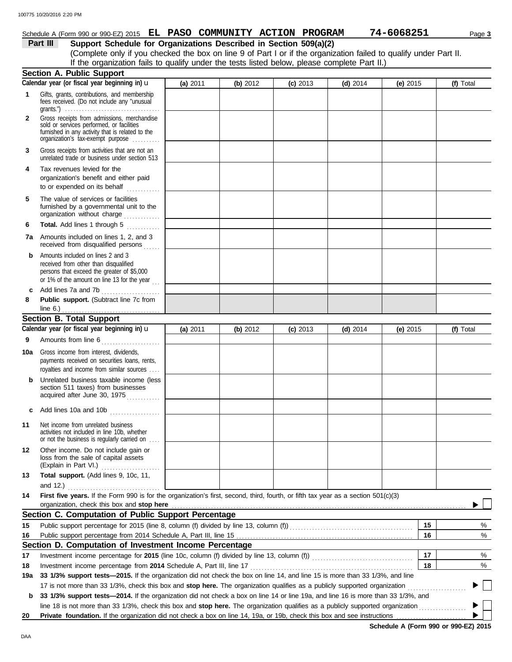### Schedule A (Form 990 or 990-EZ) 2015 **EL PASO COMMUNITY ACTION PROGRAM 74-6068251** Page 3

**Part III Support Schedule for Organizations Described in Section 509(a)(2)**

(Complete only if you checked the box on line 9 of Part I or if the organization failed to qualify under Part II. If the organization fails to qualify under the tests listed below, please complete Part II.)

|              | <b>Section A. Public Support</b>                                                                                                                                                                                                                                                                                                                                     |          |          |            |            |            |           |
|--------------|----------------------------------------------------------------------------------------------------------------------------------------------------------------------------------------------------------------------------------------------------------------------------------------------------------------------------------------------------------------------|----------|----------|------------|------------|------------|-----------|
|              | Calendar year (or fiscal year beginning in) u                                                                                                                                                                                                                                                                                                                        | (a) 2011 | (b) 2012 | $(c)$ 2013 | (d) $2014$ | (e) $2015$ | (f) Total |
| 1            | Gifts, grants, contributions, and membership<br>fees received. (Do not include any "unusual<br>grants.") $\ldots \ldots \ldots \ldots \ldots \ldots \ldots \ldots \ldots \ldots \ldots \ldots$                                                                                                                                                                       |          |          |            |            |            |           |
| $\mathbf{2}$ | Gross receipts from admissions, merchandise<br>sold or services performed, or facilities<br>furnished in any activity that is related to the<br>organization's tax-exempt purpose                                                                                                                                                                                    |          |          |            |            |            |           |
| 3            | Gross receipts from activities that are not an<br>unrelated trade or business under section 513                                                                                                                                                                                                                                                                      |          |          |            |            |            |           |
| 4            | Tax revenues levied for the<br>organization's benefit and either paid<br>to or expended on its behalf                                                                                                                                                                                                                                                                |          |          |            |            |            |           |
| 5            | The value of services or facilities<br>furnished by a governmental unit to the<br>organization without charge                                                                                                                                                                                                                                                        |          |          |            |            |            |           |
| 6            | Total. Add lines 1 through 5<br>.                                                                                                                                                                                                                                                                                                                                    |          |          |            |            |            |           |
| 7а           | Amounts included on lines 1, 2, and 3<br>received from disqualified persons                                                                                                                                                                                                                                                                                          |          |          |            |            |            |           |
| b            | Amounts included on lines 2 and 3<br>received from other than disqualified<br>persons that exceed the greater of \$5,000<br>or 1% of the amount on line 13 for the year $\ldots$                                                                                                                                                                                     |          |          |            |            |            |           |
|              | c Add lines 7a and 7b                                                                                                                                                                                                                                                                                                                                                |          |          |            |            |            |           |
| 8            | Public support. (Subtract line 7c from                                                                                                                                                                                                                                                                                                                               |          |          |            |            |            |           |
|              | <b>Section B. Total Support</b>                                                                                                                                                                                                                                                                                                                                      |          |          |            |            |            |           |
|              | Calendar year (or fiscal year beginning in) $\mathbf u$                                                                                                                                                                                                                                                                                                              | (a) 2011 | (b) 2012 | $(c)$ 2013 | $(d)$ 2014 | $(e)$ 2015 | (f) Total |
| 9            | Amounts from line 6                                                                                                                                                                                                                                                                                                                                                  |          |          |            |            |            |           |
| 10a          | Gross income from interest, dividends,<br>payments received on securities loans, rents,<br>royalties and income from similar sources                                                                                                                                                                                                                                 |          |          |            |            |            |           |
| b            | Unrelated business taxable income (less<br>section 511 taxes) from businesses<br>acquired after June 30, 1975                                                                                                                                                                                                                                                        |          |          |            |            |            |           |
|              | c Add lines 10a and 10b                                                                                                                                                                                                                                                                                                                                              |          |          |            |            |            |           |
| 11           | Net income from unrelated business<br>activities not included in line 10b, whether<br>or not the business is regularly carried on                                                                                                                                                                                                                                    |          |          |            |            |            |           |
| 12           | Other income. Do not include gain or<br>loss from the sale of capital assets<br>(Explain in Part VI.)<br>.                                                                                                                                                                                                                                                           |          |          |            |            |            |           |
| 13           | Total support. (Add lines 9, 10c, 11,<br>and 12.) $\ldots$                                                                                                                                                                                                                                                                                                           |          |          |            |            |            |           |
| 14           | First five years. If the Form 990 is for the organization's first, second, third, fourth, or fifth tax year as a section 501(c)(3)<br>organization, check this box and stop here manufactured and stop here contained and stop here are all the contained and stop here are all the contained and stop here are all the contained and stop here are all the containe |          |          |            |            |            |           |
|              | Section C. Computation of Public Support Percentage                                                                                                                                                                                                                                                                                                                  |          |          |            |            |            |           |
| 15           | Public support percentage for 2015 (line 8, column (f) divided by line 13, column (f)) [[[[[[[[[[[[[[[[[[[[[[                                                                                                                                                                                                                                                        |          |          |            |            | 15         | %         |
| 16           |                                                                                                                                                                                                                                                                                                                                                                      |          |          |            |            | 16         | %         |
|              | Section D. Computation of Investment Income Percentage                                                                                                                                                                                                                                                                                                               |          |          |            |            |            |           |
| 17           | Investment income percentage for 2015 (line 10c, column (f) divided by line 13, column (f)) [[[[[[[[[[[[[[[[[[                                                                                                                                                                                                                                                       |          |          |            |            | 17         | %         |
| 18           | Investment income percentage from 2014 Schedule A, Part III, line 17                                                                                                                                                                                                                                                                                                 |          |          |            |            | 18         | %         |
| 19a          | 33 1/3% support tests-2015. If the organization did not check the box on line 14, and line 15 is more than 33 1/3%, and line                                                                                                                                                                                                                                         |          |          |            |            |            |           |
|              | 17 is not more than 33 1/3%, check this box and stop here. The organization qualifies as a publicly supported organization                                                                                                                                                                                                                                           |          |          |            |            |            |           |
| b            | 33 1/3% support tests-2014. If the organization did not check a box on line 14 or line 19a, and line 16 is more than 33 1/3%, and                                                                                                                                                                                                                                    |          |          |            |            |            |           |
|              | line 18 is not more than 33 1/3%, check this box and stop here. The organization qualifies as a publicly supported organization                                                                                                                                                                                                                                      |          |          |            |            |            |           |
| 20           | Private foundation. If the organization did not check a box on line 14, 19a, or 19b, check this box and see instructions                                                                                                                                                                                                                                             |          |          |            |            |            |           |

**Schedule A (Form 990 or 990-EZ) 2015**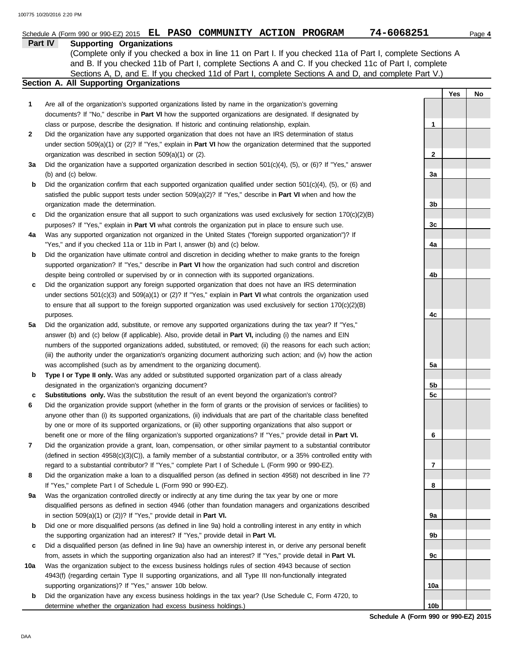|     | Schedule A (Form 990 or 990-EZ) 2015 EL PASO COMMUNITY ACTION PROGRAM                                                      | 74-6068251      |     | Page 4 |
|-----|----------------------------------------------------------------------------------------------------------------------------|-----------------|-----|--------|
|     | Part IV<br><b>Supporting Organizations</b>                                                                                 |                 |     |        |
|     | (Complete only if you checked a box in line 11 on Part I. If you checked 11a of Part I, complete Sections A                |                 |     |        |
|     | and B. If you checked 11b of Part I, complete Sections A and C. If you checked 11c of Part I, complete                     |                 |     |        |
|     | Sections A, D, and E. If you checked 11d of Part I, complete Sections A and D, and complete Part V.)                       |                 |     |        |
|     | Section A. All Supporting Organizations                                                                                    |                 |     |        |
|     |                                                                                                                            |                 |     |        |
|     |                                                                                                                            |                 | Yes | No     |
| 1   | Are all of the organization's supported organizations listed by name in the organization's governing                       |                 |     |        |
|     | documents? If "No," describe in Part VI how the supported organizations are designated. If designated by                   |                 |     |        |
|     | class or purpose, describe the designation. If historic and continuing relationship, explain.                              | 1               |     |        |
| 2   | Did the organization have any supported organization that does not have an IRS determination of status                     |                 |     |        |
|     | under section $509(a)(1)$ or (2)? If "Yes," explain in <b>Part VI</b> how the organization determined that the supported   |                 |     |        |
|     | organization was described in section 509(a)(1) or (2).                                                                    | 2               |     |        |
| За  | Did the organization have a supported organization described in section $501(c)(4)$ , (5), or (6)? If "Yes," answer        |                 |     |        |
|     | (b) and (c) below.                                                                                                         | 3a              |     |        |
| b   | Did the organization confirm that each supported organization qualified under section $501(c)(4)$ , $(5)$ , or $(6)$ and   |                 |     |        |
|     | satisfied the public support tests under section $509(a)(2)$ ? If "Yes," describe in <b>Part VI</b> when and how the       |                 |     |        |
|     | organization made the determination.                                                                                       | 3b              |     |        |
| c   | Did the organization ensure that all support to such organizations was used exclusively for section $170(c)(2)(B)$         |                 |     |        |
|     |                                                                                                                            | 3c              |     |        |
|     | purposes? If "Yes," explain in Part VI what controls the organization put in place to ensure such use.                     |                 |     |        |
| 4a  | Was any supported organization not organized in the United States ("foreign supported organization")? If                   |                 |     |        |
|     | "Yes," and if you checked 11a or 11b in Part I, answer (b) and (c) below.                                                  | 4a              |     |        |
| b   | Did the organization have ultimate control and discretion in deciding whether to make grants to the foreign                |                 |     |        |
|     | supported organization? If "Yes," describe in Part VI how the organization had such control and discretion                 |                 |     |        |
|     | despite being controlled or supervised by or in connection with its supported organizations.                               | 4b              |     |        |
| c   | Did the organization support any foreign supported organization that does not have an IRS determination                    |                 |     |        |
|     | under sections $501(c)(3)$ and $509(a)(1)$ or (2)? If "Yes," explain in <b>Part VI</b> what controls the organization used |                 |     |        |
|     | to ensure that all support to the foreign supported organization was used exclusively for section $170(c)(2)(B)$           |                 |     |        |
|     | purposes.                                                                                                                  | 4c              |     |        |
| 5a  | Did the organization add, substitute, or remove any supported organizations during the tax year? If "Yes,"                 |                 |     |        |
|     | answer (b) and (c) below (if applicable). Also, provide detail in Part VI, including (i) the names and EIN                 |                 |     |        |
|     | numbers of the supported organizations added, substituted, or removed; (ii) the reasons for each such action;              |                 |     |        |
|     | (iii) the authority under the organization's organizing document authorizing such action; and (iv) how the action          |                 |     |        |
|     | was accomplished (such as by amendment to the organizing document).                                                        | 5a              |     |        |
| b   | Type I or Type II only. Was any added or substituted supported organization part of a class already                        |                 |     |        |
|     | designated in the organization's organizing document?                                                                      | 5b              |     |        |
|     |                                                                                                                            |                 |     |        |
| с   | Substitutions only. Was the substitution the result of an event beyond the organization's control?                         | 5c              |     |        |
| 6   | Did the organization provide support (whether in the form of grants or the provision of services or facilities) to         |                 |     |        |
|     | anyone other than (i) its supported organizations, (ii) individuals that are part of the charitable class benefited        |                 |     |        |
|     | by one or more of its supported organizations, or (iii) other supporting organizations that also support or                |                 |     |        |
|     | benefit one or more of the filing organization's supported organizations? If "Yes," provide detail in Part VI.             | 6               |     |        |
| 7   | Did the organization provide a grant, loan, compensation, or other similar payment to a substantial contributor            |                 |     |        |
|     | (defined in section 4958(c)(3)(C)), a family member of a substantial contributor, or a 35% controlled entity with          |                 |     |        |
|     | regard to a substantial contributor? If "Yes," complete Part I of Schedule L (Form 990 or 990-EZ).                         | 7               |     |        |
| 8   | Did the organization make a loan to a disqualified person (as defined in section 4958) not described in line 7?            |                 |     |        |
|     | If "Yes," complete Part I of Schedule L (Form 990 or 990-EZ).                                                              | 8               |     |        |
| 9а  | Was the organization controlled directly or indirectly at any time during the tax year by one or more                      |                 |     |        |
|     | disqualified persons as defined in section 4946 (other than foundation managers and organizations described                |                 |     |        |
|     | in section $509(a)(1)$ or $(2)$ ? If "Yes," provide detail in Part VI.                                                     | 9а              |     |        |
| b   | Did one or more disqualified persons (as defined in line 9a) hold a controlling interest in any entity in which            |                 |     |        |
|     | the supporting organization had an interest? If "Yes," provide detail in Part VI.                                          | 9b              |     |        |
| c   | Did a disqualified person (as defined in line 9a) have an ownership interest in, or derive any personal benefit            |                 |     |        |
|     | from, assets in which the supporting organization also had an interest? If "Yes," provide detail in Part VI.               | 9с              |     |        |
| 10a | Was the organization subject to the excess business holdings rules of section 4943 because of section                      |                 |     |        |
|     | 4943(f) (regarding certain Type II supporting organizations, and all Type III non-functionally integrated                  |                 |     |        |
|     |                                                                                                                            |                 |     |        |
|     | supporting organizations)? If "Yes," answer 10b below.                                                                     | 10a             |     |        |
| b   | Did the organization have any excess business holdings in the tax year? (Use Schedule C, Form 4720, to                     |                 |     |        |
|     | determine whether the organization had excess business holdings.)                                                          | 10 <sub>b</sub> |     |        |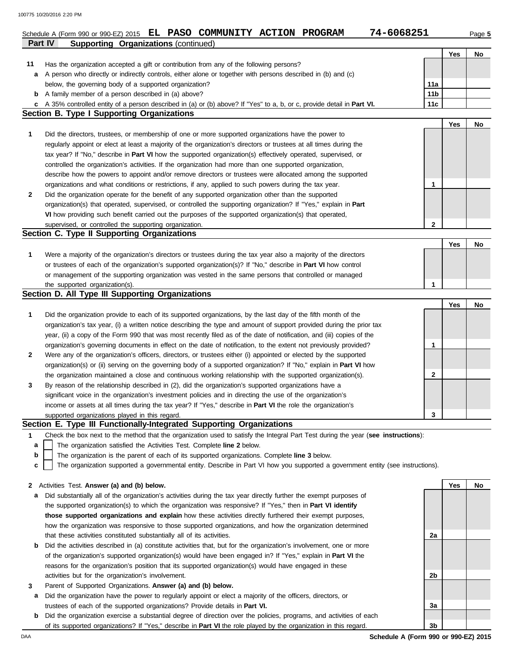|    | 74-6068251<br>Schedule A (Form 990 or 990-EZ) 2015 EL PASO COMMUNITY ACTION PROGRAM                                                                                          |                 |     | Page 5 |  |  |  |  |  |  |  |  |  |
|----|------------------------------------------------------------------------------------------------------------------------------------------------------------------------------|-----------------|-----|--------|--|--|--|--|--|--|--|--|--|
|    | Part IV<br><b>Supporting Organizations (continued)</b>                                                                                                                       |                 |     |        |  |  |  |  |  |  |  |  |  |
|    |                                                                                                                                                                              |                 | Yes | No     |  |  |  |  |  |  |  |  |  |
| 11 | Has the organization accepted a gift or contribution from any of the following persons?                                                                                      |                 |     |        |  |  |  |  |  |  |  |  |  |
| а  | A person who directly or indirectly controls, either alone or together with persons described in (b) and (c)<br>below, the governing body of a supported organization?       | 11a             |     |        |  |  |  |  |  |  |  |  |  |
|    |                                                                                                                                                                              | 11 <sub>b</sub> |     |        |  |  |  |  |  |  |  |  |  |
|    | <b>b</b> A family member of a person described in (a) above?                                                                                                                 |                 |     |        |  |  |  |  |  |  |  |  |  |
|    | 11c<br>c A 35% controlled entity of a person described in (a) or (b) above? If "Yes" to a, b, or c, provide detail in Part VI.<br>Section B. Type I Supporting Organizations |                 |     |        |  |  |  |  |  |  |  |  |  |
|    |                                                                                                                                                                              |                 | Yes | No     |  |  |  |  |  |  |  |  |  |
| 1  | Did the directors, trustees, or membership of one or more supported organizations have the power to                                                                          |                 |     |        |  |  |  |  |  |  |  |  |  |
|    | regularly appoint or elect at least a majority of the organization's directors or trustees at all times during the                                                           |                 |     |        |  |  |  |  |  |  |  |  |  |
|    | tax year? If "No," describe in Part VI how the supported organization(s) effectively operated, supervised, or                                                                |                 |     |        |  |  |  |  |  |  |  |  |  |
|    | controlled the organization's activities. If the organization had more than one supported organization,                                                                      |                 |     |        |  |  |  |  |  |  |  |  |  |
|    | describe how the powers to appoint and/or remove directors or trustees were allocated among the supported                                                                    |                 |     |        |  |  |  |  |  |  |  |  |  |
|    | organizations and what conditions or restrictions, if any, applied to such powers during the tax year.                                                                       | 1               |     |        |  |  |  |  |  |  |  |  |  |
| 2  | Did the organization operate for the benefit of any supported organization other than the supported                                                                          |                 |     |        |  |  |  |  |  |  |  |  |  |
|    | organization(s) that operated, supervised, or controlled the supporting organization? If "Yes," explain in Part                                                              |                 |     |        |  |  |  |  |  |  |  |  |  |
|    | VI how providing such benefit carried out the purposes of the supported organization(s) that operated,                                                                       |                 |     |        |  |  |  |  |  |  |  |  |  |
|    | supervised, or controlled the supporting organization.                                                                                                                       | $\mathbf{2}$    |     |        |  |  |  |  |  |  |  |  |  |
|    | Section C. Type II Supporting Organizations                                                                                                                                  |                 |     |        |  |  |  |  |  |  |  |  |  |
|    |                                                                                                                                                                              |                 | Yes | No     |  |  |  |  |  |  |  |  |  |
| 1  | Were a majority of the organization's directors or trustees during the tax year also a majority of the directors                                                             |                 |     |        |  |  |  |  |  |  |  |  |  |
|    | or trustees of each of the organization's supported organization(s)? If "No," describe in Part VI how control                                                                |                 |     |        |  |  |  |  |  |  |  |  |  |
|    | or management of the supporting organization was vested in the same persons that controlled or managed<br>the supported organization(s).                                     | 1               |     |        |  |  |  |  |  |  |  |  |  |
|    | Section D. All Type III Supporting Organizations                                                                                                                             |                 |     |        |  |  |  |  |  |  |  |  |  |
|    |                                                                                                                                                                              |                 | Yes | No     |  |  |  |  |  |  |  |  |  |
| 1  | Did the organization provide to each of its supported organizations, by the last day of the fifth month of the                                                               |                 |     |        |  |  |  |  |  |  |  |  |  |
|    | organization's tax year, (i) a written notice describing the type and amount of support provided during the prior tax                                                        |                 |     |        |  |  |  |  |  |  |  |  |  |
|    | year, (ii) a copy of the Form 990 that was most recently filed as of the date of notification, and (iii) copies of the                                                       |                 |     |        |  |  |  |  |  |  |  |  |  |
|    | organization's governing documents in effect on the date of notification, to the extent not previously provided?                                                             | 1               |     |        |  |  |  |  |  |  |  |  |  |
| 2  | Were any of the organization's officers, directors, or trustees either (i) appointed or elected by the supported                                                             |                 |     |        |  |  |  |  |  |  |  |  |  |
|    | organization(s) or (ii) serving on the governing body of a supported organization? If "No," explain in Part VI how                                                           |                 |     |        |  |  |  |  |  |  |  |  |  |
|    | the organization maintained a close and continuous working relationship with the supported organization(s).                                                                  | 2               |     |        |  |  |  |  |  |  |  |  |  |
| 3  | By reason of the relationship described in (2), did the organization's supported organizations have a                                                                        |                 |     |        |  |  |  |  |  |  |  |  |  |
|    | significant voice in the organization's investment policies and in directing the use of the organization's                                                                   |                 |     |        |  |  |  |  |  |  |  |  |  |
|    | income or assets at all times during the tax year? If "Yes," describe in Part VI the role the organization's                                                                 |                 |     |        |  |  |  |  |  |  |  |  |  |
|    | supported organizations played in this regard.                                                                                                                               | 3               |     |        |  |  |  |  |  |  |  |  |  |
|    | Section E. Type III Functionally-Integrated Supporting Organizations                                                                                                         |                 |     |        |  |  |  |  |  |  |  |  |  |
| 1  | Check the box next to the method that the organization used to satisfy the Integral Part Test during the year (see instructions):                                            |                 |     |        |  |  |  |  |  |  |  |  |  |
| a  | The organization satisfied the Activities Test. Complete line 2 below.                                                                                                       |                 |     |        |  |  |  |  |  |  |  |  |  |
| b  | The organization is the parent of each of its supported organizations. Complete line 3 below.                                                                                |                 |     |        |  |  |  |  |  |  |  |  |  |
| с  | The organization supported a governmental entity. Describe in Part VI how you supported a government entity (see instructions).                                              |                 |     |        |  |  |  |  |  |  |  |  |  |
|    | 2 Activities Test. Answer (a) and (b) below.                                                                                                                                 |                 | Yes | No     |  |  |  |  |  |  |  |  |  |
| а  | Did substantially all of the organization's activities during the tax year directly further the exempt purposes of                                                           |                 |     |        |  |  |  |  |  |  |  |  |  |
|    | the supported organization(s) to which the organization was responsive? If "Yes," then in Part VI identify                                                                   |                 |     |        |  |  |  |  |  |  |  |  |  |
|    | those supported organizations and explain how these activities directly furthered their exempt purposes,                                                                     |                 |     |        |  |  |  |  |  |  |  |  |  |
|    | how the organization was responsive to those supported organizations, and how the organization determined                                                                    |                 |     |        |  |  |  |  |  |  |  |  |  |
|    | that these activities constituted substantially all of its activities.                                                                                                       | 2a              |     |        |  |  |  |  |  |  |  |  |  |
| b  | Did the activities described in (a) constitute activities that, but for the organization's involvement, one or more                                                          |                 |     |        |  |  |  |  |  |  |  |  |  |
|    | of the organization's supported organization(s) would have been engaged in? If "Yes," explain in Part VI the                                                                 |                 |     |        |  |  |  |  |  |  |  |  |  |
|    | reasons for the organization's position that its supported organization(s) would have engaged in these                                                                       |                 |     |        |  |  |  |  |  |  |  |  |  |
|    | activities but for the organization's involvement.                                                                                                                           | 2b              |     |        |  |  |  |  |  |  |  |  |  |
| 3  | Parent of Supported Organizations. Answer (a) and (b) below.                                                                                                                 |                 |     |        |  |  |  |  |  |  |  |  |  |
| а  | Did the organization have the power to regularly appoint or elect a majority of the officers, directors, or                                                                  |                 |     |        |  |  |  |  |  |  |  |  |  |
|    | trustees of each of the supported organizations? Provide details in Part VI.                                                                                                 | За              |     |        |  |  |  |  |  |  |  |  |  |
| b  | Did the organization exercise a substantial degree of direction over the policies, programs, and activities of each                                                          |                 |     |        |  |  |  |  |  |  |  |  |  |
|    | of its supported organizations? If "Yes," describe in Part VI the role played by the organization in this regard.                                                            | 3 <sub>b</sub>  |     |        |  |  |  |  |  |  |  |  |  |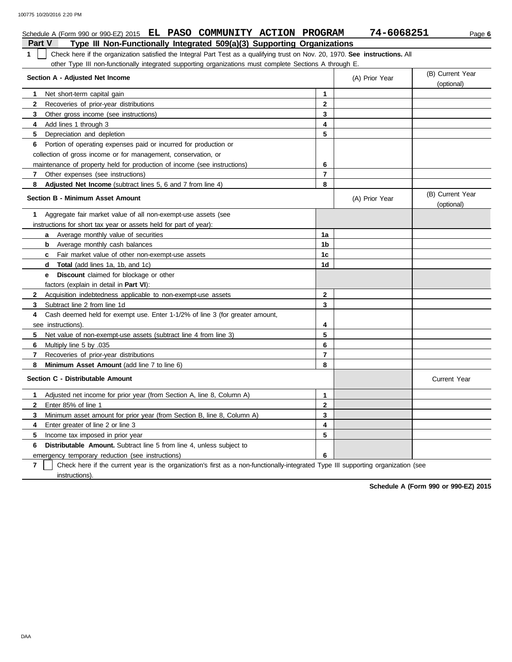| Schedule A (Form 990 or 990-EZ) 2015 EL PASO COMMUNITY ACTION PROGRAM                                                               |                | 74-6068251     | Page 6                         |
|-------------------------------------------------------------------------------------------------------------------------------------|----------------|----------------|--------------------------------|
| <b>Part V</b><br>Type III Non-Functionally Integrated 509(a)(3) Supporting Organizations                                            |                |                |                                |
| Check here if the organization satisfied the Integral Part Test as a qualifying trust on Nov. 20, 1970. See instructions. All<br>1. |                |                |                                |
| other Type III non-functionally integrated supporting organizations must complete Sections A through E.                             |                |                |                                |
| Section A - Adjusted Net Income                                                                                                     |                | (A) Prior Year | (B) Current Year<br>(optional) |
| Net short-term capital gain<br>1                                                                                                    | 1              |                |                                |
| $\mathbf{2}$<br>Recoveries of prior-year distributions                                                                              | $\mathbf{2}$   |                |                                |
| 3<br>Other gross income (see instructions)                                                                                          | 3              |                |                                |
| 4<br>Add lines 1 through 3                                                                                                          | 4              |                |                                |
| 5<br>Depreciation and depletion                                                                                                     | 5              |                |                                |
| Portion of operating expenses paid or incurred for production or<br>6                                                               |                |                |                                |
| collection of gross income or for management, conservation, or                                                                      |                |                |                                |
| maintenance of property held for production of income (see instructions)                                                            | 6              |                |                                |
| 7<br>Other expenses (see instructions)                                                                                              | 7              |                |                                |
| Adjusted Net Income (subtract lines 5, 6 and 7 from line 4)<br>8                                                                    | 8              |                |                                |
| <b>Section B - Minimum Asset Amount</b>                                                                                             |                | (A) Prior Year | (B) Current Year<br>(optional) |
| Aggregate fair market value of all non-exempt-use assets (see<br>1                                                                  |                |                |                                |
| instructions for short tax year or assets held for part of year):                                                                   |                |                |                                |
| <b>a</b> Average monthly value of securities                                                                                        | 1a             |                |                                |
| Average monthly cash balances<br>b                                                                                                  | 1b             |                |                                |
| c Fair market value of other non-exempt-use assets                                                                                  | 1c             |                |                                |
| <b>d</b> Total (add lines 1a, 1b, and 1c)                                                                                           | 1d             |                |                                |
| <b>Discount</b> claimed for blockage or other<br>e                                                                                  |                |                |                                |
| factors (explain in detail in Part VI):                                                                                             |                |                |                                |
| Acquisition indebtedness applicable to non-exempt-use assets<br>$\mathbf{2}$                                                        | $\mathbf{2}$   |                |                                |
| 3<br>Subtract line 2 from line 1d                                                                                                   | 3              |                |                                |
| Cash deemed held for exempt use. Enter 1-1/2% of line 3 (for greater amount,<br>4                                                   |                |                |                                |
| see instructions).                                                                                                                  | 4              |                |                                |
| 5<br>Net value of non-exempt-use assets (subtract line 4 from line 3)                                                               | 5              |                |                                |
| 6<br>Multiply line 5 by .035                                                                                                        | 6              |                |                                |
| 7<br>Recoveries of prior-year distributions                                                                                         | $\overline{7}$ |                |                                |
| 8<br>Minimum Asset Amount (add line 7 to line 6)                                                                                    | 8              |                |                                |
| Section C - Distributable Amount                                                                                                    |                |                | <b>Current Year</b>            |
| Adjusted net income for prior year (from Section A, line 8, Column A)<br>1.                                                         | 1              |                |                                |
| Enter 85% of line 1<br>$\mathbf{2}$                                                                                                 | $\mathbf{2}$   |                |                                |
| Minimum asset amount for prior year (from Section B, line 8, Column A)<br>3                                                         | 3              |                |                                |
| 4<br>Enter greater of line 2 or line 3                                                                                              | 4              |                |                                |
| 5<br>Income tax imposed in prior year                                                                                               | 5              |                |                                |
| <b>Distributable Amount.</b> Subtract line 5 from line 4, unless subject to<br>6                                                    |                |                |                                |
| emergency temporary reduction (see instructions)                                                                                    | 6              |                |                                |

**7** instructions). Check here if the current year is the organization's first as a non-functionally-integrated Type III supporting organization (see

**Schedule A (Form 990 or 990-EZ) 2015**

DAA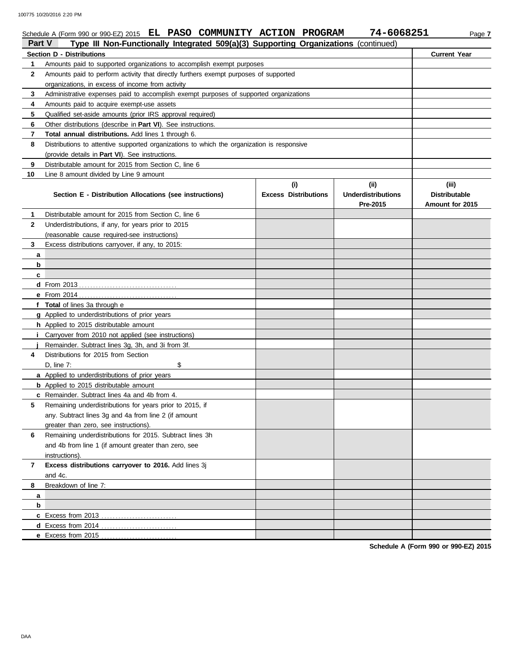|              | Schedule A (Form 990 or 990-EZ) 2015 EL PASO COMMUNITY ACTION PROGRAM                                              |                             | 74-6068251                | Page 7               |
|--------------|--------------------------------------------------------------------------------------------------------------------|-----------------------------|---------------------------|----------------------|
| Part V       | Type III Non-Functionally Integrated 509(a)(3) Supporting Organizations (continued)                                |                             |                           |                      |
|              | <b>Section D - Distributions</b>                                                                                   |                             |                           | <b>Current Year</b>  |
| 1            | Amounts paid to supported organizations to accomplish exempt purposes                                              |                             |                           |                      |
| $\mathbf{2}$ | Amounts paid to perform activity that directly furthers exempt purposes of supported                               |                             |                           |                      |
|              | organizations, in excess of income from activity                                                                   |                             |                           |                      |
| 3<br>4       | Administrative expenses paid to accomplish exempt purposes of supported organizations                              |                             |                           |                      |
| 5            | Amounts paid to acquire exempt-use assets                                                                          |                             |                           |                      |
| 6            | Qualified set-aside amounts (prior IRS approval required)                                                          |                             |                           |                      |
| 7            | Other distributions (describe in Part VI). See instructions.<br>Total annual distributions. Add lines 1 through 6. |                             |                           |                      |
| 8            | Distributions to attentive supported organizations to which the organization is responsive                         |                             |                           |                      |
|              | (provide details in Part VI). See instructions.                                                                    |                             |                           |                      |
| 9            | Distributable amount for 2015 from Section C, line 6                                                               |                             |                           |                      |
| 10           | Line 8 amount divided by Line 9 amount                                                                             |                             |                           |                      |
|              |                                                                                                                    | (i)                         | (ii)                      | (iii)                |
|              | Section E - Distribution Allocations (see instructions)                                                            | <b>Excess Distributions</b> | <b>Underdistributions</b> | <b>Distributable</b> |
|              |                                                                                                                    |                             | Pre-2015                  | Amount for 2015      |
| 1            | Distributable amount for 2015 from Section C, line 6                                                               |                             |                           |                      |
| $\mathbf{2}$ | Underdistributions, if any, for years prior to 2015                                                                |                             |                           |                      |
|              | (reasonable cause required-see instructions)                                                                       |                             |                           |                      |
| 3            | Excess distributions carryover, if any, to 2015:                                                                   |                             |                           |                      |
| а            |                                                                                                                    |                             |                           |                      |
| b            |                                                                                                                    |                             |                           |                      |
| c            |                                                                                                                    |                             |                           |                      |
|              |                                                                                                                    |                             |                           |                      |
|              |                                                                                                                    |                             |                           |                      |
|              | f Total of lines 3a through e                                                                                      |                             |                           |                      |
|              | g Applied to underdistributions of prior years                                                                     |                             |                           |                      |
|              | h Applied to 2015 distributable amount                                                                             |                             |                           |                      |
|              | <i>i</i> Carryover from 2010 not applied (see instructions)                                                        |                             |                           |                      |
|              | Remainder. Subtract lines 3g, 3h, and 3i from 3f.                                                                  |                             |                           |                      |
| 4            | Distributions for 2015 from Section                                                                                |                             |                           |                      |
|              | D, line 7:<br>\$                                                                                                   |                             |                           |                      |
|              | a Applied to underdistributions of prior years                                                                     |                             |                           |                      |
|              | <b>b</b> Applied to 2015 distributable amount                                                                      |                             |                           |                      |
|              | c Remainder. Subtract lines 4a and 4b from 4.                                                                      |                             |                           |                      |
|              | Remaining underdistributions for years prior to 2015, if                                                           |                             |                           |                      |
|              | any. Subtract lines 3g and 4a from line 2 (if amount                                                               |                             |                           |                      |
|              | greater than zero, see instructions).                                                                              |                             |                           |                      |
| 6            | Remaining underdistributions for 2015. Subtract lines 3h                                                           |                             |                           |                      |
|              | and 4b from line 1 (if amount greater than zero, see                                                               |                             |                           |                      |
|              | instructions).                                                                                                     |                             |                           |                      |
| 7            | Excess distributions carryover to 2016. Add lines 3j                                                               |                             |                           |                      |
|              | and 4c.                                                                                                            |                             |                           |                      |
| 8            | Breakdown of line 7:                                                                                               |                             |                           |                      |
| а            |                                                                                                                    |                             |                           |                      |
| b            |                                                                                                                    |                             |                           |                      |
|              | c Excess from 2013                                                                                                 |                             |                           |                      |
|              | d Excess from 2014<br>.                                                                                            |                             |                           |                      |
|              | e Excess from 2015.                                                                                                |                             |                           |                      |

**Schedule A (Form 990 or 990-EZ) 2015**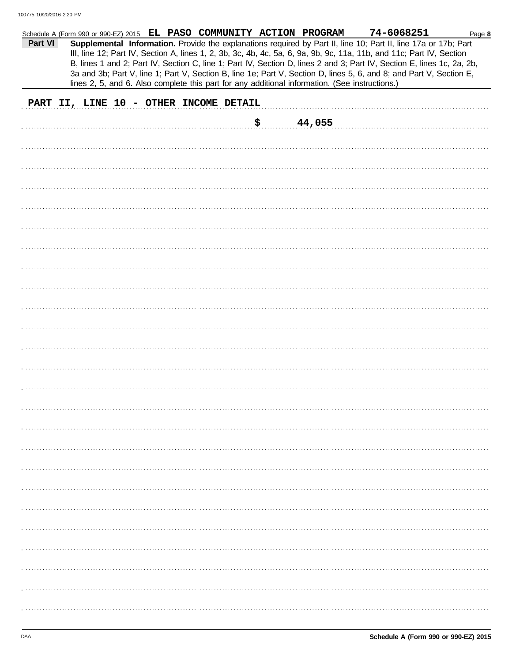| Part VI |                                        |  |  | Schedule A (Form 990 or 990-EZ) 2015 EL PASO COMMUNITY ACTION PROGRAM<br>Supplemental Information. Provide the explanations required by Part II, line 10; Part II, line 17a or 17b; Part<br>III, line 12; Part IV, Section A, lines 1, 2, 3b, 3c, 4b, 4c, 5a, 6, 9a, 9b, 9c, 11a, 11b, and 11c; Part IV, Section<br>B, lines 1 and 2; Part IV, Section C, line 1; Part IV, Section D, lines 2 and 3; Part IV, Section E, lines 1c, 2a, 2b,<br>3a and 3b; Part V, line 1; Part V, Section B, line 1e; Part V, Section D, lines 5, 6, and 8; and Part V, Section E,<br>lines 2, 5, and 6. Also complete this part for any additional information. (See instructions.) | 74-6068251 | Page 8 |
|---------|----------------------------------------|--|--|---------------------------------------------------------------------------------------------------------------------------------------------------------------------------------------------------------------------------------------------------------------------------------------------------------------------------------------------------------------------------------------------------------------------------------------------------------------------------------------------------------------------------------------------------------------------------------------------------------------------------------------------------------------------|------------|--------|
|         | PART II, LINE 10 - OTHER INCOME DETAIL |  |  |                                                                                                                                                                                                                                                                                                                                                                                                                                                                                                                                                                                                                                                                     |            |        |
|         |                                        |  |  | \$<br>44,055                                                                                                                                                                                                                                                                                                                                                                                                                                                                                                                                                                                                                                                        |            |        |
|         |                                        |  |  |                                                                                                                                                                                                                                                                                                                                                                                                                                                                                                                                                                                                                                                                     |            |        |
|         |                                        |  |  |                                                                                                                                                                                                                                                                                                                                                                                                                                                                                                                                                                                                                                                                     |            |        |
|         |                                        |  |  |                                                                                                                                                                                                                                                                                                                                                                                                                                                                                                                                                                                                                                                                     |            |        |
|         |                                        |  |  |                                                                                                                                                                                                                                                                                                                                                                                                                                                                                                                                                                                                                                                                     |            |        |
|         |                                        |  |  |                                                                                                                                                                                                                                                                                                                                                                                                                                                                                                                                                                                                                                                                     |            |        |
|         |                                        |  |  |                                                                                                                                                                                                                                                                                                                                                                                                                                                                                                                                                                                                                                                                     |            |        |
|         |                                        |  |  |                                                                                                                                                                                                                                                                                                                                                                                                                                                                                                                                                                                                                                                                     |            |        |
|         |                                        |  |  |                                                                                                                                                                                                                                                                                                                                                                                                                                                                                                                                                                                                                                                                     |            |        |
|         |                                        |  |  |                                                                                                                                                                                                                                                                                                                                                                                                                                                                                                                                                                                                                                                                     |            |        |
|         |                                        |  |  |                                                                                                                                                                                                                                                                                                                                                                                                                                                                                                                                                                                                                                                                     |            |        |
|         |                                        |  |  |                                                                                                                                                                                                                                                                                                                                                                                                                                                                                                                                                                                                                                                                     |            |        |
|         |                                        |  |  |                                                                                                                                                                                                                                                                                                                                                                                                                                                                                                                                                                                                                                                                     |            |        |
|         |                                        |  |  |                                                                                                                                                                                                                                                                                                                                                                                                                                                                                                                                                                                                                                                                     |            |        |
|         |                                        |  |  |                                                                                                                                                                                                                                                                                                                                                                                                                                                                                                                                                                                                                                                                     |            |        |
|         |                                        |  |  |                                                                                                                                                                                                                                                                                                                                                                                                                                                                                                                                                                                                                                                                     |            |        |
|         |                                        |  |  |                                                                                                                                                                                                                                                                                                                                                                                                                                                                                                                                                                                                                                                                     |            |        |
|         |                                        |  |  |                                                                                                                                                                                                                                                                                                                                                                                                                                                                                                                                                                                                                                                                     |            |        |
|         |                                        |  |  |                                                                                                                                                                                                                                                                                                                                                                                                                                                                                                                                                                                                                                                                     |            |        |
|         |                                        |  |  |                                                                                                                                                                                                                                                                                                                                                                                                                                                                                                                                                                                                                                                                     |            |        |
|         |                                        |  |  |                                                                                                                                                                                                                                                                                                                                                                                                                                                                                                                                                                                                                                                                     |            |        |
|         |                                        |  |  |                                                                                                                                                                                                                                                                                                                                                                                                                                                                                                                                                                                                                                                                     |            |        |
|         |                                        |  |  |                                                                                                                                                                                                                                                                                                                                                                                                                                                                                                                                                                                                                                                                     |            |        |
|         |                                        |  |  |                                                                                                                                                                                                                                                                                                                                                                                                                                                                                                                                                                                                                                                                     |            |        |
|         |                                        |  |  |                                                                                                                                                                                                                                                                                                                                                                                                                                                                                                                                                                                                                                                                     |            |        |
|         |                                        |  |  |                                                                                                                                                                                                                                                                                                                                                                                                                                                                                                                                                                                                                                                                     |            |        |
|         |                                        |  |  |                                                                                                                                                                                                                                                                                                                                                                                                                                                                                                                                                                                                                                                                     |            |        |
|         |                                        |  |  |                                                                                                                                                                                                                                                                                                                                                                                                                                                                                                                                                                                                                                                                     |            |        |
|         |                                        |  |  |                                                                                                                                                                                                                                                                                                                                                                                                                                                                                                                                                                                                                                                                     |            |        |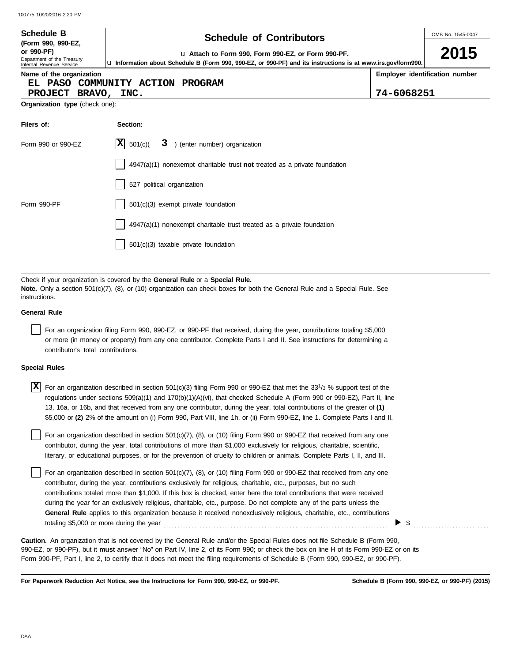| <b>Schedule B</b><br>(Form 990, 990-EZ,                                     | <b>Schedule of Contributors</b>                                                                                                                                                                           |                                              |  |  |  |  |  |
|-----------------------------------------------------------------------------|-----------------------------------------------------------------------------------------------------------------------------------------------------------------------------------------------------------|----------------------------------------------|--|--|--|--|--|
| or 990-PF)<br>Department of the Treasury<br>Internal Revenue Service        | La Attach to Form 990, Form 990-EZ, or Form 990-PF.<br>La Information about Schedule B (Form 990, 990-EZ, or 990-PF) and its instructions is at www.irs.gov/form990.                                      | 2015                                         |  |  |  |  |  |
| Name of the organization<br>EL PASO COMMUNITY ACTION<br>PROJECT BRAVO, INC. | <b>PROGRAM</b>                                                                                                                                                                                            | Employer identification number<br>74-6068251 |  |  |  |  |  |
| Organization type (check one):                                              |                                                                                                                                                                                                           |                                              |  |  |  |  |  |
| Filers of:                                                                  | Section:                                                                                                                                                                                                  |                                              |  |  |  |  |  |
| Form 990 or 990-EZ                                                          | XІ<br>501(c)<br>3 ) (enter number) organization                                                                                                                                                           |                                              |  |  |  |  |  |
|                                                                             | $4947(a)(1)$ nonexempt charitable trust not treated as a private foundation                                                                                                                               |                                              |  |  |  |  |  |
|                                                                             | 527 political organization                                                                                                                                                                                |                                              |  |  |  |  |  |
| Form 990-PF                                                                 | 501(c)(3) exempt private foundation                                                                                                                                                                       |                                              |  |  |  |  |  |
|                                                                             | 4947(a)(1) nonexempt charitable trust treated as a private foundation                                                                                                                                     |                                              |  |  |  |  |  |
|                                                                             | 501(c)(3) taxable private foundation                                                                                                                                                                      |                                              |  |  |  |  |  |
|                                                                             |                                                                                                                                                                                                           |                                              |  |  |  |  |  |
|                                                                             | Check if your organization is covered by the General Rule or a Special Rule.<br>Note Only a section $501(c)(7)$ (8) or (10) organization can check hoves for both the General Rule and a Special Rule See |                                              |  |  |  |  |  |

**Note.** Only a section 501(c)(7), (8), or (10) organization can check boxes for both the General Rule and a Special Rule. See instructions.

#### **General Rule**

For an organization filing Form 990, 990-EZ, or 990-PF that received, during the year, contributions totaling \$5,000 or more (in money or property) from any one contributor. Complete Parts I and II. See instructions for determining a contributor's total contributions.

#### **Special Rules**

| <b>X</b> For an organization described in section 501(c)(3) filing Form 990 or 990-EZ that met the 33 <sup>1</sup> /3 % support test of the |
|---------------------------------------------------------------------------------------------------------------------------------------------|
| regulations under sections 509(a)(1) and 170(b)(1)(A)(vi), that checked Schedule A (Form 990 or 990-EZ), Part II, line                      |
| 13, 16a, or 16b, and that received from any one contributor, during the year, total contributions of the greater of (1)                     |
| \$5,000 or (2) 2% of the amount on (i) Form 990, Part VIII, line 1h, or (ii) Form 990-EZ, line 1. Complete Parts I and II.                  |

literary, or educational purposes, or for the prevention of cruelty to children or animals. Complete Parts I, II, and III. For an organization described in section  $501(c)(7)$ ,  $(8)$ , or  $(10)$  filing Form 990 or 990-EZ that received from any one contributor, during the year, total contributions of more than \$1,000 exclusively for religious, charitable, scientific,

For an organization described in section 501(c)(7), (8), or (10) filing Form 990 or 990-EZ that received from any one contributor, during the year, contributions exclusively for religious, charitable, etc., purposes, but no such contributions totaled more than \$1,000. If this box is checked, enter here the total contributions that were received during the year for an exclusively religious, charitable, etc., purpose. Do not complete any of the parts unless the **General Rule** applies to this organization because it received nonexclusively religious, charitable, etc., contributions totaling \$5,000 or more during the year . . . . . . . . . . . . . . . . . . . . . . . . . . . . . . . . . . . . . . . . . . . . . . . . . . . . . . . . . . . . . . . . . . . . . . . . . . . . . . . .

990-EZ, or 990-PF), but it **must** answer "No" on Part IV, line 2, of its Form 990; or check the box on line H of its Form 990-EZ or on its Form 990-PF, Part I, line 2, to certify that it does not meet the filing requirements of Schedule B (Form 990, 990-EZ, or 990-PF). **Caution.** An organization that is not covered by the General Rule and/or the Special Rules does not file Schedule B (Form 990,

**For Paperwork Reduction Act Notice, see the Instructions for Form 990, 990-EZ, or 990-PF.**

\$ . . . . . . . . . . . . . . . . . . . . . . . . . . .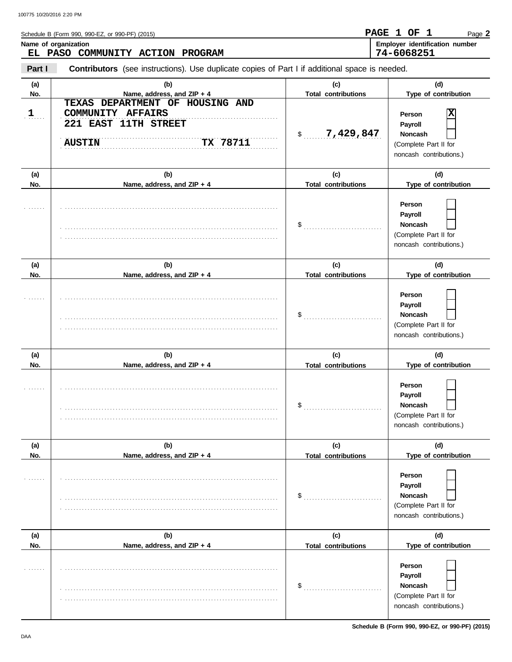| Schedule B (Form 990, 990-EZ, or 990-PF) (2015) | PAGE 1 OF  |  | Page $\bm{2}$                  |
|-------------------------------------------------|------------|--|--------------------------------|
| Name of organization                            |            |  | Employer identification number |
| EL PASO COMMUNITY ACTION PROGRAM                | 74-6068251 |  |                                |
|                                                 |            |  |                                |

**Part I Contributors** (see instructions). Use duplicate copies of Part I if additional space is needed.

| (a)        | (b)                                                                    | (c)                               | (d)                                                                                                             |
|------------|------------------------------------------------------------------------|-----------------------------------|-----------------------------------------------------------------------------------------------------------------|
| No.        | Name, address, and ZIP + 4<br>DEPARTMENT OF HOUSING AND<br>TEXAS       | <b>Total contributions</b>        | Type of contribution                                                                                            |
| 1          | COMMUNITY AFFAIRS<br>221 EAST 11TH STREET<br>TX 78711<br><b>AUSTIN</b> | 7,429,847<br>$\mathsf{\$}$        | X<br>Person<br>Payroll<br><b>Noncash</b><br>(Complete Part II for<br>noncash contributions.)                    |
| (a)<br>No. | (b)<br>Name, address, and ZIP + 4                                      | (c)<br><b>Total contributions</b> | (d)<br>Type of contribution                                                                                     |
|            |                                                                        |                                   | Person<br>Payroll<br><b>Noncash</b><br>(Complete Part II for<br>noncash contributions.)                         |
| (a)<br>No. | (b)<br>Name, address, and ZIP + 4                                      | (c)<br><b>Total contributions</b> | (d)<br>Type of contribution                                                                                     |
|            |                                                                        | $\$\quad$                         | Person<br>Payroll<br><b>Noncash</b><br>(Complete Part II for<br>noncash contributions.)                         |
|            |                                                                        |                                   |                                                                                                                 |
| (a)        | (b)                                                                    | (c)                               | (d)                                                                                                             |
| No.        | Name, address, and ZIP + 4                                             | <b>Total contributions</b>        | Type of contribution                                                                                            |
|            |                                                                        | $\$\$                             | Person<br>Payroll<br><b>Noncash</b><br>(Complete Part II for<br>noncash contributions.)                         |
| (a)        | (b)                                                                    | (c)                               | (d)                                                                                                             |
| No.        | Name, address, and ZIP + 4                                             | <b>Total contributions</b><br>\$  | Type of contribution<br>Person<br>Payroll<br><b>Noncash</b><br>(Complete Part II for<br>noncash contributions.) |
| (a)<br>No. | (b)<br>Name, address, and ZIP + 4                                      | (c)<br><b>Total contributions</b> | (d)<br>Type of contribution                                                                                     |

**Schedule B (Form 990, 990-EZ, or 990-PF) (2015)**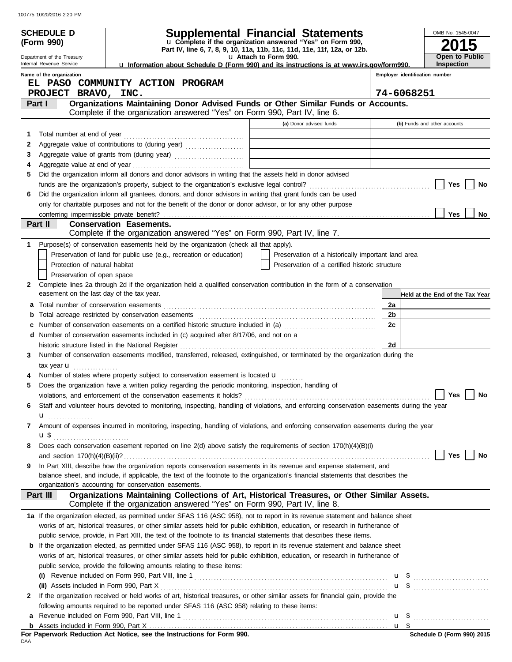|    | <b>SCHEDULE D</b>                                                                                                                                                                                                                                                                                                               |                                                                                                                                                                                                                                | <b>Supplemental Financial Statements</b>                                                          |                                | OMB No. 1545-0047               |
|----|---------------------------------------------------------------------------------------------------------------------------------------------------------------------------------------------------------------------------------------------------------------------------------------------------------------------------------|--------------------------------------------------------------------------------------------------------------------------------------------------------------------------------------------------------------------------------|---------------------------------------------------------------------------------------------------|--------------------------------|---------------------------------|
|    | (Form 990)                                                                                                                                                                                                                                                                                                                      |                                                                                                                                                                                                                                | u Complete if the organization answered "Yes" on Form 990,                                        |                                |                                 |
|    | Department of the Treasury                                                                                                                                                                                                                                                                                                      |                                                                                                                                                                                                                                | Part IV, line 6, 7, 8, 9, 10, 11a, 11b, 11c, 11d, 11e, 11f, 12a, or 12b.<br>u Attach to Form 990. |                                | Open to Public                  |
|    | Internal Revenue Service                                                                                                                                                                                                                                                                                                        | La Information about Schedule D (Form 990) and its instructions is at www.irs.gov/form990.                                                                                                                                     |                                                                                                   |                                | <b>Inspection</b>               |
|    | Name of the organization                                                                                                                                                                                                                                                                                                        | EL PASO COMMUNITY ACTION PROGRAM                                                                                                                                                                                               |                                                                                                   | Employer identification number |                                 |
|    | PROJECT BRAVO, INC.                                                                                                                                                                                                                                                                                                             |                                                                                                                                                                                                                                |                                                                                                   | 74-6068251                     |                                 |
|    | Part I                                                                                                                                                                                                                                                                                                                          | Organizations Maintaining Donor Advised Funds or Other Similar Funds or Accounts.                                                                                                                                              |                                                                                                   |                                |                                 |
|    |                                                                                                                                                                                                                                                                                                                                 | Complete if the organization answered "Yes" on Form 990, Part IV, line 6.                                                                                                                                                      |                                                                                                   |                                |                                 |
|    |                                                                                                                                                                                                                                                                                                                                 |                                                                                                                                                                                                                                | (a) Donor advised funds                                                                           |                                | (b) Funds and other accounts    |
| 1  |                                                                                                                                                                                                                                                                                                                                 |                                                                                                                                                                                                                                |                                                                                                   |                                |                                 |
| 2  |                                                                                                                                                                                                                                                                                                                                 |                                                                                                                                                                                                                                |                                                                                                   |                                |                                 |
| 3  |                                                                                                                                                                                                                                                                                                                                 | Aggregate value of grants from (during year) Mathematical Land Mathematical Contract Contract Contract Contract Contract Contract Contract Contract Contract Contract Contract Contract Contract Contract Contract Contract Co |                                                                                                   |                                |                                 |
| 4  |                                                                                                                                                                                                                                                                                                                                 | Did the organization inform all donors and donor advisors in writing that the assets held in donor advised                                                                                                                     |                                                                                                   |                                |                                 |
| 5  |                                                                                                                                                                                                                                                                                                                                 |                                                                                                                                                                                                                                |                                                                                                   |                                | Yes<br>No                       |
| 6  |                                                                                                                                                                                                                                                                                                                                 | Did the organization inform all grantees, donors, and donor advisors in writing that grant funds can be used                                                                                                                   |                                                                                                   |                                |                                 |
|    |                                                                                                                                                                                                                                                                                                                                 | only for charitable purposes and not for the benefit of the donor or donor advisor, or for any other purpose                                                                                                                   |                                                                                                   |                                |                                 |
|    |                                                                                                                                                                                                                                                                                                                                 |                                                                                                                                                                                                                                |                                                                                                   |                                | <b>Yes</b><br>No.               |
|    | Part II                                                                                                                                                                                                                                                                                                                         | <b>Conservation Easements.</b>                                                                                                                                                                                                 |                                                                                                   |                                |                                 |
|    |                                                                                                                                                                                                                                                                                                                                 | Complete if the organization answered "Yes" on Form 990, Part IV, line 7.                                                                                                                                                      |                                                                                                   |                                |                                 |
| 1. |                                                                                                                                                                                                                                                                                                                                 | Purpose(s) of conservation easements held by the organization (check all that apply).                                                                                                                                          |                                                                                                   |                                |                                 |
|    |                                                                                                                                                                                                                                                                                                                                 | Preservation of land for public use (e.g., recreation or education)                                                                                                                                                            | Preservation of a historically important land area                                                |                                |                                 |
|    | Protection of natural habitat                                                                                                                                                                                                                                                                                                   |                                                                                                                                                                                                                                | Preservation of a certified historic structure                                                    |                                |                                 |
|    | Preservation of open space                                                                                                                                                                                                                                                                                                      |                                                                                                                                                                                                                                |                                                                                                   |                                |                                 |
| 2  | easement on the last day of the tax year.                                                                                                                                                                                                                                                                                       | Complete lines 2a through 2d if the organization held a qualified conservation contribution in the form of a conservation                                                                                                      |                                                                                                   |                                | Held at the End of the Tax Year |
| а  |                                                                                                                                                                                                                                                                                                                                 |                                                                                                                                                                                                                                |                                                                                                   | 2a                             |                                 |
| b  |                                                                                                                                                                                                                                                                                                                                 |                                                                                                                                                                                                                                |                                                                                                   | 2 <sub>b</sub>                 |                                 |
| c  |                                                                                                                                                                                                                                                                                                                                 | Number of conservation easements on a certified historic structure included in (a) [[[[[[[[[[[[[[[[[[[[[[[[[]]]]]]]                                                                                                            |                                                                                                   | 2c                             |                                 |
|    |                                                                                                                                                                                                                                                                                                                                 | d Number of conservation easements included in (c) acquired after 8/17/06, and not on a                                                                                                                                        |                                                                                                   |                                |                                 |
|    |                                                                                                                                                                                                                                                                                                                                 | historic structure listed in the National Register                                                                                                                                                                             |                                                                                                   | 2d                             |                                 |
| 3  |                                                                                                                                                                                                                                                                                                                                 | Number of conservation easements modified, transferred, released, extinguished, or terminated by the organization during the                                                                                                   |                                                                                                   |                                |                                 |
|    | tax year <b>u</b>                                                                                                                                                                                                                                                                                                               |                                                                                                                                                                                                                                |                                                                                                   |                                |                                 |
|    |                                                                                                                                                                                                                                                                                                                                 | Number of states where property subject to conservation easement is located u                                                                                                                                                  |                                                                                                   |                                |                                 |
| 5  |                                                                                                                                                                                                                                                                                                                                 | Does the organization have a written policy regarding the periodic monitoring, inspection, handling of                                                                                                                         |                                                                                                   |                                |                                 |
|    |                                                                                                                                                                                                                                                                                                                                 |                                                                                                                                                                                                                                |                                                                                                   |                                |                                 |
| 6  |                                                                                                                                                                                                                                                                                                                                 | Staff and volunteer hours devoted to monitoring, inspecting, handling of violations, and enforcing conservation easements during the year                                                                                      |                                                                                                   |                                |                                 |
|    | $\mathbf u$ and $\mathbf u$ and $\mathbf u$ and $\mathbf u$ and $\mathbf u$ and $\mathbf u$ and $\mathbf u$ and $\mathbf u$ and $\mathbf u$ and $\mathbf u$ and $\mathbf u$ and $\mathbf u$ and $\mathbf u$ and $\mathbf u$ and $\mathbf u$ and $\mathbf u$ and $\mathbf u$ and $\mathbf u$ and $\mathbf u$ and $\mathbf u$ and |                                                                                                                                                                                                                                |                                                                                                   |                                |                                 |
| 7  |                                                                                                                                                                                                                                                                                                                                 | Amount of expenses incurred in monitoring, inspecting, handling of violations, and enforcing conservation easements during the year                                                                                            |                                                                                                   |                                |                                 |
| 8  |                                                                                                                                                                                                                                                                                                                                 | Does each conservation easement reported on line 2(d) above satisfy the requirements of section 170(h)(4)(B)(i)                                                                                                                |                                                                                                   |                                |                                 |
|    |                                                                                                                                                                                                                                                                                                                                 |                                                                                                                                                                                                                                |                                                                                                   |                                | Yes<br>No                       |
| 9  |                                                                                                                                                                                                                                                                                                                                 | In Part XIII, describe how the organization reports conservation easements in its revenue and expense statement, and                                                                                                           |                                                                                                   |                                |                                 |
|    |                                                                                                                                                                                                                                                                                                                                 | balance sheet, and include, if applicable, the text of the footnote to the organization's financial statements that describes the                                                                                              |                                                                                                   |                                |                                 |
|    |                                                                                                                                                                                                                                                                                                                                 | organization's accounting for conservation easements.                                                                                                                                                                          |                                                                                                   |                                |                                 |
|    | Part III                                                                                                                                                                                                                                                                                                                        | Organizations Maintaining Collections of Art, Historical Treasures, or Other Similar Assets.<br>Complete if the organization answered "Yes" on Form 990, Part IV, line 8.                                                      |                                                                                                   |                                |                                 |
|    |                                                                                                                                                                                                                                                                                                                                 | 1a If the organization elected, as permitted under SFAS 116 (ASC 958), not to report in its revenue statement and balance sheet                                                                                                |                                                                                                   |                                |                                 |
|    |                                                                                                                                                                                                                                                                                                                                 | works of art, historical treasures, or other similar assets held for public exhibition, education, or research in furtherance of                                                                                               |                                                                                                   |                                |                                 |
|    |                                                                                                                                                                                                                                                                                                                                 | public service, provide, in Part XIII, the text of the footnote to its financial statements that describes these items.                                                                                                        |                                                                                                   |                                |                                 |
| b  |                                                                                                                                                                                                                                                                                                                                 | If the organization elected, as permitted under SFAS 116 (ASC 958), to report in its revenue statement and balance sheet                                                                                                       |                                                                                                   |                                |                                 |
|    |                                                                                                                                                                                                                                                                                                                                 | works of art, historical treasures, or other similar assets held for public exhibition, education, or research in furtherance of                                                                                               |                                                                                                   |                                |                                 |
|    |                                                                                                                                                                                                                                                                                                                                 | public service, provide the following amounts relating to these items:                                                                                                                                                         |                                                                                                   |                                |                                 |
|    |                                                                                                                                                                                                                                                                                                                                 |                                                                                                                                                                                                                                |                                                                                                   |                                | $\mathbf{u}$ \$                 |
| 2  |                                                                                                                                                                                                                                                                                                                                 | If the organization received or held works of art, historical treasures, or other similar assets for financial gain, provide the                                                                                               |                                                                                                   |                                | $\mathbf{u}$ \$                 |
|    |                                                                                                                                                                                                                                                                                                                                 | following amounts required to be reported under SFAS 116 (ASC 958) relating to these items:                                                                                                                                    |                                                                                                   |                                |                                 |
| а  |                                                                                                                                                                                                                                                                                                                                 |                                                                                                                                                                                                                                |                                                                                                   |                                |                                 |
|    |                                                                                                                                                                                                                                                                                                                                 |                                                                                                                                                                                                                                |                                                                                                   |                                |                                 |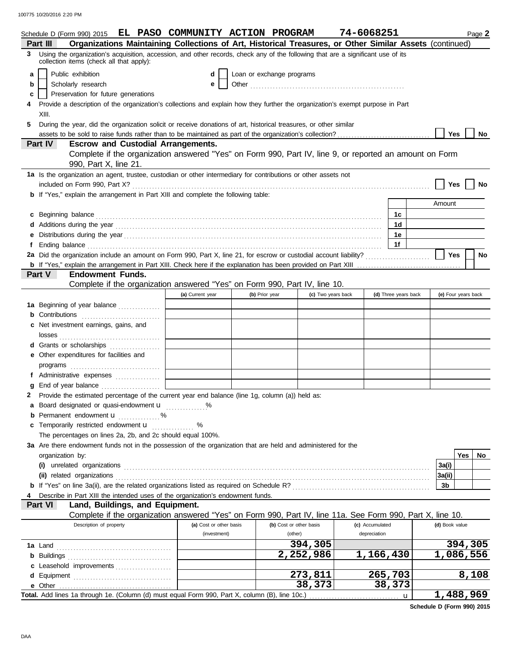|                | Schedule D (Form 990) 2015 EL PASO COMMUNITY ACTION PROGRAM                                                                                                                                                                                 |                         |                           |                         | 74-6068251      |                      | Page 2              |
|----------------|---------------------------------------------------------------------------------------------------------------------------------------------------------------------------------------------------------------------------------------------|-------------------------|---------------------------|-------------------------|-----------------|----------------------|---------------------|
| Part III       | Organizations Maintaining Collections of Art, Historical Treasures, or Other Similar Assets (continued)<br>Using the organization's acquisition, accession, and other records, check any of the following that are a significant use of its |                         |                           |                         |                 |                      |                     |
| 3              | collection items (check all that apply):                                                                                                                                                                                                    |                         |                           |                         |                 |                      |                     |
| a              | Public exhibition                                                                                                                                                                                                                           | d                       | Loan or exchange programs |                         |                 |                      |                     |
| b              | Scholarly research                                                                                                                                                                                                                          | е                       |                           |                         |                 |                      |                     |
| c              | Preservation for future generations                                                                                                                                                                                                         |                         |                           |                         |                 |                      |                     |
|                | Provide a description of the organization's collections and explain how they further the organization's exempt purpose in Part                                                                                                              |                         |                           |                         |                 |                      |                     |
|                | XIII.                                                                                                                                                                                                                                       |                         |                           |                         |                 |                      |                     |
| 5              | During the year, did the organization solicit or receive donations of art, historical treasures, or other similar                                                                                                                           |                         |                           |                         |                 |                      |                     |
|                | assets to be sold to raise funds rather than to be maintained as part of the organization's collection?                                                                                                                                     |                         |                           |                         |                 |                      | <b>Yes</b><br>No    |
| Part IV        | <b>Escrow and Custodial Arrangements.</b><br>Complete if the organization answered "Yes" on Form 990, Part IV, line 9, or reported an amount on Form                                                                                        |                         |                           |                         |                 |                      |                     |
|                | 990, Part X, line 21.                                                                                                                                                                                                                       |                         |                           |                         |                 |                      |                     |
|                | 1a Is the organization an agent, trustee, custodian or other intermediary for contributions or other assets not                                                                                                                             |                         |                           |                         |                 |                      |                     |
|                |                                                                                                                                                                                                                                             |                         |                           |                         |                 |                      | Yes<br>No           |
|                | <b>b</b> If "Yes," explain the arrangement in Part XIII and complete the following table:                                                                                                                                                   |                         |                           |                         |                 |                      |                     |
|                |                                                                                                                                                                                                                                             |                         |                           |                         |                 |                      | Amount              |
| c              |                                                                                                                                                                                                                                             |                         |                           |                         |                 | 1c                   |                     |
|                | Additions during the year contact and the search contact the year contact and the year contact the year contact the search of the search of the search of the search of the search of the search of the search of the search o              |                         |                           |                         |                 | 1d                   |                     |
| е              |                                                                                                                                                                                                                                             |                         |                           |                         |                 | 1e                   |                     |
| f              |                                                                                                                                                                                                                                             |                         |                           |                         |                 | 1f                   |                     |
|                | 2a Did the organization include an amount on Form 990, Part X, line 21, for escrow or custodial account liability?                                                                                                                          |                         |                           |                         |                 |                      | Yes<br>No           |
|                | Part V<br><b>Endowment Funds.</b>                                                                                                                                                                                                           |                         |                           |                         |                 |                      |                     |
|                | Complete if the organization answered "Yes" on Form 990, Part IV, line 10.                                                                                                                                                                  |                         |                           |                         |                 |                      |                     |
|                |                                                                                                                                                                                                                                             | (a) Current year        | (b) Prior year            | (c) Two years back      |                 | (d) Three years back | (e) Four years back |
|                | 1a Beginning of year balance                                                                                                                                                                                                                |                         |                           |                         |                 |                      |                     |
|                | <b>b</b> Contributions <b>contributions</b>                                                                                                                                                                                                 |                         |                           |                         |                 |                      |                     |
|                | c Net investment earnings, gains, and                                                                                                                                                                                                       |                         |                           |                         |                 |                      |                     |
|                |                                                                                                                                                                                                                                             |                         |                           |                         |                 |                      |                     |
|                | d Grants or scholarships                                                                                                                                                                                                                    |                         |                           |                         |                 |                      |                     |
|                | e Other expenditures for facilities and                                                                                                                                                                                                     |                         |                           |                         |                 |                      |                     |
|                |                                                                                                                                                                                                                                             |                         |                           |                         |                 |                      |                     |
|                | f Administrative expenses                                                                                                                                                                                                                   |                         |                           |                         |                 |                      |                     |
|                |                                                                                                                                                                                                                                             |                         |                           |                         |                 |                      |                     |
| 2              | Provide the estimated percentage of the current year end balance (line 1g, column (a)) held as:                                                                                                                                             |                         |                           |                         |                 |                      |                     |
|                | a Board designated or quasi-endowment u %                                                                                                                                                                                                   |                         |                           |                         |                 |                      |                     |
| b              | Permanent endowment <b>u</b> %                                                                                                                                                                                                              |                         |                           |                         |                 |                      |                     |
|                | <b>c</b> Temporarily restricted endowment $\mathbf{u}$                                                                                                                                                                                      | %                       |                           |                         |                 |                      |                     |
|                | The percentages on lines 2a, 2b, and 2c should equal 100%.                                                                                                                                                                                  |                         |                           |                         |                 |                      |                     |
|                | 3a Are there endowment funds not in the possession of the organization that are held and administered for the                                                                                                                               |                         |                           |                         |                 |                      |                     |
|                | organization by:                                                                                                                                                                                                                            |                         |                           |                         |                 |                      | Yes<br>No           |
|                |                                                                                                                                                                                                                                             |                         |                           |                         |                 |                      | 3a(i)               |
|                |                                                                                                                                                                                                                                             |                         |                           |                         |                 |                      | 3a(ii)              |
|                | Describe in Part XIII the intended uses of the organization's endowment funds.                                                                                                                                                              |                         |                           |                         |                 |                      | 3b                  |
| <b>Part VI</b> | Land, Buildings, and Equipment.                                                                                                                                                                                                             |                         |                           |                         |                 |                      |                     |
|                | Complete if the organization answered "Yes" on Form 990, Part IV, line 11a. See Form 990, Part X, line 10.                                                                                                                                  |                         |                           |                         |                 |                      |                     |
|                | Description of property                                                                                                                                                                                                                     | (a) Cost or other basis |                           | (b) Cost or other basis | (c) Accumulated |                      | (d) Book value      |
|                |                                                                                                                                                                                                                                             | (investment)            |                           | (other)                 | depreciation    |                      |                     |
|                |                                                                                                                                                                                                                                             |                         |                           | 394,305                 |                 |                      | 394,305             |
|                |                                                                                                                                                                                                                                             |                         |                           | 2,252,986               | 1,166,430       |                      | 1,086,556           |
|                | c Leasehold improvements                                                                                                                                                                                                                    |                         |                           |                         |                 |                      |                     |
| d              |                                                                                                                                                                                                                                             |                         |                           | 273,811                 |                 | 265,703              | 8,108               |
|                |                                                                                                                                                                                                                                             |                         |                           | 38,373                  |                 | 38,373               |                     |
|                | Total. Add lines 1a through 1e. (Column (d) must equal Form 990, Part X, column (B), line 10c.)                                                                                                                                             |                         |                           |                         |                 | u                    | 1,488,969           |

**Schedule D (Form 990) 2015**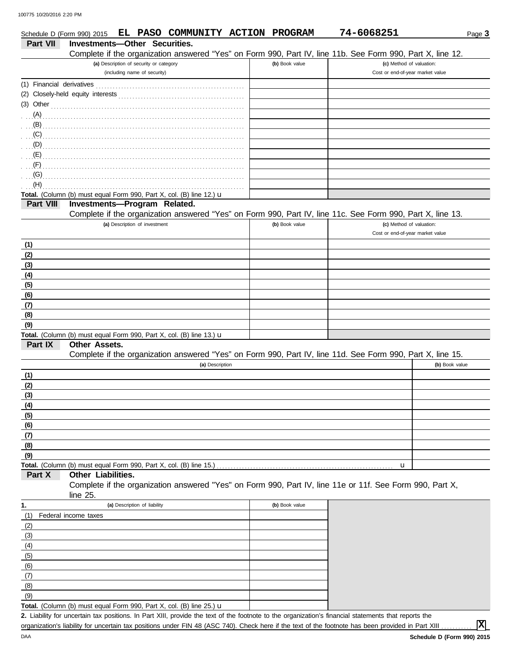|                           | Schedule D (Form 990) 2015 EL PASO COMMUNITY ACTION PROGRAM          |                                                                         |  |                 |  |                | 74-6068251                                                                                                 | Page 3         |
|---------------------------|----------------------------------------------------------------------|-------------------------------------------------------------------------|--|-----------------|--|----------------|------------------------------------------------------------------------------------------------------------|----------------|
| Part VII                  | <b>Investments-Other Securities.</b>                                 |                                                                         |  |                 |  |                |                                                                                                            |                |
|                           |                                                                      |                                                                         |  |                 |  |                | Complete if the organization answered "Yes" on Form 990, Part IV, line 11b. See Form 990, Part X, line 12. |                |
|                           |                                                                      | (a) Description of security or category<br>(including name of security) |  |                 |  | (b) Book value | (c) Method of valuation:<br>Cost or end-of-year market value                                               |                |
| (1) Financial derivatives |                                                                      |                                                                         |  |                 |  |                |                                                                                                            |                |
|                           |                                                                      |                                                                         |  |                 |  |                |                                                                                                            |                |
| (3) Other                 |                                                                      |                                                                         |  |                 |  |                |                                                                                                            |                |
| (A)                       |                                                                      |                                                                         |  |                 |  |                |                                                                                                            |                |
| (B)                       |                                                                      |                                                                         |  |                 |  |                |                                                                                                            |                |
| (C)                       |                                                                      |                                                                         |  |                 |  |                |                                                                                                            |                |
|                           |                                                                      |                                                                         |  |                 |  |                |                                                                                                            |                |
| (E)                       |                                                                      |                                                                         |  |                 |  |                |                                                                                                            |                |
| (F)                       |                                                                      |                                                                         |  |                 |  |                |                                                                                                            |                |
| (G)<br>(H)                |                                                                      |                                                                         |  |                 |  |                |                                                                                                            |                |
|                           | Total. (Column (b) must equal Form 990, Part X, col. (B) line 12.) u |                                                                         |  |                 |  |                |                                                                                                            |                |
| Part VIII                 | Investments-Program Related.                                         |                                                                         |  |                 |  |                |                                                                                                            |                |
|                           |                                                                      |                                                                         |  |                 |  |                | Complete if the organization answered "Yes" on Form 990, Part IV, line 11c. See Form 990, Part X, line 13. |                |
|                           |                                                                      | (a) Description of investment                                           |  |                 |  | (b) Book value | (c) Method of valuation:                                                                                   |                |
|                           |                                                                      |                                                                         |  |                 |  |                | Cost or end-of-year market value                                                                           |                |
| (1)                       |                                                                      |                                                                         |  |                 |  |                |                                                                                                            |                |
| (2)                       |                                                                      |                                                                         |  |                 |  |                |                                                                                                            |                |
| (3)                       |                                                                      |                                                                         |  |                 |  |                |                                                                                                            |                |
| (4)                       |                                                                      |                                                                         |  |                 |  |                |                                                                                                            |                |
| (5)                       |                                                                      |                                                                         |  |                 |  |                |                                                                                                            |                |
| (6)                       |                                                                      |                                                                         |  |                 |  |                |                                                                                                            |                |
| (7)<br>(8)                |                                                                      |                                                                         |  |                 |  |                |                                                                                                            |                |
| (9)                       |                                                                      |                                                                         |  |                 |  |                |                                                                                                            |                |
|                           | Total. (Column (b) must equal Form 990, Part X, col. (B) line 13.) u |                                                                         |  |                 |  |                |                                                                                                            |                |
| Part IX                   | <b>Other Assets.</b>                                                 |                                                                         |  |                 |  |                |                                                                                                            |                |
|                           |                                                                      |                                                                         |  |                 |  |                | Complete if the organization answered "Yes" on Form 990, Part IV, line 11d. See Form 990, Part X, line 15. |                |
|                           |                                                                      |                                                                         |  | (a) Description |  |                |                                                                                                            | (b) Book value |
| (1)                       |                                                                      |                                                                         |  |                 |  |                |                                                                                                            |                |
| (2)                       |                                                                      |                                                                         |  |                 |  |                |                                                                                                            |                |
| (3)                       |                                                                      |                                                                         |  |                 |  |                |                                                                                                            |                |
| (4)                       |                                                                      |                                                                         |  |                 |  |                |                                                                                                            |                |
| (5)                       |                                                                      |                                                                         |  |                 |  |                |                                                                                                            |                |
| (6)                       |                                                                      |                                                                         |  |                 |  |                |                                                                                                            |                |
| (7)                       |                                                                      |                                                                         |  |                 |  |                |                                                                                                            |                |
| (8)<br>(9)                |                                                                      |                                                                         |  |                 |  |                |                                                                                                            |                |
|                           | Total. (Column (b) must equal Form 990, Part X, col. (B) line 15.)   |                                                                         |  |                 |  |                | u                                                                                                          |                |
| Part X                    | Other Liabilities.                                                   |                                                                         |  |                 |  |                |                                                                                                            |                |
|                           |                                                                      |                                                                         |  |                 |  |                | Complete if the organization answered "Yes" on Form 990, Part IV, line 11e or 11f. See Form 990, Part X,   |                |
|                           | line 25.                                                             |                                                                         |  |                 |  |                |                                                                                                            |                |
| 1.                        |                                                                      | (a) Description of liability                                            |  |                 |  | (b) Book value |                                                                                                            |                |
| (1)                       | Federal income taxes                                                 |                                                                         |  |                 |  |                |                                                                                                            |                |
| (2)                       |                                                                      |                                                                         |  |                 |  |                |                                                                                                            |                |
| (3)                       |                                                                      |                                                                         |  |                 |  |                |                                                                                                            |                |
| (4)                       |                                                                      |                                                                         |  |                 |  |                |                                                                                                            |                |
| (5)                       |                                                                      |                                                                         |  |                 |  |                |                                                                                                            |                |
| (6)                       |                                                                      |                                                                         |  |                 |  |                |                                                                                                            |                |
| (7)                       |                                                                      |                                                                         |  |                 |  |                |                                                                                                            |                |
| (8)                       |                                                                      |                                                                         |  |                 |  |                |                                                                                                            |                |
| (9)                       | Total. (Column (b) must equal Form 990, Part X, col. (B) line 25.) u |                                                                         |  |                 |  |                |                                                                                                            |                |
|                           |                                                                      |                                                                         |  |                 |  |                |                                                                                                            |                |

Liability for uncertain tax positions. In Part XIII, provide the text of the footnote to the organization's financial statements that reports the **2.** organization's liability for uncertain tax positions under FIN 48 (ASC 740). Check here if the text of the footnote has been provided in Part XIII

**X**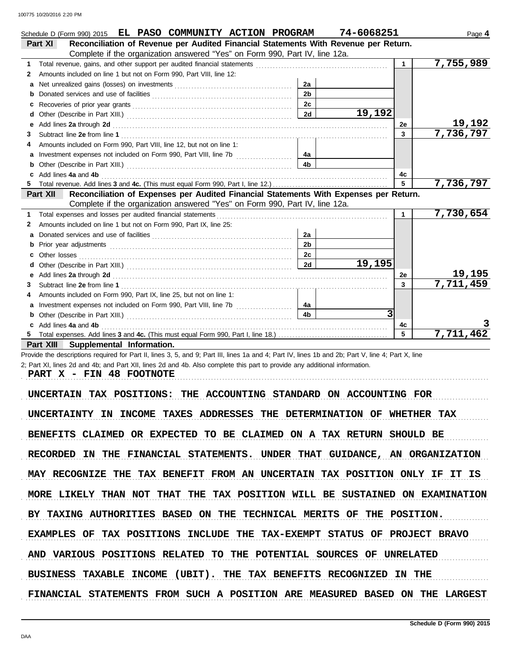|   | Schedule D (Form 990) 2015 EL PASO COMMUNITY ACTION PROGRAM                                                                                                                                                                    |                | 74-6068251 |              | Page 4    |
|---|--------------------------------------------------------------------------------------------------------------------------------------------------------------------------------------------------------------------------------|----------------|------------|--------------|-----------|
|   | Reconciliation of Revenue per Audited Financial Statements With Revenue per Return.<br>Part XI                                                                                                                                 |                |            |              |           |
|   | Complete if the organization answered "Yes" on Form 990, Part IV, line 12a.                                                                                                                                                    |                |            |              |           |
| 1 |                                                                                                                                                                                                                                |                |            | $\mathbf{1}$ | 7,755,989 |
| 2 | Amounts included on line 1 but not on Form 990, Part VIII, line 12:                                                                                                                                                            |                |            |              |           |
| a |                                                                                                                                                                                                                                | 2a             |            |              |           |
|   |                                                                                                                                                                                                                                | 2 <sub>b</sub> |            |              |           |
| с |                                                                                                                                                                                                                                | 2c             |            |              |           |
| d |                                                                                                                                                                                                                                | 2d             | 19,192     |              |           |
|   | Add lines 2a through 2d [11] Add [12] Add [12] Add lines 2a through 2d [12] Add lines 2a through 2d [12] Add [12] Add [12] Add [12] Add [12] Addd [12] Add [12] Add [12] Add [12] Add [12] Add [12] Add [12] Add [12] Add [12] |                |            | 2е           | 19,192    |
| 3 |                                                                                                                                                                                                                                |                |            | 3            | 7,736,797 |
|   | Amounts included on Form 990, Part VIII, line 12, but not on line 1:                                                                                                                                                           |                |            |              |           |
|   |                                                                                                                                                                                                                                | 4a             |            |              |           |
|   |                                                                                                                                                                                                                                | 4 <sub>b</sub> |            |              |           |
| c | Add lines 4a and 4b                                                                                                                                                                                                            |                |            | 4c           |           |
|   |                                                                                                                                                                                                                                |                |            | 5            | 7,736,797 |
|   | Reconciliation of Expenses per Audited Financial Statements With Expenses per Return.<br>Part XII                                                                                                                              |                |            |              |           |
|   | Complete if the organization answered "Yes" on Form 990, Part IV, line 12a.                                                                                                                                                    |                |            |              |           |
| 1 |                                                                                                                                                                                                                                |                |            | 1            | 7,730,654 |
| 2 | Amounts included on line 1 but not on Form 990, Part IX, line 25:                                                                                                                                                              |                |            |              |           |
| a |                                                                                                                                                                                                                                | 2a             |            |              |           |
|   |                                                                                                                                                                                                                                | 2 <sub>b</sub> |            |              |           |
|   | Other losses (1990) contract the contract of the contract of the contract of the contract of the contract of the contract of the contract of the contract of the contract of the contract of the contract of the contract of t | 2c             |            |              |           |
|   |                                                                                                                                                                                                                                | 2d             | 19,195     |              |           |
| е |                                                                                                                                                                                                                                |                |            | 2e           | 19,195    |
| 3 |                                                                                                                                                                                                                                |                |            | $\mathbf{3}$ | 7,711,459 |
|   | Amounts included on Form 990, Part IX, line 25, but not on line 1:                                                                                                                                                             |                |            |              |           |
| a |                                                                                                                                                                                                                                | 4a             |            |              |           |
|   |                                                                                                                                                                                                                                | 4 <sub>b</sub> | 3          |              |           |
|   | Add lines 4a and 4b                                                                                                                                                                                                            |                |            | 4c           |           |
|   |                                                                                                                                                                                                                                |                |            |              | 7,711,462 |
|   | Part XIII Supplemental Information.                                                                                                                                                                                            |                |            |              |           |

Provide the descriptions required for Part II, lines 3, 5, and 9; Part III, lines 1a and 4; Part IV, lines 1b and 2b; Part V, line 4; Part X, line 2; Part XI, lines 2d and 4b; and Part XII, lines 2d and 4b. Also complete this part to provide any additional information.

PART X - FIN 48 FOOTNOTE

UNCERTAIN TAX POSITIONS: THE ACCOUNTING STANDARD ON ACCOUNTING FOR UNCERTAINTY IN INCOME TAXES ADDRESSES THE DETERMINATION OF WHETHER TAX BENEFITS CLAIMED OR EXPECTED TO BE CLAIMED ON A TAX RETURN SHOULD BE RECORDED IN THE FINANCIAL STATEMENTS. UNDER THAT GUIDANCE, AN ORGANIZATION MAY RECOGNIZE THE TAX BENEFIT FROM AN UNCERTAIN TAX POSITION ONLY IF IT IS MORE LIKELY THAN NOT THAT THE TAX POSITION WILL BE SUSTAINED ON EXAMINATION AND VARIOUS POSITIONS RELATED TO THE POTENTIAL SOURCES OF UNRELATED BY TAXING AUTHORITIES BASED ON THE TECHNICAL MERITS OF THE POSITION. EXAMPLES OF TAX POSITIONS INCLUDE THE TAX-EXEMPT STATUS OF PROJECT BRAVO BUSINESS TAXABLE INCOME (UBIT). THE TAX BENEFITS RECOGNIZED IN THE FINANCIAL STATEMENTS FROM SUCH A POSITION ARE MEASURED BASED ON THE LARGEST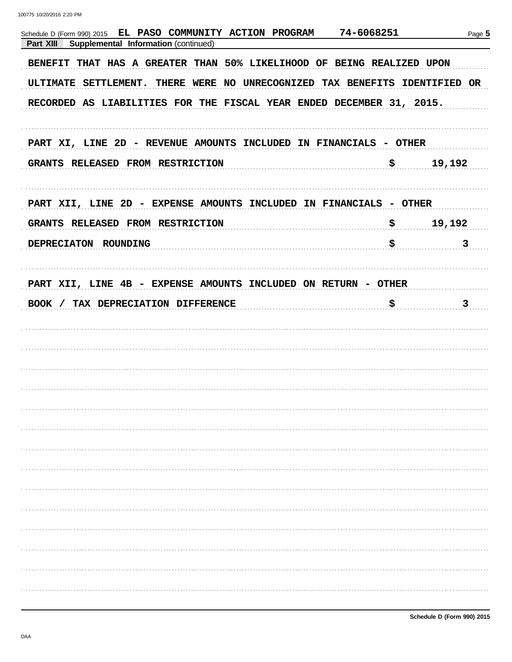| EL PASO COMMUNITY ACTION PROGRAM<br>Schedule D (Form 990) 2015<br>Supplemental Information (continued)<br>Part XIII | 74-6068251   | Page 5 |
|---------------------------------------------------------------------------------------------------------------------|--------------|--------|
| BENEFIT THAT HAS A GREATER THAN 50% LIKELIHOOD OF BEING REALIZED UPON                                               |              |        |
| ULTIMATE SETTLEMENT. THERE WERE NO UNRECOGNIZED TAX BENEFITS IDENTIFIED OR                                          |              |        |
| RECORDED AS LIABILITIES FOR THE FISCAL YEAR ENDED DECEMBER 31, 2015.                                                |              |        |
| PART XI, LINE 2D - REVENUE AMOUNTS INCLUDED IN FINANCIALS - OTHER                                                   |              |        |
| GRANTS RELEASED FROM RESTRICTION                                                                                    | \$           | 19,192 |
| PART XII, LINE 2D - EXPENSE AMOUNTS INCLUDED IN FINANCIALS - OTHER                                                  |              |        |
| GRANTS RELEASED FROM RESTRICTION                                                                                    | $\mathbf{S}$ | 19,192 |
| DEPRECIATON ROUNDING                                                                                                | \$           | 3      |
| PART XII, LINE 4B - EXPENSE AMOUNTS INCLUDED ON RETURN - OTHER                                                      |              |        |
| BOOK / TAX DEPRECIATION DIFFERENCE                                                                                  | \$           | 3      |
|                                                                                                                     |              |        |
|                                                                                                                     |              |        |
|                                                                                                                     |              |        |
|                                                                                                                     |              |        |
|                                                                                                                     |              |        |
|                                                                                                                     |              |        |
|                                                                                                                     |              |        |
|                                                                                                                     |              |        |
|                                                                                                                     |              |        |
|                                                                                                                     |              |        |
|                                                                                                                     |              |        |
|                                                                                                                     |              |        |
|                                                                                                                     |              |        |
|                                                                                                                     |              |        |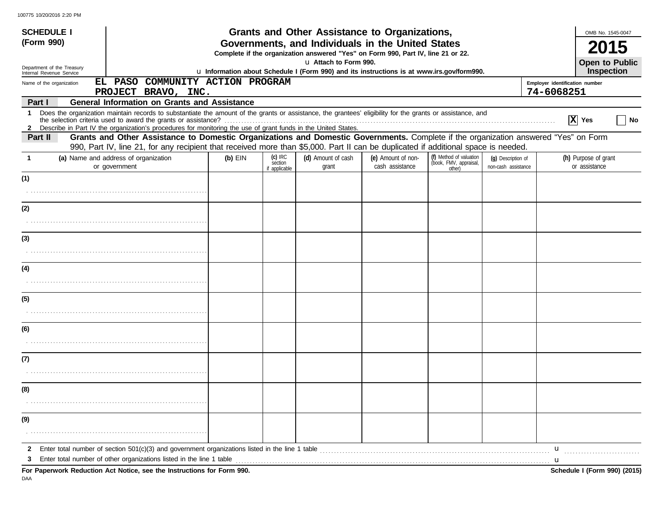| <b>SCHEDULE I</b>                                      |                                                                                                                                                                                                                                                                                                                                                                                              |                                                                                                                    |                                                            | Grants and Other Assistance to Organizations,                                                                                         |                                       |                                                             |                                           | OMB No. 1545-0047                     |  |  |  |
|--------------------------------------------------------|----------------------------------------------------------------------------------------------------------------------------------------------------------------------------------------------------------------------------------------------------------------------------------------------------------------------------------------------------------------------------------------------|--------------------------------------------------------------------------------------------------------------------|------------------------------------------------------------|---------------------------------------------------------------------------------------------------------------------------------------|---------------------------------------|-------------------------------------------------------------|-------------------------------------------|---------------------------------------|--|--|--|
| (Form 990)                                             |                                                                                                                                                                                                                                                                                                                                                                                              |                                                                                                                    |                                                            | Governments, and Individuals in the United States<br>Complete if the organization answered "Yes" on Form 990, Part IV, line 21 or 22. |                                       |                                                             |                                           |                                       |  |  |  |
| Department of the Treasury<br>Internal Revenue Service |                                                                                                                                                                                                                                                                                                                                                                                              | u Attach to Form 990.<br>u Information about Schedule I (Form 990) and its instructions is at www.irs.gov/form990. |                                                            |                                                                                                                                       |                                       |                                                             |                                           |                                       |  |  |  |
| Name of the organization                               | EL PASO COMMUNITY ACTION PROGRAM<br>PROJECT BRAVO, INC.                                                                                                                                                                                                                                                                                                                                      |                                                                                                                    | Inspection<br>Employer identification number<br>74-6068251 |                                                                                                                                       |                                       |                                                             |                                           |                                       |  |  |  |
| Part I                                                 | <b>General Information on Grants and Assistance</b>                                                                                                                                                                                                                                                                                                                                          |                                                                                                                    |                                                            |                                                                                                                                       |                                       |                                                             |                                           |                                       |  |  |  |
| $\mathbf 1$                                            | Does the organization maintain records to substantiate the amount of the grants or assistance, the grantees' eligibility for the grants or assistance, and                                                                                                                                                                                                                                   |                                                                                                                    |                                                            |                                                                                                                                       |                                       |                                                             |                                           | X Yes<br>No                           |  |  |  |
| Part II                                                | 2 Describe in Part IV the organization's procedures for monitoring the use of grant funds in the United States.<br>Grants and Other Assistance to Domestic Organizations and Domestic Governments. Complete if the organization answered "Yes" on Form<br>990, Part IV, line 21, for any recipient that received more than \$5,000. Part II can be duplicated if additional space is needed. |                                                                                                                    |                                                            |                                                                                                                                       |                                       |                                                             |                                           |                                       |  |  |  |
| -1                                                     | (a) Name and address of organization<br>or government                                                                                                                                                                                                                                                                                                                                        | $(b)$ EIN                                                                                                          | $(c)$ IRC<br>section<br>if applicable                      | (d) Amount of cash<br>grant                                                                                                           | (e) Amount of non-<br>cash assistance | (f) Method of valuation<br>(book, FMV, appraisal,<br>other) | (q) Description of<br>non-cash assistance | (h) Purpose of grant<br>or assistance |  |  |  |
| (1)                                                    |                                                                                                                                                                                                                                                                                                                                                                                              |                                                                                                                    |                                                            |                                                                                                                                       |                                       |                                                             |                                           |                                       |  |  |  |
|                                                        |                                                                                                                                                                                                                                                                                                                                                                                              |                                                                                                                    |                                                            |                                                                                                                                       |                                       |                                                             |                                           |                                       |  |  |  |
| (2)                                                    |                                                                                                                                                                                                                                                                                                                                                                                              |                                                                                                                    |                                                            |                                                                                                                                       |                                       |                                                             |                                           |                                       |  |  |  |
|                                                        |                                                                                                                                                                                                                                                                                                                                                                                              |                                                                                                                    |                                                            |                                                                                                                                       |                                       |                                                             |                                           |                                       |  |  |  |
| (3)                                                    |                                                                                                                                                                                                                                                                                                                                                                                              |                                                                                                                    |                                                            |                                                                                                                                       |                                       |                                                             |                                           |                                       |  |  |  |
|                                                        |                                                                                                                                                                                                                                                                                                                                                                                              |                                                                                                                    |                                                            |                                                                                                                                       |                                       |                                                             |                                           |                                       |  |  |  |
| (4)                                                    |                                                                                                                                                                                                                                                                                                                                                                                              |                                                                                                                    |                                                            |                                                                                                                                       |                                       |                                                             |                                           |                                       |  |  |  |
|                                                        |                                                                                                                                                                                                                                                                                                                                                                                              |                                                                                                                    |                                                            |                                                                                                                                       |                                       |                                                             |                                           |                                       |  |  |  |
| (5)                                                    |                                                                                                                                                                                                                                                                                                                                                                                              |                                                                                                                    |                                                            |                                                                                                                                       |                                       |                                                             |                                           |                                       |  |  |  |
|                                                        |                                                                                                                                                                                                                                                                                                                                                                                              |                                                                                                                    |                                                            |                                                                                                                                       |                                       |                                                             |                                           |                                       |  |  |  |
| (6)                                                    |                                                                                                                                                                                                                                                                                                                                                                                              |                                                                                                                    |                                                            |                                                                                                                                       |                                       |                                                             |                                           |                                       |  |  |  |
|                                                        |                                                                                                                                                                                                                                                                                                                                                                                              |                                                                                                                    |                                                            |                                                                                                                                       |                                       |                                                             |                                           |                                       |  |  |  |
| (7)                                                    |                                                                                                                                                                                                                                                                                                                                                                                              |                                                                                                                    |                                                            |                                                                                                                                       |                                       |                                                             |                                           |                                       |  |  |  |
|                                                        |                                                                                                                                                                                                                                                                                                                                                                                              |                                                                                                                    |                                                            |                                                                                                                                       |                                       |                                                             |                                           |                                       |  |  |  |
| (8)                                                    |                                                                                                                                                                                                                                                                                                                                                                                              |                                                                                                                    |                                                            |                                                                                                                                       |                                       |                                                             |                                           |                                       |  |  |  |
|                                                        |                                                                                                                                                                                                                                                                                                                                                                                              |                                                                                                                    |                                                            |                                                                                                                                       |                                       |                                                             |                                           |                                       |  |  |  |
| (9)                                                    |                                                                                                                                                                                                                                                                                                                                                                                              |                                                                                                                    |                                                            |                                                                                                                                       |                                       |                                                             |                                           |                                       |  |  |  |
|                                                        |                                                                                                                                                                                                                                                                                                                                                                                              |                                                                                                                    |                                                            |                                                                                                                                       |                                       |                                                             |                                           |                                       |  |  |  |
| 2                                                      | Enter total number of section $501(c)(3)$ and government organizations listed in the line 1 table                                                                                                                                                                                                                                                                                            |                                                                                                                    |                                                            |                                                                                                                                       |                                       |                                                             |                                           | $\mathbf{u}$                          |  |  |  |
| З                                                      | Enter total number of other organizations listed in the line 1 table                                                                                                                                                                                                                                                                                                                         |                                                                                                                    |                                                            |                                                                                                                                       |                                       |                                                             |                                           | u                                     |  |  |  |
|                                                        | For Paperwork Reduction Act Notice, see the Instructions for Form 990.                                                                                                                                                                                                                                                                                                                       |                                                                                                                    |                                                            |                                                                                                                                       |                                       |                                                             |                                           | Schedule I (Form 990) (2015)          |  |  |  |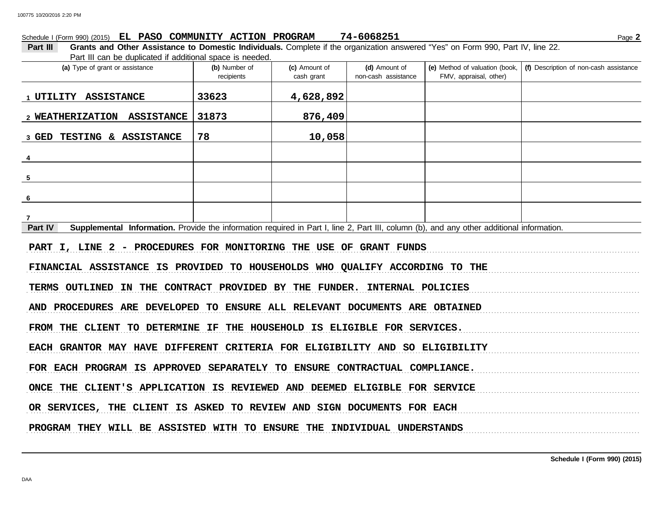## Schedule I (Form 990) (2015) Page **2 EL PASO COMMUNITY ACTION PROGRAM 74-6068251**

**Part III Grants and Other Assistance to Domestic Individuals.** Complete if the organization answered "Yes" on Form 990, Part IV, line 22. Part III can be duplicated if additional space is needed.

| (a) Type of grant or assistance                                                                                                                      | (b) Number of<br>recipients                               | (c) Amount of<br>cash grant | (d) Amount of<br>non-cash assistance | (e) Method of valuation (book,<br>FMV, appraisal, other) | (f) Description of non-cash assistance |
|------------------------------------------------------------------------------------------------------------------------------------------------------|-----------------------------------------------------------|-----------------------------|--------------------------------------|----------------------------------------------------------|----------------------------------------|
| 1 UTILITY ASSISTANCE                                                                                                                                 | 33623                                                     | 4,628,892                   |                                      |                                                          |                                        |
| 2 WEATHERIZATION ASSISTANCE                                                                                                                          | 31873                                                     | 876,409                     |                                      |                                                          |                                        |
| TESTING & ASSISTANCE<br>3 GED                                                                                                                        | 78                                                        | 10,058                      |                                      |                                                          |                                        |
| $\overline{4}$                                                                                                                                       |                                                           |                             |                                      |                                                          |                                        |
| $\sqrt{5}$                                                                                                                                           |                                                           |                             |                                      |                                                          |                                        |
| 6                                                                                                                                                    |                                                           |                             |                                      |                                                          |                                        |
| 7                                                                                                                                                    |                                                           |                             |                                      |                                                          |                                        |
| Part IV<br>Supplemental Information. Provide the information required in Part I, line 2, Part III, column (b), and any other additional information. |                                                           |                             |                                      |                                                          |                                        |
| PART I, LINE 2 - PROCEDURES FOR MONITORING THE USE OF GRANT FUNDS                                                                                    |                                                           |                             |                                      |                                                          |                                        |
| FINANCIAL ASSISTANCE IS PROVIDED TO HOUSEHOLDS WHO QUALIFY ACCORDING TO THE                                                                          |                                                           |                             |                                      |                                                          |                                        |
| <b>TERMS OUTLINED</b>                                                                                                                                | IN THE CONTRACT PROVIDED BY THE FUNDER. INTERNAL POLICIES |                             |                                      |                                                          |                                        |
| AND PROCEDURES ARE DEVELOPED TO ENSURE ALL RELEVANT DOCUMENTS ARE OBTAINED                                                                           |                                                           |                             |                                      |                                                          |                                        |
| FROM THE CLIENT TO DETERMINE IF THE HOUSEHOLD IS ELIGIBLE FOR SERVICES.                                                                              |                                                           |                             |                                      |                                                          |                                        |
| EACH GRANTOR MAY HAVE DIFFERENT CRITERIA FOR ELIGIBILITY AND SO ELIGIBILITY                                                                          |                                                           |                             |                                      |                                                          |                                        |
| FOR EACH PROGRAM IS APPROVED SEPARATELY TO ENSURE CONTRACTUAL COMPLIANCE.                                                                            |                                                           |                             |                                      |                                                          |                                        |
| ONCE THE CLIENT'S APPLICATION IS REVIEWED AND DEEMED ELIGIBLE FOR SERVICE                                                                            |                                                           |                             |                                      |                                                          |                                        |
| OR SERVICES, THE CLIENT IS ASKED TO REVIEW AND SIGN DOCUMENTS FOR EACH                                                                               |                                                           |                             |                                      |                                                          |                                        |
| PROGRAM THEY WILL BE ASSISTED WITH TO ENSURE THE INDIVIDUAL UNDERSTANDS                                                                              |                                                           |                             |                                      |                                                          |                                        |

DAA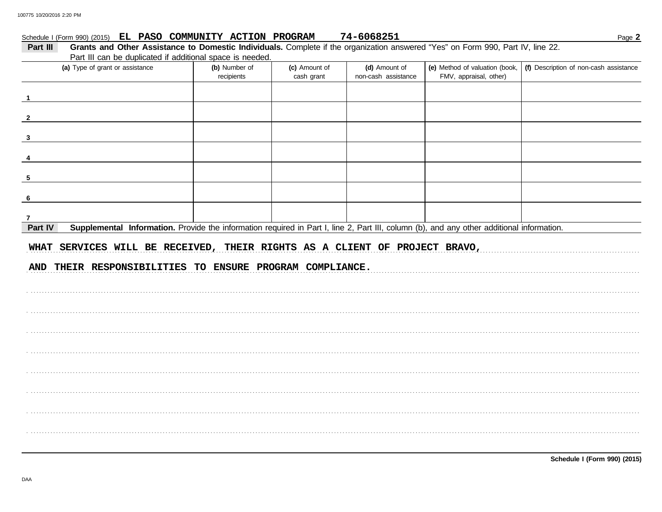#### Schedule I (Form 990) (2015) EL PASO COMMUNITY ACTION PROGRAM 74-6068251

| Part III | Grants and Other Assistance to Domestic Individuals. Complete if the organization answered "Yes" on Form 990, Part IV, line 22.           |                             |                             |                                      |                                                          |                                        |  |  |  |  |
|----------|-------------------------------------------------------------------------------------------------------------------------------------------|-----------------------------|-----------------------------|--------------------------------------|----------------------------------------------------------|----------------------------------------|--|--|--|--|
|          | Part III can be duplicated if additional space is needed.                                                                                 |                             |                             |                                      |                                                          |                                        |  |  |  |  |
|          | (a) Type of grant or assistance                                                                                                           | (b) Number of<br>recipients | (c) Amount of<br>cash grant | (d) Amount of<br>non-cash assistance | (e) Method of valuation (book,<br>FMV, appraisal, other) | (f) Description of non-cash assistance |  |  |  |  |
|          |                                                                                                                                           |                             |                             |                                      |                                                          |                                        |  |  |  |  |
|          |                                                                                                                                           |                             |                             |                                      |                                                          |                                        |  |  |  |  |
| 3        |                                                                                                                                           |                             |                             |                                      |                                                          |                                        |  |  |  |  |
|          |                                                                                                                                           |                             |                             |                                      |                                                          |                                        |  |  |  |  |
| 5        |                                                                                                                                           |                             |                             |                                      |                                                          |                                        |  |  |  |  |
| 6        |                                                                                                                                           |                             |                             |                                      |                                                          |                                        |  |  |  |  |
| 7        |                                                                                                                                           |                             |                             |                                      |                                                          |                                        |  |  |  |  |
| Part IV  | Supplemental Information. Provide the information required in Part I, line 2, Part III, column (b), and any other additional information. |                             |                             |                                      |                                                          |                                        |  |  |  |  |
|          | WHAT SERVICES WILL BE RECEIVED, THEIR RIGHTS AS A CLIENT OF PROJECT BRAVO,<br>AND THEIR RESPONSIBILITIES TO ENSURE PROGRAM COMPLIANCE.    |                             |                             |                                      |                                                          |                                        |  |  |  |  |
|          |                                                                                                                                           |                             |                             |                                      |                                                          |                                        |  |  |  |  |
|          |                                                                                                                                           |                             |                             |                                      |                                                          |                                        |  |  |  |  |
|          |                                                                                                                                           |                             |                             |                                      |                                                          |                                        |  |  |  |  |
|          |                                                                                                                                           |                             |                             |                                      |                                                          |                                        |  |  |  |  |
|          |                                                                                                                                           |                             |                             |                                      |                                                          |                                        |  |  |  |  |
|          |                                                                                                                                           |                             |                             |                                      |                                                          |                                        |  |  |  |  |
|          |                                                                                                                                           |                             |                             |                                      |                                                          |                                        |  |  |  |  |
|          |                                                                                                                                           |                             |                             |                                      |                                                          |                                        |  |  |  |  |
|          |                                                                                                                                           |                             |                             |                                      |                                                          |                                        |  |  |  |  |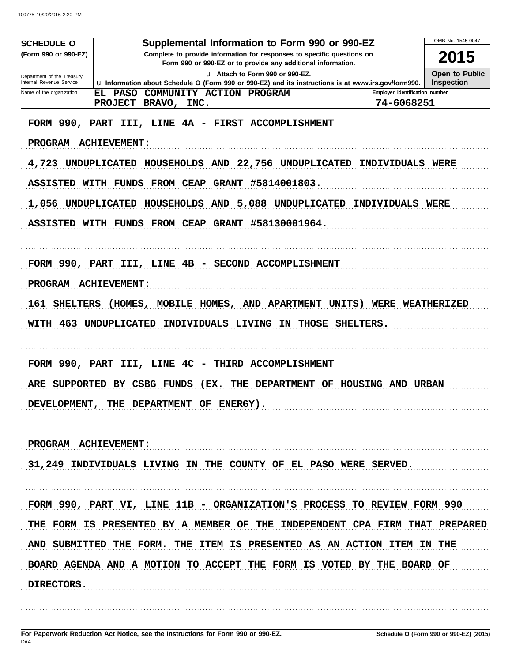| <b>SCHEDULE O</b>                                      | Supplemental Information to Form 990 or 990-EZ                                                                                          |                                              | OMB No. 1545-0047                   |
|--------------------------------------------------------|-----------------------------------------------------------------------------------------------------------------------------------------|----------------------------------------------|-------------------------------------|
| (Form 990 or 990-EZ)                                   | Complete to provide information for responses to specific questions on<br>Form 990 or 990-EZ or to provide any additional information.  |                                              | 2015                                |
| Department of the Treasury<br>Internal Revenue Service | u Attach to Form 990 or 990-EZ.<br>La Information about Schedule O (Form 990 or 990-EZ) and its instructions is at www.irs.gov/form990. |                                              | Open to Public<br><b>Inspection</b> |
| Name of the organization                               | <b>PASO</b><br>COMMUNITY ACTION PROGRAM<br>EL<br><b>PROJECT</b><br>BRAVO,<br>INC.                                                       | Employer identification number<br>74-6068251 |                                     |
|                                                        | FORM 990, PART III, LINE 4A - FIRST ACCOMPLISHMENT                                                                                      |                                              |                                     |
| <b>PROGRAM</b>                                         | <b>ACHIEVEMENT :</b>                                                                                                                    |                                              |                                     |
| 4,723                                                  | <b>UNDUPLICATED</b><br>HOUSEHOLDS AND<br>22,756 UNDUPLICATED                                                                            | INDIVIDUALS WERE                             |                                     |
| ASSISTED WITH FUNDS                                    | FROM CEAP<br><b>GRANT</b><br>#5814001803.                                                                                               |                                              |                                     |
| 1,056                                                  | <b>UNDUPLICATED</b><br>HOUSEHOLDS<br>AND<br>5,088 UNDUPLICATED INDIVIDUALS WERE                                                         |                                              |                                     |
|                                                        | GRANT #58130001964.<br>ASSISTED WITH FUNDS FROM CEAP                                                                                    |                                              |                                     |
|                                                        |                                                                                                                                         |                                              |                                     |
|                                                        | FORM 990, PART III, LINE 4B - SECOND ACCOMPLISHMENT                                                                                     |                                              |                                     |
| PROGRAM ACHIEVEMENT:                                   |                                                                                                                                         |                                              |                                     |
| 161<br><b>SHELTERS</b>                                 | (HOMES,<br>MOBILE HOMES,<br>AND APARTMENT<br>UNITS)                                                                                     | WERE                                         | <b>WEATHERIZED</b>                  |
|                                                        | WITH 463 UNDUPLICATED<br>INDIVIDUALS LIVING<br>IN.<br>THOSE SHELTERS.                                                                   |                                              |                                     |
|                                                        | FORM 990, PART III, LINE 4C<br>THIRD<br><b>ACCOMPLISHMENT</b>                                                                           |                                              |                                     |
| ARE<br><b>SUPPORTED</b>                                | BY CSBG FUNDS<br>(EX.<br><b>DEPARTMENT</b><br>THE<br>OF                                                                                 | HOUSING AND URBAN                            |                                     |
| DEVELOPMENT.                                           | <b>DEPARTMENT</b><br>OF<br>ENERGY).<br>THE                                                                                              |                                              |                                     |
|                                                        |                                                                                                                                         |                                              |                                     |
| PROGRAM ACHIEVEMENT:                                   |                                                                                                                                         |                                              |                                     |
|                                                        | 31,249 INDIVIDUALS LIVING IN THE COUNTY OF EL PASO WERE SERVED.                                                                         |                                              |                                     |
|                                                        |                                                                                                                                         |                                              |                                     |
|                                                        | FORM 990, PART VI, LINE 11B - ORGANIZATION'S PROCESS TO REVIEW FORM 990                                                                 |                                              |                                     |
|                                                        | THE FORM IS PRESENTED BY A MEMBER OF THE INDEPENDENT CPA FIRM THAT PREPARED                                                             |                                              |                                     |
|                                                        | AND SUBMITTED THE FORM. THE ITEM IS PRESENTED AS AN ACTION ITEM IN THE                                                                  |                                              |                                     |
|                                                        | BOARD AGENDA AND A MOTION TO ACCEPT THE FORM IS VOTED BY THE BOARD OF                                                                   |                                              |                                     |
| DIRECTORS.                                             |                                                                                                                                         |                                              |                                     |
|                                                        |                                                                                                                                         |                                              |                                     |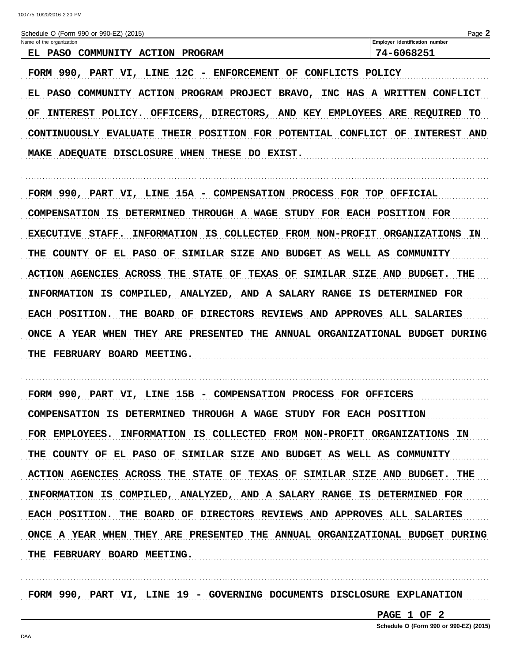| Schedule O (Form 990 or 990-EZ) (2015)                | Page 2                         |
|-------------------------------------------------------|--------------------------------|
| Name of the organization                              | Employer identification number |
| EL.<br><b>COMMUNITY ACTION PROGRAM</b><br><b>PASO</b> | 74-6068251                     |

FORM 990, PART VI, LINE 12C - ENFORCEMENT OF CONFLICTS POLICY EL PASO COMMUNITY ACTION PROGRAM PROJECT BRAVO, INC HAS A WRITTEN CONFLICT OF INTEREST POLICY. OFFICERS, DIRECTORS, AND KEY EMPLOYEES ARE REQUIRED TO CONTINUOUSLY EVALUATE THEIR POSITION FOR POTENTIAL CONFLICT OF INTEREST AND MAKE ADEQUATE DISCLOSURE WHEN THESE DO EXIST.

FORM 990, PART VI, LINE 15A - COMPENSATION PROCESS FOR TOP OFFICIAL COMPENSATION IS DETERMINED THROUGH A WAGE STUDY FOR EACH POSITION FOR EXECUTIVE STAFF. INFORMATION IS COLLECTED FROM NON-PROFIT ORGANIZATIONS IN THE COUNTY OF EL PASO OF SIMILAR SIZE AND BUDGET AS WELL AS COMMUNITY ACTION AGENCIES ACROSS THE STATE OF TEXAS OF SIMILAR SIZE AND BUDGET. THE INFORMATION IS COMPILED, ANALYZED, AND A SALARY RANGE IS DETERMINED FOR EACH POSITION. THE BOARD OF DIRECTORS REVIEWS AND APPROVES ALL SALARIES ONCE A YEAR WHEN THEY ARE PRESENTED THE ANNUAL ORGANIZATIONAL BUDGET DURING THE FEBRUARY BOARD MEETING.

FORM 990, PART VI, LINE 15B - COMPENSATION PROCESS FOR OFFICERS COMPENSATION IS DETERMINED THROUGH A WAGE STUDY FOR EACH POSITION FOR EMPLOYEES. INFORMATION IS COLLECTED FROM NON-PROFIT ORGANIZATIONS IN THE COUNTY OF EL PASO OF SIMILAR SIZE AND BUDGET AS WELL AS COMMUNITY ACTION AGENCIES ACROSS THE STATE OF TEXAS OF SIMILAR SIZE AND BUDGET. THE INFORMATION IS COMPILED, ANALYZED, AND A SALARY RANGE IS DETERMINED FOR EACH POSITION. THE BOARD OF DIRECTORS REVIEWS AND APPROVES ALL SALARIES ONCE A YEAR WHEN THEY ARE PRESENTED THE ANNUAL ORGANIZATIONAL BUDGET DURING THE FEBRUARY BOARD MEETING.

FORM 990, PART VI, LINE 19 - GOVERNING DOCUMENTS DISCLOSURE EXPLANATION

PAGE 1 OF 2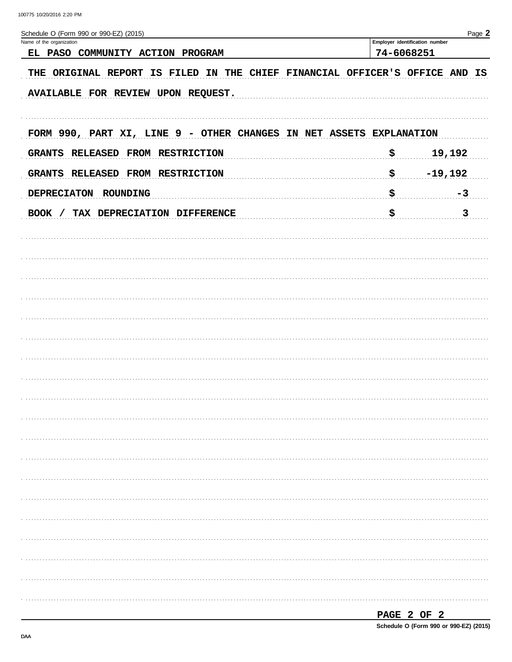| Schedule O (Form 990 or 990-EZ) (2015)                                      |                                | Page 2        |  |
|-----------------------------------------------------------------------------|--------------------------------|---------------|--|
| Name of the organization                                                    | Employer identification number |               |  |
| EL PASO COMMUNITY ACTION PROGRAM                                            | 74-6068251                     |               |  |
| THE ORIGINAL REPORT IS FILED IN THE CHIEF FINANCIAL OFFICER'S OFFICE AND IS |                                |               |  |
| AVAILABLE FOR REVIEW UPON REQUEST.                                          |                                |               |  |
| FORM 990, PART XI, LINE 9 - OTHER CHANGES IN NET ASSETS EXPLANATION         |                                |               |  |
| GRANTS RELEASED FROM RESTRICTION                                            | \$                             | 19,192        |  |
| GRANTS RELEASED FROM RESTRICTION                                            | \$<br>$-19,192$                |               |  |
| DEPRECIATON ROUNDING                                                        | \$                             | $-3$          |  |
| BOOK / TAX DEPRECIATION DIFFERENCE                                          | \$                             | $\frac{3}{2}$ |  |
|                                                                             |                                |               |  |
|                                                                             |                                |               |  |
|                                                                             |                                |               |  |
|                                                                             |                                |               |  |
|                                                                             |                                |               |  |
|                                                                             |                                |               |  |
|                                                                             |                                |               |  |
|                                                                             |                                |               |  |
|                                                                             |                                |               |  |
|                                                                             |                                |               |  |
|                                                                             |                                |               |  |
|                                                                             |                                |               |  |
|                                                                             |                                |               |  |
|                                                                             |                                |               |  |
|                                                                             |                                |               |  |
|                                                                             |                                |               |  |
|                                                                             |                                |               |  |
|                                                                             |                                |               |  |
|                                                                             |                                |               |  |
|                                                                             |                                |               |  |

PAGE 2 OF 2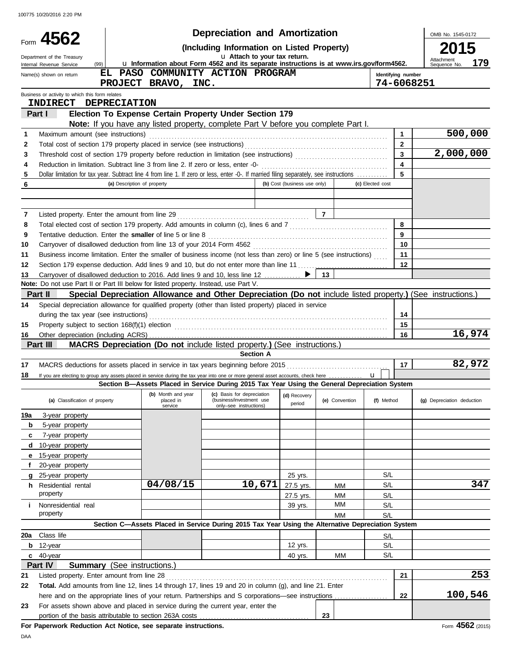|         |                                                                                                                                                                                                                                             |                                    |                                                                                                             | <b>Depreciation and Amortization</b>                                             |                  |                              |                |                  |                                  | OMB No. 1545-0172                 |
|---------|---------------------------------------------------------------------------------------------------------------------------------------------------------------------------------------------------------------------------------------------|------------------------------------|-------------------------------------------------------------------------------------------------------------|----------------------------------------------------------------------------------|------------------|------------------------------|----------------|------------------|----------------------------------|-----------------------------------|
|         | Form 4562                                                                                                                                                                                                                                   |                                    |                                                                                                             | (Including Information on Listed Property)                                       |                  |                              |                |                  |                                  |                                   |
|         | Department of the Treasury<br>(99)<br>Internal Revenue Service                                                                                                                                                                              |                                    | u Information about Form 4562 and its separate instructions is at www.irs.gov/form4562.                     | u Attach to your tax return.                                                     |                  |                              |                |                  |                                  | Attachment<br>179<br>Sequence No. |
|         | Name(s) shown on return                                                                                                                                                                                                                     | EL.                                | PASO COMMUNITY ACTION PROGRAM<br>PROJECT BRAVO, INC.                                                        |                                                                                  |                  |                              |                |                  | Identifying number<br>74-6068251 |                                   |
|         | Business or activity to which this form relates                                                                                                                                                                                             |                                    |                                                                                                             |                                                                                  |                  |                              |                |                  |                                  |                                   |
|         | <b>INDIRECT</b>                                                                                                                                                                                                                             | <b>DEPRECIATION</b>                |                                                                                                             |                                                                                  |                  |                              |                |                  |                                  |                                   |
|         | <b>Part I</b>                                                                                                                                                                                                                               |                                    | Election To Expense Certain Property Under Section 179                                                      |                                                                                  |                  |                              |                |                  |                                  |                                   |
|         |                                                                                                                                                                                                                                             |                                    | Note: If you have any listed property, complete Part V before you complete Part I.                          |                                                                                  |                  |                              |                |                  |                                  | 500,000                           |
| 1<br>2  | Maximum amount (see instructions)                                                                                                                                                                                                           |                                    |                                                                                                             |                                                                                  |                  |                              |                |                  | 1<br>$\mathbf{2}$                |                                   |
| 3       |                                                                                                                                                                                                                                             |                                    |                                                                                                             |                                                                                  |                  |                              |                |                  | 3                                | 2,000,000                         |
| 4       |                                                                                                                                                                                                                                             |                                    |                                                                                                             |                                                                                  |                  |                              |                |                  | $\overline{\mathbf{4}}$          |                                   |
| 5       | Dollar limitation for tax year. Subtract line 4 from line 1. If zero or less, enter -0-. If married filing separately, see instructions                                                                                                     |                                    |                                                                                                             |                                                                                  |                  |                              |                |                  | 5                                |                                   |
| 6       |                                                                                                                                                                                                                                             | (a) Description of property        |                                                                                                             |                                                                                  |                  | (b) Cost (business use only) |                | (c) Elected cost |                                  |                                   |
|         |                                                                                                                                                                                                                                             |                                    |                                                                                                             |                                                                                  |                  |                              |                |                  |                                  |                                   |
|         |                                                                                                                                                                                                                                             |                                    |                                                                                                             |                                                                                  |                  |                              |                |                  |                                  |                                   |
| 7       |                                                                                                                                                                                                                                             |                                    |                                                                                                             |                                                                                  |                  |                              | $\overline{7}$ |                  | 8                                |                                   |
| 8<br>9  | Total elected cost of section 179 property. Add amounts in column (c), lines 6 and 7 [[[[[[[[[[[[[[[[[[[[[[[[<br>Tentative deduction. Enter the smaller of line 5 or line 8 [11] content content content of the smaller of line 5 or line 8 |                                    |                                                                                                             |                                                                                  |                  |                              |                |                  | 9                                |                                   |
| 10      |                                                                                                                                                                                                                                             |                                    |                                                                                                             |                                                                                  |                  |                              |                |                  | 10                               |                                   |
| 11      | Business income limitation. Enter the smaller of business income (not less than zero) or line 5 (see instructions)                                                                                                                          |                                    |                                                                                                             |                                                                                  |                  |                              |                |                  | 11                               |                                   |
| 12      | Section 179 expense deduction. Add lines 9 and 10, but do not enter more than line 11  [11] expense deduction. Add lines 9 and 10, but do not enter more than line 11  [11] expenses                                                        |                                    |                                                                                                             |                                                                                  |                  |                              |                |                  | 12                               |                                   |
| 13      | Carryover of disallowed deduction to 2016. Add lines 9 and 10, less line 12 ▶                                                                                                                                                               |                                    |                                                                                                             |                                                                                  |                  |                              | 13             |                  |                                  |                                   |
|         | Note: Do not use Part II or Part III below for listed property. Instead, use Part V.                                                                                                                                                        |                                    |                                                                                                             |                                                                                  |                  |                              |                |                  |                                  |                                   |
|         | Part II                                                                                                                                                                                                                                     |                                    | Special Depreciation Allowance and Other Depreciation (Do not include listed property.) (See instructions.) |                                                                                  |                  |                              |                |                  |                                  |                                   |
| 14      | Special depreciation allowance for qualified property (other than listed property) placed in service                                                                                                                                        |                                    |                                                                                                             |                                                                                  |                  |                              |                |                  |                                  |                                   |
|         |                                                                                                                                                                                                                                             |                                    |                                                                                                             |                                                                                  |                  |                              |                |                  | 14                               |                                   |
| 15      |                                                                                                                                                                                                                                             |                                    |                                                                                                             |                                                                                  |                  |                              |                |                  | 15                               |                                   |
| 16      | Part III                                                                                                                                                                                                                                    |                                    | <b>MACRS Depreciation (Do not include listed property.) (See instructions.)</b>                             |                                                                                  |                  |                              |                |                  | 16                               | 16,974                            |
|         |                                                                                                                                                                                                                                             |                                    |                                                                                                             |                                                                                  | <b>Section A</b> |                              |                |                  |                                  |                                   |
| 17      |                                                                                                                                                                                                                                             |                                    |                                                                                                             |                                                                                  |                  |                              |                |                  | 17                               | 82,972                            |
| 18      | If you are electing to group any assets placed in service during the tax year into one or more general asset accounts, check here                                                                                                           |                                    |                                                                                                             |                                                                                  |                  |                              |                | $\mathbf{u}$     |                                  |                                   |
|         |                                                                                                                                                                                                                                             |                                    | Section B-Assets Placed in Service During 2015 Tax Year Using the General Depreciation System               |                                                                                  |                  |                              |                |                  |                                  |                                   |
|         | (a) Classification of property                                                                                                                                                                                                              |                                    | (b) Month and year<br>placed in<br>service                                                                  | (c) Basis for depreciation<br>(business/investment use<br>only-see instructions) |                  | (d) Recovery<br>period       | (e) Convention | (f) Method       |                                  | (g) Depreciation deduction        |
| 19a     | 3-year property                                                                                                                                                                                                                             |                                    |                                                                                                             |                                                                                  |                  |                              |                |                  |                                  |                                   |
| b       | 5-year property                                                                                                                                                                                                                             |                                    |                                                                                                             |                                                                                  |                  |                              |                |                  |                                  |                                   |
| c       | 7-year property                                                                                                                                                                                                                             |                                    |                                                                                                             |                                                                                  |                  |                              |                |                  |                                  |                                   |
| d       | 10-year property                                                                                                                                                                                                                            |                                    |                                                                                                             |                                                                                  |                  |                              |                |                  |                                  |                                   |
| е       | 15-year property                                                                                                                                                                                                                            |                                    |                                                                                                             |                                                                                  |                  |                              |                |                  |                                  |                                   |
| f       | 20-year property                                                                                                                                                                                                                            |                                    |                                                                                                             |                                                                                  |                  |                              |                | S/L              |                                  |                                   |
| g<br>h. | 25-year property<br>Residential rental                                                                                                                                                                                                      |                                    | 04/08/15                                                                                                    |                                                                                  | 10,671           | 25 yrs.<br>27.5 yrs.         | МM             | S/L              |                                  | 347                               |
|         | property                                                                                                                                                                                                                                    |                                    |                                                                                                             |                                                                                  |                  | 27.5 yrs.                    | МM             | S/L              |                                  |                                   |
| j.      | Nonresidential real                                                                                                                                                                                                                         |                                    |                                                                                                             |                                                                                  |                  | 39 yrs.                      | ΜМ             | S/L              |                                  |                                   |
|         | property                                                                                                                                                                                                                                    |                                    |                                                                                                             |                                                                                  |                  |                              | МM             | S/L              |                                  |                                   |
|         |                                                                                                                                                                                                                                             |                                    | Section C-Assets Placed in Service During 2015 Tax Year Using the Alternative Depreciation System           |                                                                                  |                  |                              |                |                  |                                  |                                   |
| 20a     | Class life                                                                                                                                                                                                                                  |                                    |                                                                                                             |                                                                                  |                  |                              |                | S/L              |                                  |                                   |
| b       | 12-year                                                                                                                                                                                                                                     |                                    |                                                                                                             |                                                                                  |                  | 12 yrs.                      |                | S/L              |                                  |                                   |
|         | $c$ 40-year                                                                                                                                                                                                                                 |                                    |                                                                                                             |                                                                                  |                  | 40 yrs.                      | MМ             | S/L              |                                  |                                   |
|         | Part IV                                                                                                                                                                                                                                     | <b>Summary</b> (See instructions.) |                                                                                                             |                                                                                  |                  |                              |                |                  |                                  |                                   |
| 21      | Listed property. Enter amount from line 28                                                                                                                                                                                                  |                                    |                                                                                                             |                                                                                  |                  |                              |                |                  | 21                               | 253                               |
| 22      | Total. Add amounts from line 12, lines 14 through 17, lines 19 and 20 in column (g), and line 21. Enter                                                                                                                                     |                                    |                                                                                                             |                                                                                  |                  |                              |                |                  |                                  | 100,546                           |
| 23      | here and on the appropriate lines of your return. Partnerships and S corporations—see instructions<br>For assets shown above and placed in service during the current year, enter the                                                       |                                    |                                                                                                             |                                                                                  |                  |                              |                |                  | 22                               |                                   |
|         | portion of the basis attributable to section 263A costs                                                                                                                                                                                     |                                    |                                                                                                             |                                                                                  |                  |                              | 23             |                  |                                  |                                   |
|         | For Paperwork Reduction Act Notice, see separate instructions.                                                                                                                                                                              |                                    |                                                                                                             |                                                                                  |                  |                              |                |                  |                                  | Form 4562 (2015)                  |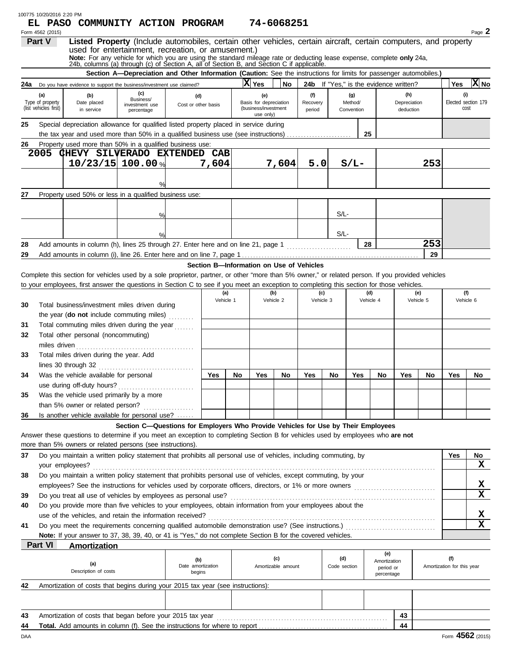|    | 100775 10/20/2016 2:20 PM                        | EL PASO COMMUNITY ACTION PROGRAM                                                                                                                                                                                                                                                                                                                                                             |                                                                                                                    |                                    |                  |    |                                                                    | 74-6068251                |                                          |                     |                              |                                         |                                               |                  |                                   |                             |
|----|--------------------------------------------------|----------------------------------------------------------------------------------------------------------------------------------------------------------------------------------------------------------------------------------------------------------------------------------------------------------------------------------------------------------------------------------------------|--------------------------------------------------------------------------------------------------------------------|------------------------------------|------------------|----|--------------------------------------------------------------------|---------------------------|------------------------------------------|---------------------|------------------------------|-----------------------------------------|-----------------------------------------------|------------------|-----------------------------------|-----------------------------|
|    | Form 4562 (2015)<br>Part V                       | Listed Property (Include automobiles, certain other vehicles, certain aircraft, certain computers, and property<br>used for entertainment, recreation, or amusement.)<br>Note: For any vehicle for which you are using the standard mileage rate or deducting lease expense, complete only 24a,<br>24b, columns (a) through (c) of Section A, all of Section B, and Section C if applicable. |                                                                                                                    |                                    |                  |    |                                                                    |                           |                                          |                     |                              |                                         |                                               |                  |                                   | Page 2                      |
|    |                                                  |                                                                                                                                                                                                                                                                                                                                                                                              | Section A-Depreciation and Other Information (Caution: See the instructions for limits for passenger automobiles.) |                                    |                  |    |                                                                    |                           |                                          |                     |                              |                                         |                                               |                  |                                   |                             |
|    |                                                  | <b>24a</b> Do you have evidence to support the business/investment use claimed?                                                                                                                                                                                                                                                                                                              |                                                                                                                    |                                    |                  |    | X Yes                                                              | No                        |                                          |                     |                              |                                         | <b>24b</b> If "Yes," is the evidence written? |                  | Yes                               | $ X $ No                    |
|    | (a)<br>Type of property<br>(list vehicles first) | (b)<br>Date placed<br>in service                                                                                                                                                                                                                                                                                                                                                             | (c)<br>Business/<br>investment use<br>percentage                                                                   | (d)<br>Cost or other basis         |                  |    | (e)<br>Basis for depreciation<br>(business/investment<br>use only) |                           | (f)<br>Recovery<br>period                |                     | (g)<br>Method/<br>Convention |                                         | (h)<br>Depreciation<br>deduction              |                  | (i)                               | Elected section 179<br>cost |
| 25 |                                                  | Special depreciation allowance for qualified listed property placed in service during                                                                                                                                                                                                                                                                                                        |                                                                                                                    |                                    |                  |    |                                                                    |                           |                                          |                     |                              |                                         |                                               |                  |                                   |                             |
|    |                                                  | the tax year and used more than 50% in a qualified business use (see instructions)                                                                                                                                                                                                                                                                                                           |                                                                                                                    |                                    |                  |    |                                                                    |                           |                                          |                     | 25                           |                                         |                                               |                  |                                   |                             |
| 26 |                                                  | Property used more than 50% in a qualified business use:                                                                                                                                                                                                                                                                                                                                     |                                                                                                                    |                                    |                  |    |                                                                    |                           |                                          |                     |                              |                                         |                                               |                  |                                   |                             |
|    | 2005                                             | CHEVY SILVERADO EXTENDED CAB                                                                                                                                                                                                                                                                                                                                                                 |                                                                                                                    |                                    |                  |    |                                                                    |                           |                                          |                     |                              |                                         |                                               |                  |                                   |                             |
|    |                                                  | $10/23/15$ 100.00 %                                                                                                                                                                                                                                                                                                                                                                          |                                                                                                                    |                                    | 7,604            |    |                                                                    | 7,604                     | 5.0                                      |                     | $S/L-$                       |                                         |                                               | 253              |                                   |                             |
|    |                                                  |                                                                                                                                                                                                                                                                                                                                                                                              |                                                                                                                    |                                    |                  |    |                                                                    |                           |                                          |                     |                              |                                         |                                               |                  |                                   |                             |
|    |                                                  |                                                                                                                                                                                                                                                                                                                                                                                              |                                                                                                                    |                                    |                  |    |                                                                    |                           |                                          |                     |                              |                                         |                                               |                  |                                   |                             |
| 27 |                                                  | Property used 50% or less in a qualified business use:                                                                                                                                                                                                                                                                                                                                       |                                                                                                                    |                                    |                  |    |                                                                    |                           |                                          |                     |                              |                                         |                                               |                  |                                   |                             |
|    |                                                  |                                                                                                                                                                                                                                                                                                                                                                                              |                                                                                                                    |                                    |                  |    |                                                                    |                           |                                          | $S/L$ -             |                              |                                         |                                               |                  |                                   |                             |
|    |                                                  |                                                                                                                                                                                                                                                                                                                                                                                              | %                                                                                                                  |                                    |                  |    |                                                                    |                           |                                          |                     |                              |                                         |                                               |                  |                                   |                             |
|    |                                                  |                                                                                                                                                                                                                                                                                                                                                                                              | $\frac{0}{0}$                                                                                                      |                                    |                  |    |                                                                    |                           |                                          | $S/L$ -             |                              |                                         |                                               |                  |                                   |                             |
| 28 |                                                  | Add amounts in column (h), lines 25 through 27. Enter here and on line 21, page 1                                                                                                                                                                                                                                                                                                            |                                                                                                                    |                                    |                  |    |                                                                    |                           |                                          |                     | 28                           |                                         |                                               | 253              |                                   |                             |
| 29 |                                                  |                                                                                                                                                                                                                                                                                                                                                                                              |                                                                                                                    |                                    |                  |    |                                                                    |                           |                                          |                     |                              |                                         |                                               | 29               |                                   |                             |
|    |                                                  |                                                                                                                                                                                                                                                                                                                                                                                              |                                                                                                                    |                                    |                  |    |                                                                    |                           | Section B-Information on Use of Vehicles |                     |                              |                                         |                                               |                  |                                   |                             |
|    |                                                  | Complete this section for vehicles used by a sole proprietor, partner, or other "more than 5% owner," or related person. If you provided vehicles                                                                                                                                                                                                                                            |                                                                                                                    |                                    |                  |    |                                                                    |                           |                                          |                     |                              |                                         |                                               |                  |                                   |                             |
|    |                                                  | to your employees, first answer the questions in Section C to see if you meet an exception to completing this section for those vehicles.                                                                                                                                                                                                                                                    |                                                                                                                    |                                    |                  |    |                                                                    |                           |                                          |                     |                              |                                         |                                               |                  |                                   |                             |
|    |                                                  |                                                                                                                                                                                                                                                                                                                                                                                              |                                                                                                                    |                                    | (a)<br>Vehicle 1 |    |                                                                    | (b)<br>Vehicle 2          | (c)<br>Vehicle 3                         |                     |                              | (d)<br>Vehicle 4                        |                                               | (e)<br>Vehicle 5 |                                   | (f)<br>Vehicle 6            |
| 30 |                                                  | Total business/investment miles driven during                                                                                                                                                                                                                                                                                                                                                |                                                                                                                    |                                    |                  |    |                                                                    |                           |                                          |                     |                              |                                         |                                               |                  |                                   |                             |
|    |                                                  | the year ( <b>do not</b> include commuting miles)                                                                                                                                                                                                                                                                                                                                            |                                                                                                                    |                                    |                  |    |                                                                    |                           |                                          |                     |                              |                                         |                                               |                  |                                   |                             |
| 31 |                                                  | Total commuting miles driven during the year                                                                                                                                                                                                                                                                                                                                                 |                                                                                                                    |                                    |                  |    |                                                                    |                           |                                          |                     |                              |                                         |                                               |                  |                                   |                             |
| 32 |                                                  | Total other personal (noncommuting)                                                                                                                                                                                                                                                                                                                                                          |                                                                                                                    |                                    |                  |    |                                                                    |                           |                                          |                     |                              |                                         |                                               |                  |                                   |                             |
|    | miles driven                                     |                                                                                                                                                                                                                                                                                                                                                                                              |                                                                                                                    |                                    |                  |    |                                                                    |                           |                                          |                     |                              |                                         |                                               |                  |                                   |                             |
| 33 |                                                  | Total miles driven during the year. Add<br>lines 30 through 32                                                                                                                                                                                                                                                                                                                               |                                                                                                                    |                                    |                  |    |                                                                    |                           |                                          |                     |                              |                                         |                                               |                  |                                   |                             |
| 34 |                                                  | Was the vehicle available for personal                                                                                                                                                                                                                                                                                                                                                       |                                                                                                                    |                                    | Yes              | No | Yes                                                                | No                        | Yes                                      | No                  | Yes                          | No                                      | Yes                                           | No               | Yes                               | No                          |
|    |                                                  | use during off-duty hours?                                                                                                                                                                                                                                                                                                                                                                   |                                                                                                                    |                                    |                  |    |                                                                    |                           |                                          |                     |                              |                                         |                                               |                  |                                   |                             |
| 35 |                                                  | Was the vehicle used primarily by a more                                                                                                                                                                                                                                                                                                                                                     |                                                                                                                    |                                    |                  |    |                                                                    |                           |                                          |                     |                              |                                         |                                               |                  |                                   |                             |
|    |                                                  | than 5% owner or related person?                                                                                                                                                                                                                                                                                                                                                             |                                                                                                                    |                                    |                  |    |                                                                    |                           |                                          |                     |                              |                                         |                                               |                  |                                   |                             |
| 36 |                                                  | Is another vehicle available for personal use?                                                                                                                                                                                                                                                                                                                                               |                                                                                                                    |                                    |                  |    |                                                                    |                           |                                          |                     |                              |                                         |                                               |                  |                                   |                             |
|    |                                                  |                                                                                                                                                                                                                                                                                                                                                                                              | Section C-Questions for Employers Who Provide Vehicles for Use by Their Employees                                  |                                    |                  |    |                                                                    |                           |                                          |                     |                              |                                         |                                               |                  |                                   |                             |
|    |                                                  | Answer these questions to determine if you meet an exception to completing Section B for vehicles used by employees who are not                                                                                                                                                                                                                                                              |                                                                                                                    |                                    |                  |    |                                                                    |                           |                                          |                     |                              |                                         |                                               |                  |                                   |                             |
|    |                                                  | more than 5% owners or related persons (see instructions).                                                                                                                                                                                                                                                                                                                                   |                                                                                                                    |                                    |                  |    |                                                                    |                           |                                          |                     |                              |                                         |                                               |                  |                                   |                             |
| 37 |                                                  | Do you maintain a written policy statement that prohibits all personal use of vehicles, including commuting, by                                                                                                                                                                                                                                                                              |                                                                                                                    |                                    |                  |    |                                                                    |                           |                                          |                     |                              |                                         |                                               |                  | Yes                               | No                          |
|    |                                                  | your employees?                                                                                                                                                                                                                                                                                                                                                                              |                                                                                                                    |                                    |                  |    |                                                                    |                           |                                          |                     |                              |                                         |                                               |                  |                                   | $\mathbf x$                 |
| 38 |                                                  | Do you maintain a written policy statement that prohibits personal use of vehicles, except commuting, by your                                                                                                                                                                                                                                                                                |                                                                                                                    |                                    |                  |    |                                                                    |                           |                                          |                     |                              |                                         |                                               |                  |                                   |                             |
|    |                                                  |                                                                                                                                                                                                                                                                                                                                                                                              |                                                                                                                    |                                    |                  |    |                                                                    |                           |                                          |                     |                              |                                         |                                               |                  |                                   | х<br>$\mathbf x$            |
| 39 |                                                  | Do you treat all use of vehicles by employees as personal use?                                                                                                                                                                                                                                                                                                                               |                                                                                                                    |                                    |                  |    |                                                                    |                           |                                          |                     |                              |                                         |                                               |                  |                                   |                             |
| 40 |                                                  | Do you provide more than five vehicles to your employees, obtain information from your employees about the                                                                                                                                                                                                                                                                                   |                                                                                                                    |                                    |                  |    |                                                                    |                           |                                          |                     |                              |                                         |                                               |                  |                                   | х                           |
| 41 |                                                  | use of the vehicles, and retain the information received?                                                                                                                                                                                                                                                                                                                                    |                                                                                                                    |                                    |                  |    |                                                                    |                           |                                          |                     |                              |                                         |                                               |                  |                                   | $\mathbf x$                 |
|    |                                                  | Note: If your answer to 37, 38, 39, 40, or 41 is "Yes," do not complete Section B for the covered vehicles.                                                                                                                                                                                                                                                                                  |                                                                                                                    |                                    |                  |    |                                                                    |                           |                                          |                     |                              |                                         |                                               |                  |                                   |                             |
|    | <b>Part VI</b>                                   | <b>Amortization</b>                                                                                                                                                                                                                                                                                                                                                                          |                                                                                                                    |                                    |                  |    |                                                                    |                           |                                          |                     |                              |                                         |                                               |                  |                                   |                             |
|    |                                                  |                                                                                                                                                                                                                                                                                                                                                                                              |                                                                                                                    |                                    |                  |    |                                                                    |                           |                                          |                     |                              | (e)                                     |                                               |                  |                                   |                             |
|    |                                                  | (a)<br>Description of costs                                                                                                                                                                                                                                                                                                                                                                  |                                                                                                                    | (b)<br>Date amortization<br>begins |                  |    |                                                                    | (c)<br>Amortizable amount |                                          | (d)<br>Code section |                              | Amortization<br>period or<br>percentage |                                               |                  | (f)<br>Amortization for this year |                             |
| 42 |                                                  | Amortization of costs that begins during your 2015 tax year (see instructions):                                                                                                                                                                                                                                                                                                              |                                                                                                                    |                                    |                  |    |                                                                    |                           |                                          |                     |                              |                                         |                                               |                  |                                   |                             |
|    |                                                  |                                                                                                                                                                                                                                                                                                                                                                                              |                                                                                                                    |                                    |                  |    |                                                                    |                           |                                          |                     |                              |                                         |                                               |                  |                                   |                             |
|    |                                                  |                                                                                                                                                                                                                                                                                                                                                                                              |                                                                                                                    |                                    |                  |    |                                                                    |                           |                                          |                     |                              |                                         |                                               |                  |                                   |                             |
| 43 |                                                  | Amortization of costs that began before your 2015 tax year                                                                                                                                                                                                                                                                                                                                   |                                                                                                                    |                                    |                  |    |                                                                    |                           |                                          |                     |                              |                                         | 43                                            |                  |                                   |                             |
| 44 |                                                  | Total. Add amounts in column (f). See the instructions for where to report                                                                                                                                                                                                                                                                                                                   |                                                                                                                    |                                    |                  |    |                                                                    |                           |                                          |                     |                              |                                         | 44                                            |                  |                                   |                             |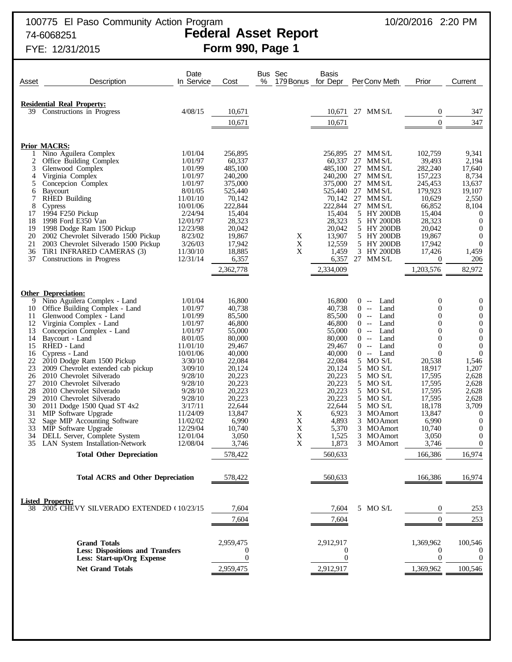# FYE: 12/31/2015 **Form 990, Page 1**

| Asset    | Description                                               | Date<br>In Service   | Cost               | Bus Sec<br>%<br>179 Bonus for Depr | Basis              | PerConv Meth                                   | Prior                      | Current                              |
|----------|-----------------------------------------------------------|----------------------|--------------------|------------------------------------|--------------------|------------------------------------------------|----------------------------|--------------------------------------|
|          | <b>Residential Real Property:</b>                         |                      |                    |                                    |                    |                                                |                            |                                      |
| 39.      | Constructions in Progress                                 | 4/08/15              | 10,671             |                                    | 10,671             | 27 MM S/L                                      | $\mathbf{0}$               | 347                                  |
|          |                                                           |                      | 10,671             |                                    | 10,671             |                                                | $\theta$                   | 347                                  |
|          |                                                           |                      |                    |                                    |                    |                                                |                            |                                      |
|          | <b>Prior MACRS:</b><br>Nino Aguilera Complex              | 1/01/04              | 256,895            |                                    | 256,895            | 27 MM S/L                                      | 102,759                    | 9,341                                |
| 2        | Office Building Complex                                   | 1/01/97              | 60,337             |                                    | 60,337             | 27 MM $S/L$                                    | 39,493                     | 2,194                                |
| 3        | Glenwood Complex                                          | 1/01/99              | 485,100            |                                    | 485.100            | 27<br>MM S/L                                   | 282,240                    | 17,640                               |
| 4<br>5   | Virginia Complex<br>Concepcion Complex                    | 1/01/97<br>1/01/97   | 240,200<br>375,000 |                                    | 240,200<br>375,000 | 27 MM S/L<br>27 MM S/L                         | 157,223<br>245,453         | 8,734<br>13,637                      |
| 6        | <b>Baycourt</b>                                           | 8/01/05              | 525,440            |                                    | 525,440            | 27 MM S/L                                      | 179,923                    | 19,107                               |
| 7        | <b>RHED Building</b>                                      | 11/01/10             | 70,142             |                                    | 70,142             | 27 MM S/L                                      | 10,629                     | 2,550                                |
| 8        | Cypress                                                   | 10/01/06             | 222,844            |                                    | 222,844            | 27 MM S/L                                      | 66,852                     | 8,104                                |
| 17<br>18 | 1994 F250 Pickup<br>1998 Ford E350 Van                    | 2/24/94<br>12/01/97  | 15,404<br>28,323   |                                    | 15,404<br>28,323   | 5 HY 200DB<br>5 HY 200DB                       | 15,404<br>28,323           | $\boldsymbol{0}$<br>$\boldsymbol{0}$ |
| 19       | 1998 Dodge Ram 1500 Pickup                                | 12/23/98             | 20,042             |                                    | 20,042             | 5 HY 200DB                                     | 20,042                     | $\overline{0}$                       |
| 20       | 2002 Chevrolet Silverado 1500 Pickup                      | 8/23/02              | 19,867             | X                                  | 13,907             | 5 HY 200DB                                     | 19,867                     | $\boldsymbol{0}$                     |
| 21<br>36 | 2003 Chevrolet Silverado 1500 Pickup                      | 3/26/03<br>11/30/10  | 17,942<br>18,885   | X<br>X                             | 12,559<br>1,459    | 5 HY 200DB<br>3 HY 200DB                       | 17,942                     | $\theta$                             |
| 37       | TIR1 INFRARED CAMERAS (3)<br>Constructions in Progress    | 12/31/14             | 6,357              |                                    | 6,357              | 27 MM S/L                                      | 17,426<br>$\theta$         | 1,459<br>206                         |
|          |                                                           |                      | 2,362,778          |                                    | 2,334,009          |                                                | 1,203,576                  | 82,972                               |
|          |                                                           |                      |                    |                                    |                    |                                                |                            |                                      |
|          | <b>Other Depreciation:</b>                                |                      |                    |                                    |                    |                                                |                            |                                      |
| 9<br>10  | Nino Aguilera Complex - Land                              | 1/01/04<br>1/01/97   | 16,800<br>40,738   |                                    | 16,800<br>40,738   | $0 -$<br>Land<br>$\overline{0}$<br>Land        | $\mathbf{0}$<br>$\theta$   | $\boldsymbol{0}$<br>$\mathbf{0}$     |
| 11       | Office Building Complex - Land<br>Glenwood Complex - Land | 1/01/99              | 85,500             |                                    | 85,500             | $-$<br>$0 -$<br>Land                           | $\overline{0}$             | $\mathbf{0}$                         |
| 12       | Virginia Complex - Land                                   | 1/01/97              | 46,800             |                                    | 46,800             | $\overline{0}$<br>Land<br>$-$                  | $\theta$                   | $\boldsymbol{0}$                     |
| 13       | Concepcion Complex - Land                                 | 1/01/97              | 55,000             |                                    | 55,000             | Land<br>$0 -$                                  | $\overline{0}$             | $\mathbf{0}$                         |
| 14<br>15 | Baycourt - Land<br>RHED - Land                            | 8/01/05<br>11/01/10  | 80,000<br>29,467   |                                    | 80,000<br>29,467   | $\overline{0}$<br>Land<br>$-$<br>Land<br>$0 -$ | $\theta$<br>$\overline{0}$ | $\boldsymbol{0}$<br>$\theta$         |
| 16       | Cypress - Land                                            | 10/01/06             | 40,000             |                                    | 40,000             | $0 -$<br>Land                                  | $\theta$                   | $\theta$                             |
| 22       | 2010 Dodge Ram 1500 Pickup                                | 3/30/10              | 22,084             |                                    | 22,084             | 5 MO S/L                                       | 20,538                     | 1,546                                |
| 23       | 2009 Chevrolet extended cab pickup                        | 3/09/10              | 20,124             |                                    | 20,124             | 5 MO S/L                                       | 18,917                     | 1,207                                |
| 26<br>27 | 2010 Chevrolet Silverado<br>2010 Chevrolet Silverado      | 9/28/10<br>9/28/10   | 20,223<br>20,223   |                                    | 20,223<br>20,223   | 5 MO S/L<br>5 MO S/L                           | 17,595<br>17,595           | 2,628<br>2,628                       |
| 28       | 2010 Chevrolet Silverado                                  | 9/28/10              | 20,223             |                                    | 20,223             | 5 MO S/L                                       | 17,595                     | 2,628                                |
| 29       | 2010 Chevrolet Silverado                                  | 9/28/10              | 20,223             |                                    | 20,223             | 5 MO S/L                                       | 17,595                     | 2,628                                |
| 30       | 2011 Dodge 1500 Quad ST 4x2                               | 3/17/11              | 22,644             |                                    | 22,644             | 5 MO S/L                                       | 18,178                     | 3,709                                |
| 31<br>32 | MIP Software Upgrade<br>Sage MIP Accounting Software      | 11/24/09<br>11/02/02 | 13,847<br>6,990    | X<br>X                             | 6,923<br>4,893     | 3 MOAmort<br>3 MOAmort                         | 13,847<br>6,990            | $\boldsymbol{0}$<br>$\boldsymbol{0}$ |
| 33       | MIP Software Upgrade                                      | 12/29/04             | 10,740             | X                                  | 5,370              | 3 MOAmort                                      | 10,740                     | $\mathbf{0}$                         |
| 34       | DELL Server, Complete System                              | 12/01/04             | 3,050              | X                                  | 1,525              | 3 MOAmort                                      | 3,050                      | $\theta$                             |
|          | 35 LAN System Installation-Network                        | 12/08/04             | 3,746              | X                                  | 1,873              | 3 MOAmort                                      | 3,746                      | $\boldsymbol{0}$                     |
|          | <b>Total Other Depreciation</b>                           |                      | 578,422            |                                    | 560,633            |                                                | 166,386                    | 16,974                               |
|          | <b>Total ACRS and Other Depreciation</b>                  |                      | 578,422            |                                    | 560,633            |                                                | 166,386                    | 16,974                               |
|          |                                                           |                      |                    |                                    |                    |                                                |                            |                                      |
|          | <b>Listed Property:</b>                                   |                      |                    |                                    |                    |                                                |                            |                                      |
| 38.      | 2005 CHEVY SILVERADO EXTENDED (10/23/15                   |                      | 7,604              |                                    | 7,604              | 5 MO S/L                                       | $\boldsymbol{0}$           | 253                                  |
|          |                                                           |                      | 7,604              |                                    | 7,604              |                                                | $\boldsymbol{0}$           | 253                                  |
|          | <b>Grand Totals</b>                                       |                      | 2,959,475          |                                    | 2,912,917          |                                                | 1,369,962                  | 100,546                              |
|          | <b>Less: Dispositions and Transfers</b>                   |                      | $\theta$           |                                    | $\theta$           |                                                | $\theta$                   | $\theta$                             |
|          | Less: Start-up/Org Expense                                |                      | $\overline{0}$     |                                    | $\boldsymbol{0}$   |                                                | $\boldsymbol{0}$           | $\boldsymbol{0}$                     |
|          | <b>Net Grand Totals</b>                                   |                      | 2,959,475          |                                    | 2,912,917          |                                                | 1,369,962                  | 100,546                              |
|          |                                                           |                      |                    |                                    |                    |                                                |                            |                                      |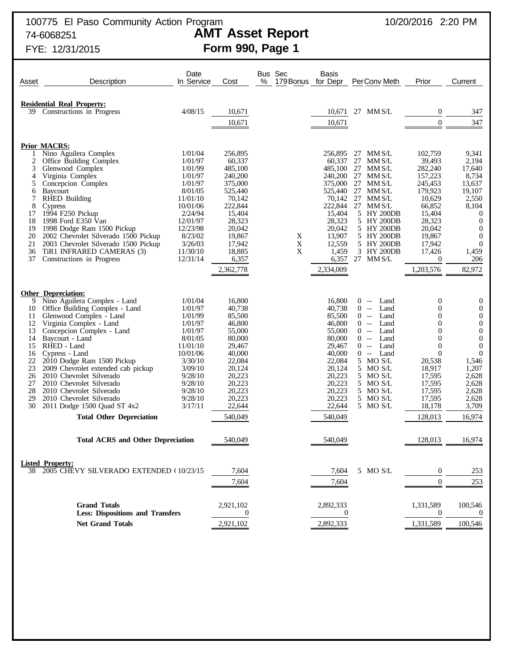# FYE: 12/31/2015 **Form 990, Page 1**

| Asset    | Description                                                       | Date<br>In Service  | Cost              | Bus Sec<br>% |   | <b>Basis</b><br>179 Bonus for Depr | PerConv Meth                                    | Prior                                | Current                              |
|----------|-------------------------------------------------------------------|---------------------|-------------------|--------------|---|------------------------------------|-------------------------------------------------|--------------------------------------|--------------------------------------|
|          |                                                                   |                     |                   |              |   |                                    |                                                 |                                      |                                      |
|          |                                                                   |                     |                   |              |   |                                    |                                                 |                                      |                                      |
|          | <b>Residential Real Property:</b><br>39 Constructions in Progress | 4/08/15             | 10,671            |              |   | 10,671                             | 27 MM S/L                                       | $\boldsymbol{0}$                     | 347                                  |
|          |                                                                   |                     | 10,671            |              |   | 10,671                             |                                                 | $\overline{0}$                       | 347                                  |
|          |                                                                   |                     |                   |              |   |                                    |                                                 |                                      |                                      |
|          |                                                                   |                     |                   |              |   |                                    |                                                 |                                      |                                      |
|          | <b>Prior MACRS:</b>                                               |                     |                   |              |   |                                    |                                                 |                                      |                                      |
| -1<br>2  | Nino Aguilera Complex<br>Office Building Complex                  | 1/01/04<br>1/01/97  | 256,895<br>60,337 |              |   | 256,895<br>60,337                  | 27 MM S/L<br>27<br>MM S/L                       | 102,759<br>39,493                    | 9,341<br>2,194                       |
| 3        | Glenwood Complex                                                  | 1/01/99             | 485,100           |              |   | 485,100                            | 27<br>MM S/L                                    | 282,240                              | 17,640                               |
| 4        | Virginia Complex                                                  | 1/01/97             | 240,200           |              |   | 240,200                            | 27<br>MM S/L                                    | 157,223                              | 8,734                                |
| 5        | Concepcion Complex                                                | 1/01/97             | 375,000           |              |   | 375,000                            | 27<br>MM S/L                                    | 245,453                              | 13,637                               |
| 6        | <b>Baycourt</b>                                                   | 8/01/05             | 525,440           |              |   | 525,440                            | 27<br>MM S/L                                    | 179,923                              | 19,107                               |
| 7        | <b>RHED Building</b>                                              | 11/01/10            | 70,142            |              |   | 70,142                             | 27<br>MM S/L                                    | 10,629                               | 2,550                                |
| 8<br>17  | Cypress<br>1994 F250 Pickup                                       | 10/01/06<br>2/24/94 | 222,844<br>15,404 |              |   | 222,844<br>15,404                  | 27 MM S/L<br>5 HY 200DB                         | 66,852<br>15,404                     | 8,104<br>$\boldsymbol{0}$            |
| 18       | 1998 Ford E350 Van                                                | 12/01/97            | 28,323            |              |   | 28,323                             | 5 HY 200DB                                      | 28,323                               | $\mathbf{0}$                         |
| 19       | 1998 Dodge Ram 1500 Pickup                                        | 12/23/98            | 20,042            |              |   | 20,042                             | 5 HY 200DB                                      | 20,042                               | $\mathbf{0}$                         |
| 20       | 2002 Chevrolet Silverado 1500 Pickup                              | 8/23/02             | 19,867            |              | X | 13,907                             | 5 HY 200DB                                      | 19,867                               | $\mathbf{0}$                         |
| 21       | 2003 Chevrolet Silverado 1500 Pickup                              | 3/26/03             | 17,942            |              | X | 12,559                             | 5 HY 200DB                                      | 17,942                               | $\mathbf{0}$                         |
| 36       | TIR1 INFRARED CAMERAS (3)                                         | 11/30/10            | 18,885            |              | X | 1,459                              | 3 HY 200DB                                      | 17,426                               | 1,459                                |
| 37       | Constructions in Progress                                         | 12/31/14            | 6,357             |              |   | 6,357                              | 27 MM S/L                                       | $\theta$                             | 206                                  |
|          |                                                                   |                     | 2,362,778         |              |   | 2,334,009                          |                                                 | 1,203,576                            | 82,972                               |
|          |                                                                   |                     |                   |              |   |                                    |                                                 |                                      |                                      |
|          | <b>Other Depreciation:</b>                                        |                     |                   |              |   |                                    |                                                 |                                      |                                      |
| 9        | Nino Aguilera Complex - Land                                      | 1/01/04             | 16,800            |              |   | 16,800                             | Land<br>$0 -$                                   | $\mathbf{0}$                         | $\mathbf{0}$                         |
| 10       | Office Building Complex - Land                                    | 1/01/97             | 40,738            |              |   | 40,738                             | $\overline{0}$<br>Land<br>$-$                   | $\boldsymbol{0}$                     | $\boldsymbol{0}$                     |
| 11       | Glenwood Complex - Land                                           | 1/01/99             | 85,500            |              |   | 85,500                             | Land<br>$0 -$                                   | $\boldsymbol{0}$                     | $\boldsymbol{0}$                     |
| 12<br>13 | Virginia Complex - Land<br>Concepcion Complex - Land              | 1/01/97<br>1/01/97  | 46,800<br>55,000  |              |   | 46,800<br>55,000                   | $\overline{0}$<br>Land<br>$--$<br>Land<br>$0 -$ | $\boldsymbol{0}$<br>$\boldsymbol{0}$ | $\boldsymbol{0}$<br>$\boldsymbol{0}$ |
| 14       | Baycourt - Land                                                   | 8/01/05             | 80,000            |              |   | 80,000                             | $\overline{0}$<br>Land<br>$-$                   | $\boldsymbol{0}$                     | $\boldsymbol{0}$                     |
| 15       | RHED - Land                                                       | 11/01/10            | 29,467            |              |   | 29,467                             | Land<br>$0 -$                                   | $\boldsymbol{0}$                     | $\mathbf{0}$                         |
| 16       | Cypress - Land                                                    | 10/01/06            | 40,000            |              |   | 40,000                             | Land<br>$0 -$                                   | $\overline{0}$                       | $\boldsymbol{0}$                     |
| 22       | 2010 Dodge Ram 1500 Pickup                                        | 3/30/10             | 22,084            |              |   | 22,084                             | 5 MO S/L                                        | 20,538                               | 1,546                                |
| 23       | 2009 Chevrolet extended cab pickup                                | 3/09/10             | 20,124            |              |   | 20,124                             | 5 MO S/L                                        | 18,917                               | 1,207                                |
| 26<br>27 | 2010 Chevrolet Silverado<br>2010 Chevrolet Silverado              | 9/28/10<br>9/28/10  | 20,223<br>20,223  |              |   | 20,223<br>20,223                   | 5 MO S/L<br>5 MO S/L                            | 17,595<br>17,595                     | 2,628<br>2,628                       |
| 28       | 2010 Chevrolet Silverado                                          | 9/28/10             | 20,223            |              |   | 20,223                             | 5 MO S/L                                        | 17,595                               | 2,628                                |
| 29       | 2010 Chevrolet Silverado                                          | 9/28/10             | 20,223            |              |   | 20,223                             | 5 MO S/L                                        | 17,595                               | 2,628                                |
| 30       | 2011 Dodge 1500 Quad ST 4x2                                       | 3/17/11             | 22,644            |              |   | 22,644                             | 5 MO S/L                                        | 18,178                               | 3,709                                |
|          | <b>Total Other Depreciation</b>                                   |                     | 540,049           |              |   | 540,049                            |                                                 | 128,013                              | 16,974                               |
|          |                                                                   |                     |                   |              |   |                                    |                                                 |                                      |                                      |
|          | <b>Total ACRS and Other Depreciation</b>                          |                     | 540,049           |              |   | 540,049                            |                                                 | 128,013                              | 16,974                               |
|          |                                                                   |                     |                   |              |   |                                    |                                                 |                                      |                                      |
|          |                                                                   |                     |                   |              |   |                                    |                                                 |                                      |                                      |
|          | <b>Listed Property:</b>                                           |                     |                   |              |   |                                    |                                                 |                                      |                                      |
| 38       | 2005 CHEVY SILVERADO EXTENDED (10/23/15                           |                     | 7,604             |              |   | 7,604                              | 5 MO S/L                                        | $\boldsymbol{0}$                     | 253                                  |
|          |                                                                   |                     | 7,604             |              |   | 7,604                              |                                                 | $\mathbf{0}$                         | 253                                  |
|          |                                                                   |                     |                   |              |   |                                    |                                                 |                                      |                                      |
|          | <b>Grand Totals</b>                                               |                     | 2,921,102         |              |   | 2,892,333                          |                                                 | 1,331,589                            | 100,546                              |
|          | <b>Less: Dispositions and Transfers</b>                           |                     | 0                 |              |   | $\theta$                           |                                                 | $\boldsymbol{0}$                     | $\theta$                             |
|          | <b>Net Grand Totals</b>                                           |                     | 2,921,102         |              |   | 2,892,333                          |                                                 | 1,331,589                            | 100,546                              |
|          |                                                                   |                     |                   |              |   |                                    |                                                 |                                      |                                      |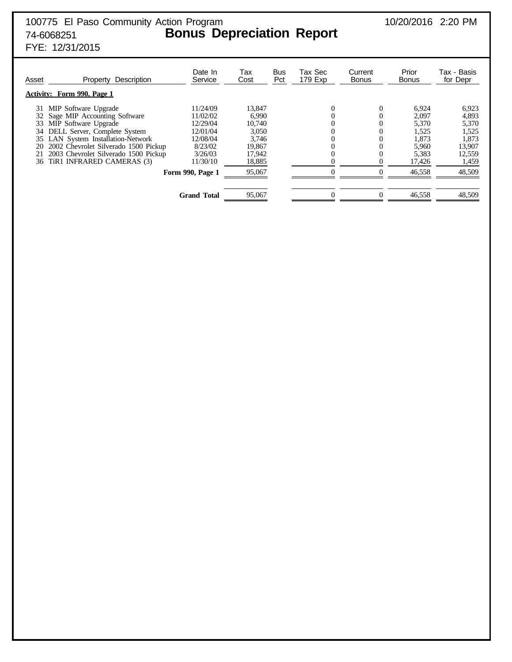FYE: 12/31/2015

| Asset | Description<br>Property<br><b>Activity: Form 990, Page 1</b> | Date In<br>Service | Tax<br>Cost | Bus<br>Pct | Tax Sec<br>179 Exp | Current<br><b>Bonus</b> | Prior<br><b>Bonus</b> | Tax - Basis<br>for Depr |
|-------|--------------------------------------------------------------|--------------------|-------------|------------|--------------------|-------------------------|-----------------------|-------------------------|
| 31    | MIP Software Upgrade                                         | 11/24/09           | 13.847      |            |                    |                         | 6,924                 | 6,923                   |
|       | Sage MIP Accounting Software                                 | 11/02/02           | 6.990       |            |                    |                         | 2,097                 | 4,893                   |
| 33    | MIP Software Upgrade                                         | 12/29/04           | 10.740      |            |                    |                         | 5,370                 | 5,370                   |
|       | 34 DELL Server, Complete System                              | 12/01/04           | 3.050       |            |                    |                         | 1,525                 | 1,525                   |
|       | 35 LAN System Installation-Network                           | 12/08/04           | 3,746       |            |                    |                         | 1,873                 | 1,873                   |
| 20    | 2002 Chevrolet Silverado 1500 Pickup                         | 8/23/02            | 19.867      |            |                    |                         | 5,960                 | 13,907                  |
| 21    | 2003 Chevrolet Silverado 1500 Pickup                         | 3/26/03            | 17,942      |            |                    |                         | 5,383                 | 12,559                  |
| 36    | TiR1 INFRARED CAMERAS (3)                                    | 11/30/10           | 18,885      |            |                    |                         | 17,426                | 1,459                   |
|       |                                                              | Form 990, Page 1   | 95,067      |            |                    |                         | 46,558                | 48,509                  |
|       |                                                              | <b>Grand Total</b> | 95,067      |            | 0                  |                         | 46,558                | 48,509                  |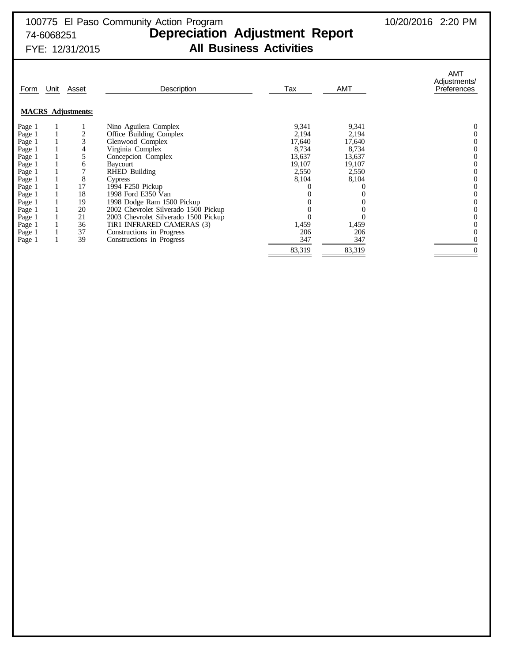| Form   | Unit | Asset                     | Description                          | Tax    | <b>AMT</b> | <b>AMT</b><br>Adjustments/<br>Preferences |
|--------|------|---------------------------|--------------------------------------|--------|------------|-------------------------------------------|
|        |      | <b>MACRS</b> Adjustments: |                                      |        |            |                                           |
| Page 1 |      |                           | Nino Aguilera Complex                | 9,341  | 9,341      |                                           |
| Page 1 |      |                           | Office Building Complex              | 2,194  | 2,194      |                                           |
| Page 1 |      | 3                         | Glenwood Complex                     | 17,640 | 17,640     |                                           |
| Page 1 |      | 4                         | Virginia Complex                     | 8,734  | 8,734      |                                           |
| Page 1 |      | 5                         | Concepcion Complex                   | 13,637 | 13,637     |                                           |
| Page 1 |      | 6                         | Baycourt                             | 19,107 | 19,107     |                                           |
| Page 1 |      | 7                         | RHED Building                        | 2,550  | 2,550      |                                           |
| Page 1 |      | 8                         | <b>Cypress</b>                       | 8,104  | 8,104      |                                           |
| Page 1 |      | 17                        | 1994 F250 Pickup                     |        |            |                                           |
| Page 1 |      | 18                        | 1998 Ford E350 Van                   |        |            |                                           |
| Page 1 |      | 19                        | 1998 Dodge Ram 1500 Pickup           |        |            |                                           |
| Page 1 |      | 20                        | 2002 Chevrolet Silverado 1500 Pickup |        |            |                                           |
| Page 1 |      | 21                        | 2003 Chevrolet Silverado 1500 Pickup |        |            |                                           |
| Page 1 |      | 36                        | TIR1 INFRARED CAMERAS (3)            | 1,459  | 1,459      |                                           |
| Page 1 |      | 37                        | Constructions in Progress            | 206    | 206        |                                           |
| Page 1 |      | 39                        | Constructions in Progress            | 347    | 347        |                                           |
|        |      |                           |                                      | 83,319 | 83,319     |                                           |
|        |      |                           |                                      |        |            |                                           |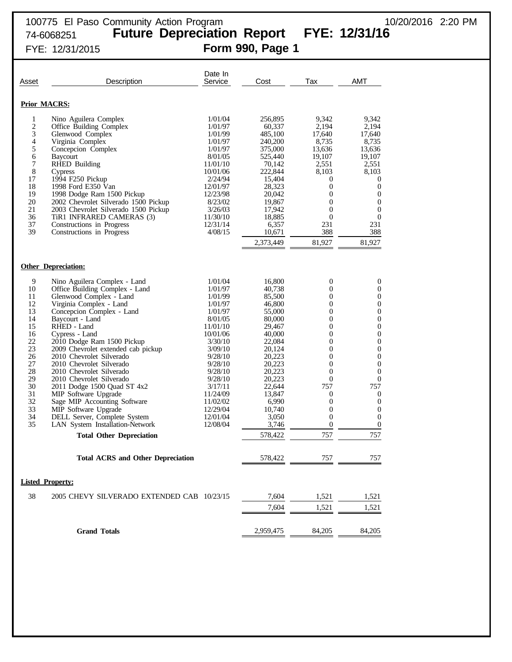| Asset                                                                                                               | Description                                                                                                                                                                                                                                                                                                                                                                                                                                                                                                                                                                                                    | Date In<br>Service                                                                                                                                                                                                              | Cost                                                                                                                                                                                                         | Tax                                                                                                                                                                                                                                    | <b>AMT</b>                                                                                                                                                       |
|---------------------------------------------------------------------------------------------------------------------|----------------------------------------------------------------------------------------------------------------------------------------------------------------------------------------------------------------------------------------------------------------------------------------------------------------------------------------------------------------------------------------------------------------------------------------------------------------------------------------------------------------------------------------------------------------------------------------------------------------|---------------------------------------------------------------------------------------------------------------------------------------------------------------------------------------------------------------------------------|--------------------------------------------------------------------------------------------------------------------------------------------------------------------------------------------------------------|----------------------------------------------------------------------------------------------------------------------------------------------------------------------------------------------------------------------------------------|------------------------------------------------------------------------------------------------------------------------------------------------------------------|
|                                                                                                                     | <b>Prior MACRS:</b>                                                                                                                                                                                                                                                                                                                                                                                                                                                                                                                                                                                            |                                                                                                                                                                                                                                 |                                                                                                                                                                                                              |                                                                                                                                                                                                                                        |                                                                                                                                                                  |
| 1<br>$\overline{c}$<br>3<br>4<br>5<br>6<br>7<br>8<br>17<br>18<br>19<br>20<br>21<br>36<br>37<br>39                   | Nino Aguilera Complex<br>Office Building Complex<br>Glenwood Complex<br>Virginia Complex<br>Concepcion Complex<br>Baycourt<br><b>RHED Building</b><br><b>Cypress</b><br>1994 F250 Pickup<br>1998 Ford E350 Van<br>1998 Dodge Ram 1500 Pickup<br>2002 Chevrolet Silverado 1500 Pickup<br>2003 Chevrolet Silverado 1500 Pickup<br>TiR1 INFRARED CAMERAS (3)<br>Constructions in Progress<br>Constructions in Progress                                                                                                                                                                                            | 1/01/04<br>1/01/97<br>1/01/99<br>1/01/97<br>1/01/97<br>8/01/05<br>11/01/10<br>10/01/06<br>2/24/94<br>12/01/97<br>12/23/98<br>8/23/02<br>3/26/03<br>11/30/10<br>12/31/14<br>4/08/15                                              | 256,895<br>60,337<br>485,100<br>240,200<br>375,000<br>525,440<br>70,142<br>222,844<br>15,404<br>28,323<br>20,042<br>19,867<br>17,942<br>18,885<br>6,357<br>10,671                                            | 9,342<br>2,194<br>17,640<br>8,735<br>13,636<br>19,107<br>2,551<br>8.103<br>0<br>$\boldsymbol{0}$<br>0<br>$\mathbf{0}$<br>0<br>$\boldsymbol{0}$<br>231<br>388                                                                           | 9,342<br>2.194<br>17,640<br>8,735<br>13,636<br>19,107<br>2,551<br>8,103<br>0<br>$\boldsymbol{0}$<br>0<br>$\boldsymbol{0}$<br>0<br>$\boldsymbol{0}$<br>231<br>388 |
|                                                                                                                     |                                                                                                                                                                                                                                                                                                                                                                                                                                                                                                                                                                                                                |                                                                                                                                                                                                                                 | 2,373,449                                                                                                                                                                                                    | 81,927                                                                                                                                                                                                                                 | 81,927                                                                                                                                                           |
|                                                                                                                     | <b>Other Depreciation:</b>                                                                                                                                                                                                                                                                                                                                                                                                                                                                                                                                                                                     |                                                                                                                                                                                                                                 |                                                                                                                                                                                                              |                                                                                                                                                                                                                                        |                                                                                                                                                                  |
| 9<br>10<br>11<br>12<br>13<br>14<br>15<br>16<br>22<br>23<br>26<br>27<br>28<br>29<br>30<br>31<br>32<br>33<br>34<br>35 | Nino Aguilera Complex - Land<br>Office Building Complex - Land<br>Glenwood Complex - Land<br>Virginia Complex - Land<br>Concepcion Complex - Land<br>Baycourt - Land<br>RHED - Land<br>Cypress - Land<br>2010 Dodge Ram 1500 Pickup<br>2009 Chevrolet extended cab pickup<br>2010 Chevrolet Silverado<br>2010 Chevrolet Silverado<br>2010 Chevrolet Silverado<br>2010 Chevrolet Silverado<br>2011 Dodge 1500 Quad ST 4x2<br>MIP Software Upgrade<br>Sage MIP Accounting Software<br>MIP Software Upgrade<br>DELL Server, Complete System<br>LAN System Installation-Network<br><b>Total Other Depreciation</b> | 1/01/04<br>1/01/97<br>1/01/99<br>1/01/97<br>1/01/97<br>8/01/05<br>11/01/10<br>10/01/06<br>3/30/10<br>3/09/10<br>9/28/10<br>9/28/10<br>9/28/10<br>9/28/10<br>3/17/11<br>11/24/09<br>11/02/02<br>12/29/04<br>12/01/04<br>12/08/04 | 16,800<br>40,738<br>85,500<br>46,800<br>55,000<br>80,000<br>29,467<br>40,000<br>22,084<br>20,124<br>20,223<br>20,223<br>20,223<br>20,223<br>22,644<br>13,847<br>6,990<br>10,740<br>3,050<br>3,746<br>578,422 | 0<br>0<br>$\boldsymbol{0}$<br>0<br>$\boldsymbol{0}$<br>0<br>$\boldsymbol{0}$<br>0<br>$\boldsymbol{0}$<br>0<br>$\boldsymbol{0}$<br>0<br>$\overline{0}$<br>0<br>757<br>0<br>$\mathbf{0}$<br>0<br>$\mathbf{0}$<br>$\boldsymbol{0}$<br>757 | 0<br>$\theta$<br>0<br>0<br>0<br>0<br>0<br>0<br>0<br>0<br>0<br>$\mathbf{0}$<br>$\mathbf{0}$<br>$\mathbf{0}$<br>757<br>0<br>0<br>0<br>$\overline{0}$<br>0<br>757   |
|                                                                                                                     | <b>Total ACRS and Other Depreciation</b>                                                                                                                                                                                                                                                                                                                                                                                                                                                                                                                                                                       |                                                                                                                                                                                                                                 | 578,422                                                                                                                                                                                                      | 757                                                                                                                                                                                                                                    | 757                                                                                                                                                              |
|                                                                                                                     | <b>Listed Property:</b>                                                                                                                                                                                                                                                                                                                                                                                                                                                                                                                                                                                        |                                                                                                                                                                                                                                 |                                                                                                                                                                                                              |                                                                                                                                                                                                                                        |                                                                                                                                                                  |
| 38                                                                                                                  | 2005 CHEVY SILVERADO EXTENDED CAB 10/23/15                                                                                                                                                                                                                                                                                                                                                                                                                                                                                                                                                                     |                                                                                                                                                                                                                                 | 7,604<br>7,604                                                                                                                                                                                               | 1,521<br>1,521                                                                                                                                                                                                                         | 1,521<br>1,521                                                                                                                                                   |
|                                                                                                                     | <b>Grand Totals</b>                                                                                                                                                                                                                                                                                                                                                                                                                                                                                                                                                                                            |                                                                                                                                                                                                                                 | 2,959,475                                                                                                                                                                                                    | 84,205                                                                                                                                                                                                                                 | 84,205                                                                                                                                                           |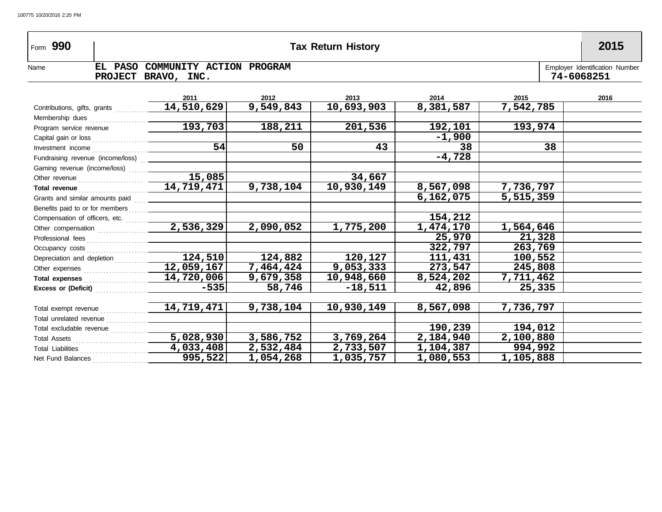| Form 990                                     |                                                 |                           | <b>Tax Return History</b> |           |           | 2015                                         |
|----------------------------------------------|-------------------------------------------------|---------------------------|---------------------------|-----------|-----------|----------------------------------------------|
| EL PASO<br>Name                              | COMMUNITY ACTION PROGRAM<br>PROJECT BRAVO, INC. |                           |                           |           |           | Employer Identification Number<br>74-6068251 |
|                                              | 2011                                            | 2012                      | 2013                      | 2014      | 2015      | 2016                                         |
| Contributions, gifts, grants                 | 14,510,629                                      | 9,549,843                 | 10,693,903                | 8,381,587 | 7,542,785 |                                              |
|                                              |                                                 |                           |                           |           |           |                                              |
| Program service revenue                      | 193,703                                         | 188,211                   | 201,536                   | 192,101   | 193,974   |                                              |
|                                              |                                                 |                           |                           | $-1,900$  |           |                                              |
|                                              | $\overline{54}$                                 | 50                        | 43                        | 38        | 38        |                                              |
| Fundraising revenue (income/loss) [1] [2012] |                                                 |                           |                           | $-4,728$  |           |                                              |
|                                              |                                                 |                           |                           |           |           |                                              |
|                                              | 15,085                                          |                           | 34,667                    |           |           |                                              |
|                                              |                                                 | 9,738,104                 | 10,930,149                | 8,567,098 | 7,736,797 |                                              |
|                                              |                                                 |                           |                           | 6,162,075 | 5,515,359 |                                              |
|                                              |                                                 |                           |                           |           |           |                                              |
|                                              |                                                 |                           |                           | 154,212   |           |                                              |
|                                              |                                                 | 2,090,052                 | 1,775,200                 | 1,474,170 | 1,564,646 |                                              |
|                                              |                                                 |                           |                           | 25,970    | 21,328    |                                              |
|                                              |                                                 |                           |                           | 322,797   | 263,769   |                                              |
|                                              | 124,510                                         | 124,882                   | 120,127                   | 111,431   | 100,552   |                                              |
|                                              | 12,059,167                                      | 7,464,424                 | $\overline{9}$ , 053, 333 | 273,547   | 245,808   |                                              |
|                                              | 14,720,006                                      | 9,679,358                 | 10,948,660                | 8,524,202 | 7,711,462 |                                              |
|                                              | $-535$                                          | 58,746                    | $-18,511$                 | 42,896    | 25,335    |                                              |
|                                              |                                                 |                           |                           |           |           |                                              |
|                                              |                                                 | 9,738,104                 | 10,930,149                | 8,567,098 | 7,736,797 |                                              |
|                                              |                                                 |                           |                           |           |           |                                              |
|                                              |                                                 |                           |                           | 190,239   | 194,012   |                                              |
|                                              | 5,028,930                                       | $\overline{3}$ , 586, 752 | 3,769,264                 | 2,184,940 | 2,100,880 |                                              |
|                                              | 4,033,408                                       | 2,532,484                 | 2,733,507                 | 1,104,387 | 994,992   |                                              |
| Net Fund Balances                            | 995,522                                         | 1,054,268                 | 1,035,757                 | 1,080,553 | 1,105,888 |                                              |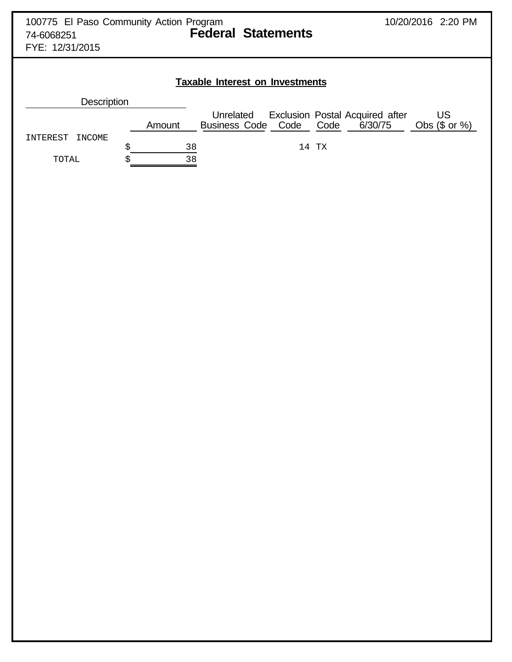| 100775 El Paso Community Action Program |                           | 10/20/2016 2:20 PM |  |
|-----------------------------------------|---------------------------|--------------------|--|
| 74-6068251                              | <b>Federal Statements</b> |                    |  |
| FYE: 12/31/2015                         |                           |                    |  |
|                                         |                           |                    |  |

| <b>Description</b> |        |                                      |       |                                            |                        |
|--------------------|--------|--------------------------------------|-------|--------------------------------------------|------------------------|
|                    | Amount | Unrelated<br>Business Code Code Code |       | Exclusion Postal Acquired after<br>6/30/75 | US<br>Obs $(\$$ or $%$ |
| INTEREST INCOME    | 38     |                                      | 14 TX |                                            |                        |
| TOTAL              | 38     |                                      |       |                                            |                        |

**Taxable Interest on Investments**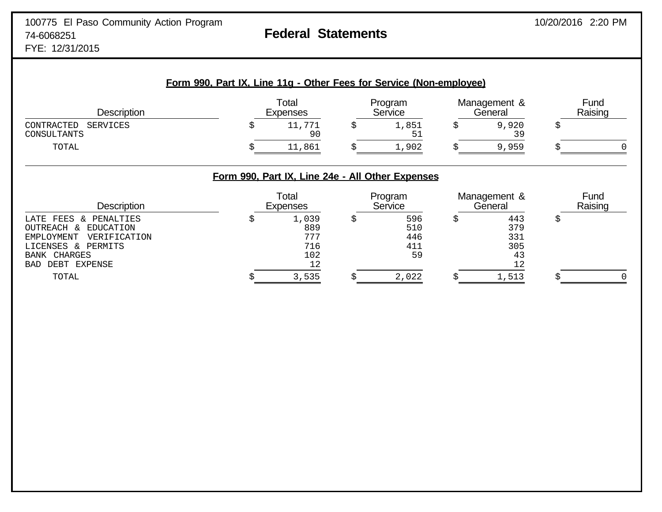FYE: 12/31/2015

| Form 990, Part IX, Line 11g - Other Fees for Service (Non-employee) |  |                          |  |                    |  |                         |  |                 |  |  |  |
|---------------------------------------------------------------------|--|--------------------------|--|--------------------|--|-------------------------|--|-----------------|--|--|--|
| <b>Description</b>                                                  |  | Total<br><b>Expenses</b> |  | Program<br>Service |  | Management &<br>General |  | Fund<br>Raising |  |  |  |
| CONTRACTED<br>SERVICES<br>CONSULTANTS                               |  | 11,771<br>90             |  | 1,851<br>51        |  | 9,920<br>39             |  |                 |  |  |  |
| TOTAL                                                               |  | 11,861                   |  | 1,902              |  | 9,959                   |  |                 |  |  |  |

## **Form 990, Part IX, Line 24e - All Other Expenses**

| <b>Description</b>         | Total<br>Expenses | Program<br>Service | Management &<br>General | Fund<br>Raising |
|----------------------------|-------------------|--------------------|-------------------------|-----------------|
| LATE FEES & PENALTIES      | 1,039             | 596                | 443                     |                 |
| OUTREACH & EDUCATION       | 889               | 510                | 379                     |                 |
| EMPLOYMENT<br>VERIFICATION | 777               | 446                | 331                     |                 |
| LICENSES & PERMITS         | 716               | 411                | 305                     |                 |
| BANK CHARGES               | 102               | 59                 | 43                      |                 |
| BAD DEBT<br>EXPENSE        | 12                |                    |                         |                 |
| TOTAL                      | 3,535             | 2,022              | 1,513                   |                 |